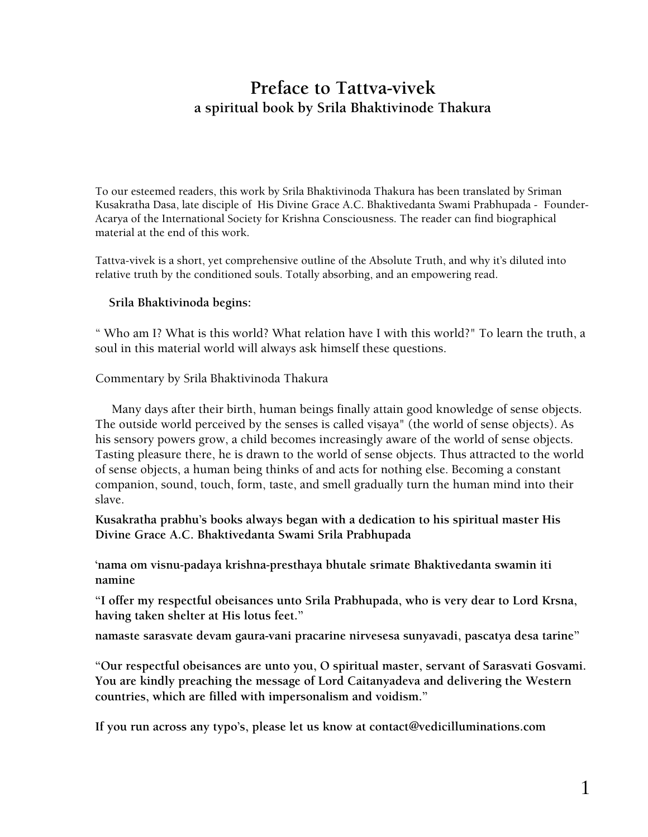# **Preface to Tattva-vivek a spiritual book by Srila Bhaktivinode Thakura**

To our esteemed readers, this work by Srila Bhaktivinoda Thakura has been translated by Sriman Kusakratha Dasa, late disciple of His Divine Grace A.C. Bhaktivedanta Swami Prabhupada - Founder-Acarya of the International Society for Krishna Consciousness. The reader can find biographical material at the end of this work.

Tattva-vivek is a short, yet comprehensive outline of the Absolute Truth, and why it's diluted into relative truth by the conditioned souls. Totally absorbing, and an empowering read.

## **Srila Bhaktivinoda begins:**

" Who am I? What is this world? What relation have I with this world?" To learn the truth, a soul in this material world will always ask himself these questions.

## Commentary by Srila Bhaktivinoda Thakura

 Many days after their birth, human beings finally attain good knowledge of sense objects. The outside world perceived by the senses is called visaya" (the world of sense objects). As his sensory powers grow, a child becomes increasingly aware of the world of sense objects. Tasting pleasure there, he is drawn to the world of sense objects. Thus attracted to the world of sense objects, a human being thinks of and acts for nothing else. Becoming a constant companion, sound, touch, form, taste, and smell gradually turn the human mind into their slave.

**Kusakratha prabhu's books always began with a dedication to his spiritual master His Divine Grace A.C. Bhaktivedanta Swami Srila Prabhupada** 

**'nama om visnu-padaya krishna-presthaya bhutale srimate Bhaktivedanta swamin iti namine** 

**"I offer my respectful obeisances unto Srila Prabhupada, who is very dear to Lord Krsna, having taken shelter at His lotus feet."**

**namaste sarasvate devam gaura-vani pracarine nirvesesa sunyavadi, pascatya desa tarine"** 

**"Our respectful obeisances are unto you, O spiritual master, servant of Sarasvati Gosvami. You are kindly preaching the message of Lord Caitanyadeva and delivering the Western countries, which are filled with impersonalism and voidism."**

**If you run across any typo's, please let us know at [contact@vedicilluminations.com](mailto:contact@vedicilluminations.com)**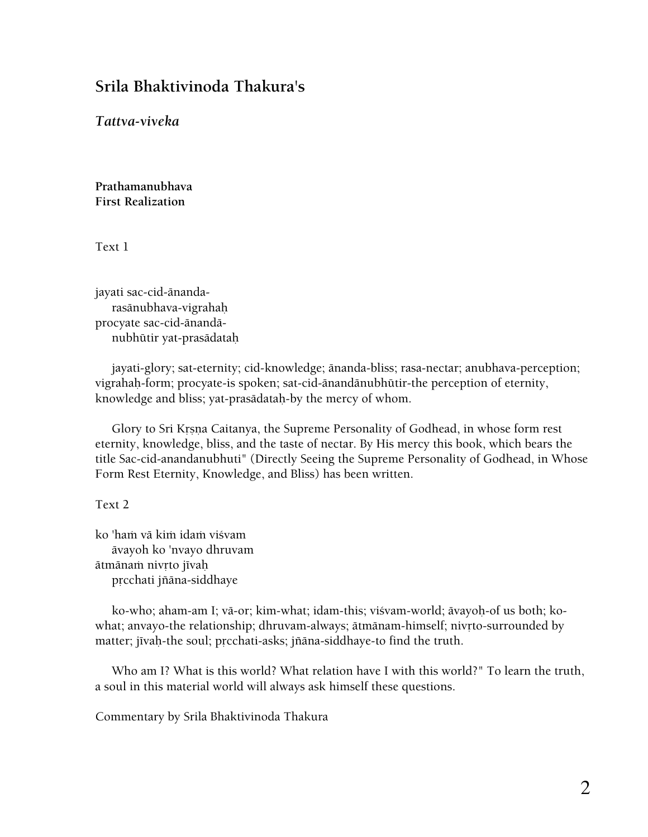# **Srila Bhaktivinoda Thakura's**

*Tattva-viveka* 

**Prathamanubhava First Realization** 

Text 1

jayati sac-cid-änanda rasänubhava-vigrahaù procyate sac-cid-änandä nubhütir yat-prasädataù

 jayati-glory; sat-eternity; cid-knowledge; änanda-bliss; rasa-nectar; anubhava-perception; vigrahaù-form; procyate-is spoken; sat-cid-änandänubhütir-the perception of eternity, knowledge and bliss; yat-prasädataù-by the mercy of whom.

Glory to Sri Krsna Caitanya, the Supreme Personality of Godhead, in whose form rest eternity, knowledge, bliss, and the taste of nectar. By His mercy this book, which bears the title Sac-cid-anandanubhuti" (Directly Seeing the Supreme Personality of Godhead, in Whose Form Rest Eternity, Knowledge, and Bliss) has been written.

Text 2

ko 'haṁ vā kiṁ idaṁ viśvam ävayoh ko 'nvayo dhruvam ātmānam nivrto jīvah prcchati jñāna-siddhaye

ko-who; aham-am I; vā-or; kim-what; idam-this; viśvam-world; āvayoh-of us both; kowhat; anvayo-the relationship; dhruvam-always; ātmānam-himself; nivrto-surrounded by matter; jīvaḥ-the soul; prcchati-asks; jñāna-siddhaye-to find the truth.

 Who am I? What is this world? What relation have I with this world?" To learn the truth, a soul in this material world will always ask himself these questions.

Commentary by Srila Bhaktivinoda Thakura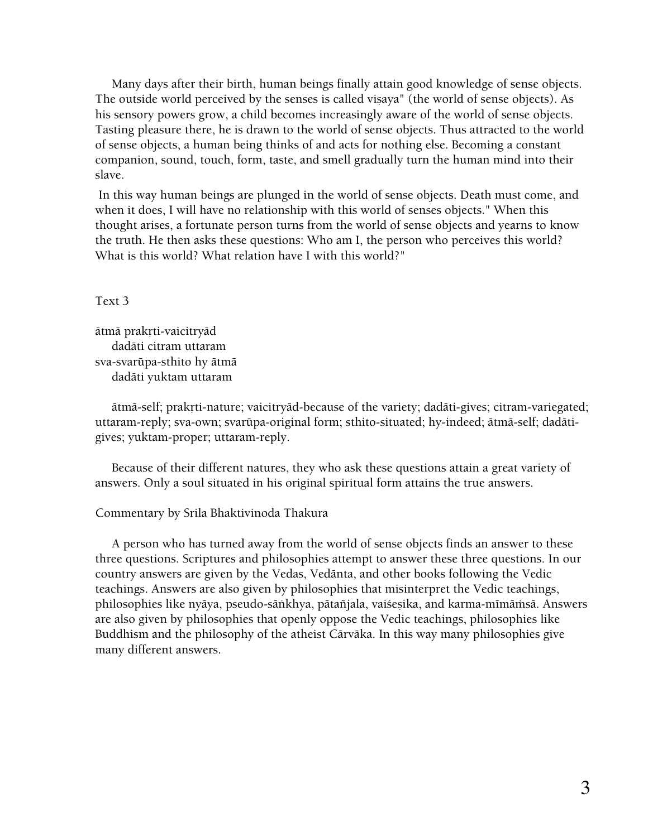Many days after their birth, human beings finally attain good knowledge of sense objects. The outside world perceived by the senses is called visaya" (the world of sense objects). As his sensory powers grow, a child becomes increasingly aware of the world of sense objects. Tasting pleasure there, he is drawn to the world of sense objects. Thus attracted to the world of sense objects, a human being thinks of and acts for nothing else. Becoming a constant companion, sound, touch, form, taste, and smell gradually turn the human mind into their slave.

 In this way human beings are plunged in the world of sense objects. Death must come, and when it does, I will have no relationship with this world of senses objects." When this thought arises, a fortunate person turns from the world of sense objects and yearns to know the truth. He then asks these questions: Who am I, the person who perceives this world? What is this world? What relation have I with this world?"

#### Text 3

ätmä prakrti-vaicitryäd dadäti citram uttaram sva-svarüpa-sthito hy ätmä dadäti yuktam uttaram

 ätmä-self; prakåti-nature; vaicitryäd-because of the variety; dadäti-gives; citram-variegated; uttaram-reply; sva-own; svarüpa-original form; sthito-situated; hy-indeed; ätmä-self; dadätigives; yuktam-proper; uttaram-reply.

 Because of their different natures, they who ask these questions attain a great variety of answers. Only a soul situated in his original spiritual form attains the true answers.

#### Commentary by Srila Bhaktivinoda Thakura

 A person who has turned away from the world of sense objects finds an answer to these three questions. Scriptures and philosophies attempt to answer these three questions. In our country answers are given by the Vedas, Vedänta, and other books following the Vedic teachings. Answers are also given by philosophies that misinterpret the Vedic teachings, philosophies like nyāya, pseudo-sāṅkhya, pātañjala, vaiśeṣika, and karma-mīmāṁsā. Answers are also given by philosophies that openly oppose the Vedic teachings, philosophies like Buddhism and the philosophy of the atheist Cärväka. In this way many philosophies give many different answers.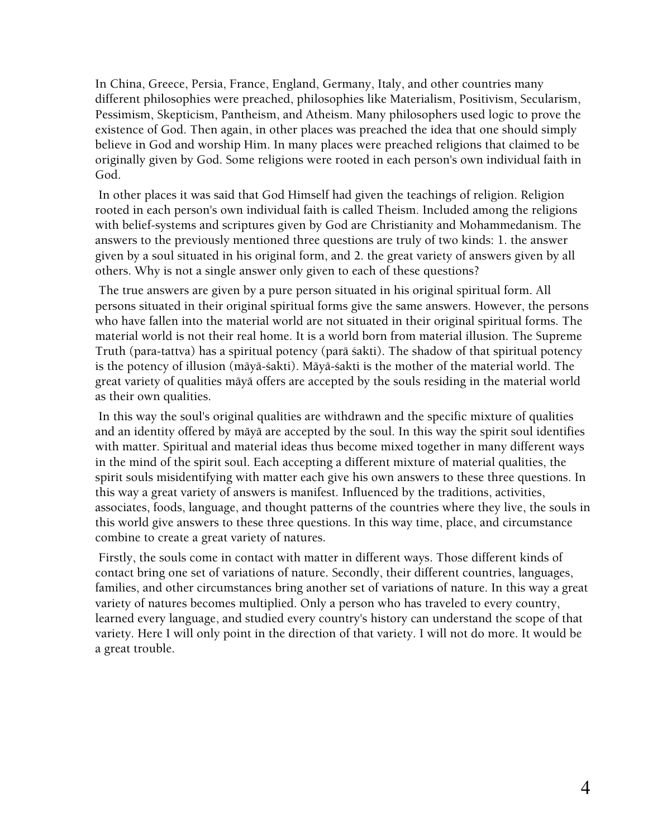In China, Greece, Persia, France, England, Germany, Italy, and other countries many different philosophies were preached, philosophies like Materialism, Positivism, Secularism, Pessimism, Skepticism, Pantheism, and Atheism. Many philosophers used logic to prove the existence of God. Then again, in other places was preached the idea that one should simply believe in God and worship Him. In many places were preached religions that claimed to be originally given by God. Some religions were rooted in each person's own individual faith in God.

 In other places it was said that God Himself had given the teachings of religion. Religion rooted in each person's own individual faith is called Theism. Included among the religions with belief-systems and scriptures given by God are Christianity and Mohammedanism. The answers to the previously mentioned three questions are truly of two kinds: 1. the answer given by a soul situated in his original form, and 2. the great variety of answers given by all others. Why is not a single answer only given to each of these questions?

 The true answers are given by a pure person situated in his original spiritual form. All persons situated in their original spiritual forms give the same answers. However, the persons who have fallen into the material world are not situated in their original spiritual forms. The material world is not their real home. It is a world born from material illusion. The Supreme Truth (para-tattva) has a spiritual potency (parä çakti). The shadow of that spiritual potency is the potency of illusion (māyā-śakti). Māyā-śakti is the mother of the material world. The great variety of qualities mäyä offers are accepted by the souls residing in the material world as their own qualities.

 In this way the soul's original qualities are withdrawn and the specific mixture of qualities and an identity offered by mäyä are accepted by the soul. In this way the spirit soul identifies with matter. Spiritual and material ideas thus become mixed together in many different ways in the mind of the spirit soul. Each accepting a different mixture of material qualities, the spirit souls misidentifying with matter each give his own answers to these three questions. In this way a great variety of answers is manifest. Influenced by the traditions, activities, associates, foods, language, and thought patterns of the countries where they live, the souls in this world give answers to these three questions. In this way time, place, and circumstance combine to create a great variety of natures.

 Firstly, the souls come in contact with matter in different ways. Those different kinds of contact bring one set of variations of nature. Secondly, their different countries, languages, families, and other circumstances bring another set of variations of nature. In this way a great variety of natures becomes multiplied. Only a person who has traveled to every country, learned every language, and studied every country's history can understand the scope of that variety. Here I will only point in the direction of that variety. I will not do more. It would be a great trouble.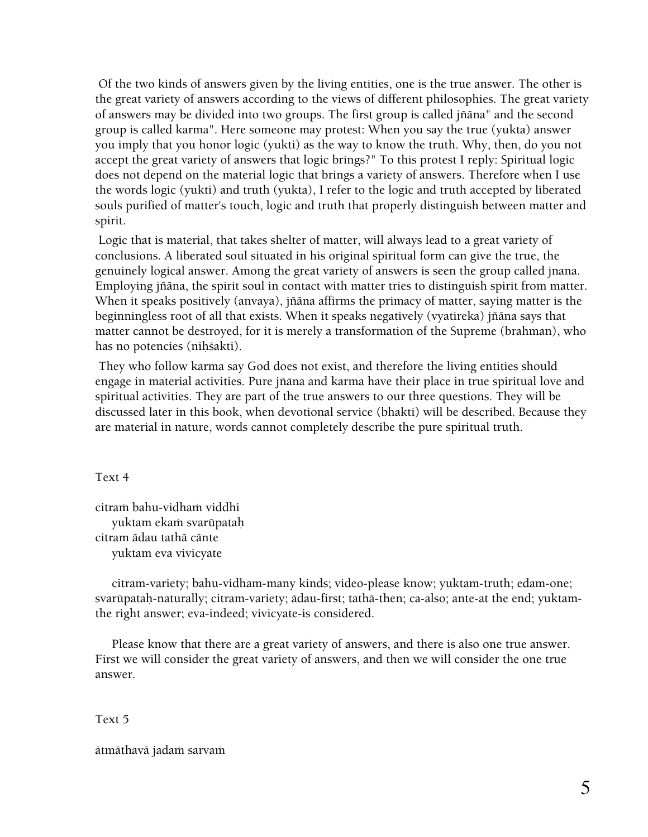Of the two kinds of answers given by the living entities, one is the true answer. The other is the great variety of answers according to the views of different philosophies. The great variety of answers may be divided into two groups. The first group is called jïäna" and the second group is called karma". Here someone may protest: When you say the true (yukta) answer you imply that you honor logic (yukti) as the way to know the truth. Why, then, do you not accept the great variety of answers that logic brings?" To this protest I reply: Spiritual logic does not depend on the material logic that brings a variety of answers. Therefore when I use the words logic (yukti) and truth (yukta), I refer to the logic and truth accepted by liberated souls purified of matter's touch, logic and truth that properly distinguish between matter and spirit.

 Logic that is material, that takes shelter of matter, will always lead to a great variety of conclusions. A liberated soul situated in his original spiritual form can give the true, the genuinely logical answer. Among the great variety of answers is seen the group called jnana. Employing jïäna, the spirit soul in contact with matter tries to distinguish spirit from matter. When it speaks positively (anvaya), jïäna affirms the primacy of matter, saying matter is the beginningless root of all that exists. When it speaks negatively (vyatireka) jïäna says that matter cannot be destroyed, for it is merely a transformation of the Supreme (brahman), who has no potencies (nihśakti).

 They who follow karma say God does not exist, and therefore the living entities should engage in material activities. Pure jïäna and karma have their place in true spiritual love and spiritual activities. They are part of the true answers to our three questions. They will be discussed later in this book, when devotional service (bhakti) will be described. Because they are material in nature, words cannot completely describe the pure spiritual truth.

Text 4

citram bahu-vidham viddhi yuktam ekam svarūpatah citram ädau tathä cänte yuktam eva vivicyate

 citram-variety; bahu-vidham-many kinds; video-please know; yuktam-truth; edam-one; svarūpataḥ-naturally; citram-variety; ādau-first; tathā-then; ca-also; ante-at the end; yuktamthe right answer; eva-indeed; vivicyate-is considered.

 Please know that there are a great variety of answers, and there is also one true answer. First we will consider the great variety of answers, and then we will consider the one true answer.

Text 5

ātmāthavā jadaṁ sarvaṁ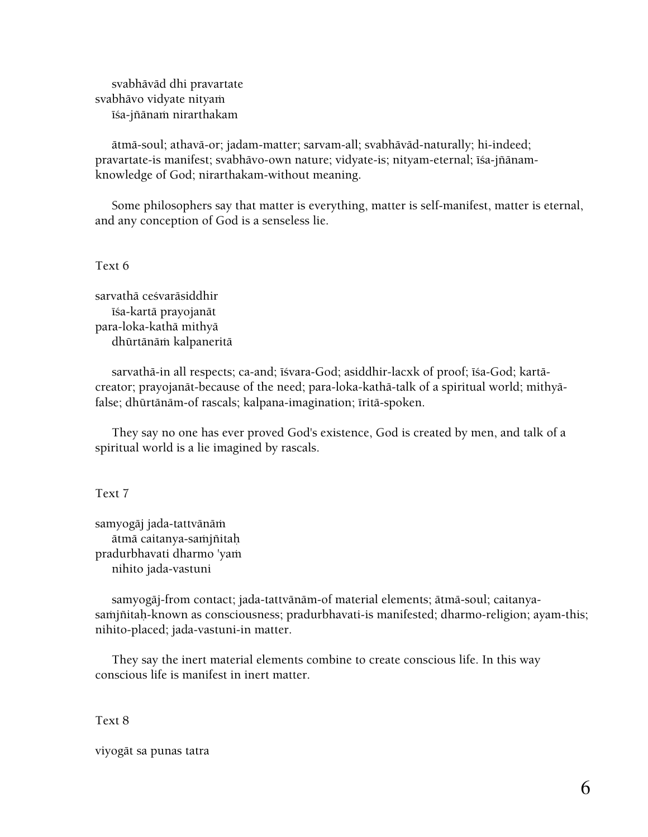svabhäväd dhi pravartate svabhāvo vidyate nityam īśa-jñānaṁ nirarthakam

 ätmä-soul; athavä-or; jadam-matter; sarvam-all; svabhäväd-naturally; hi-indeed; pravartate-is manifest; svabhāvo-own nature; vidyate-is; nityam-eternal; īśa-jñānamknowledge of God; nirarthakam-without meaning.

 Some philosophers say that matter is everything, matter is self-manifest, matter is eternal, and any conception of God is a senseless lie.

Text 6

sarvathā ceśvarāsiddhir éça-kartä prayojanät para-loka-kathä mithyä dhūrtānām kalpaneritā

sarvathā-in all respects; ca-and; īśvara-God; asiddhir-lacxk of proof; īśa-God; kartācreator; prayojanät-because of the need; para-loka-kathä-talk of a spiritual world; mithyäfalse; dhūrtānām-of rascals; kalpana-imagination; īritā-spoken.

 They say no one has ever proved God's existence, God is created by men, and talk of a spiritual world is a lie imagined by rascals.

Text 7

samyogāj jada-tattvānāṁ ātmā caitanya-saṁjñitaḥ pradurbhavati dharmo 'yam nihito jada-vastuni

 samyogäj-from contact; jada-tattvänäm-of material elements; ätmä-soul; caitanyasamjñitaḥ-known as consciousness; pradurbhavati-is manifested; dharmo-religion; ayam-this; nihito-placed; jada-vastuni-in matter.

 They say the inert material elements combine to create conscious life. In this way conscious life is manifest in inert matter.

Text 8

viyogät sa punas tatra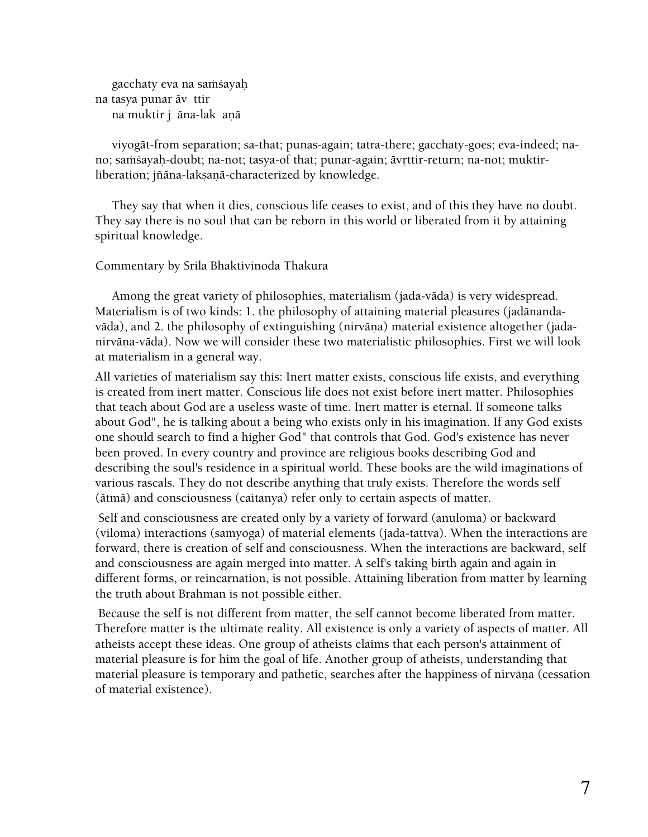gacchaty eva na samsayah na tasya punar äv ttir na muktir j āna-lak aņā

 viyogät-from separation; sa-that; punas-again; tatra-there; gacchaty-goes; eva-indeed; nano; samsayaḥ-doubt; na-not; tasya-of that; punar-again; āvṛttir-return; na-not; muktirliberation; jñāna-lakṣaṇā-characterized by knowledge.

 They say that when it dies, conscious life ceases to exist, and of this they have no doubt. They say there is no soul that can be reborn in this world or liberated from it by attaining spiritual knowledge.

#### Commentary by Srila Bhaktivinoda Thakura

 Among the great variety of philosophies, materialism (jada-väda) is very widespread. Materialism is of two kinds: 1. the philosophy of attaining material pleasures (jadänandavāda), and 2. the philosophy of extinguishing (nirvāna) material existence altogether (jadanirvāņa-vāda). Now we will consider these two materialistic philosophies. First we will look at materialism in a general way.

All varieties of materialism say this: Inert matter exists, conscious life exists, and everything is created from inert matter. Conscious life does not exist before inert matter. Philosophies that teach about God are a useless waste of time. Inert matter is eternal. If someone talks about God", he is talking about a being who exists only in his imagination. If any God exists one should search to find a higher God" that controls that God. God's existence has never been proved. In every country and province are religious books describing God and describing the soul's residence in a spiritual world. These books are the wild imaginations of various rascals. They do not describe anything that truly exists. Therefore the words self (ätmä) and consciousness (caitanya) refer only to certain aspects of matter.

 Self and consciousness are created only by a variety of forward (anuloma) or backward (viloma) interactions (samyoga) of material elements (jada-tattva). When the interactions are forward, there is creation of self and consciousness. When the interactions are backward, self and consciousness are again merged into matter. A self's taking birth again and again in different forms, or reincarnation, is not possible. Attaining liberation from matter by learning the truth about Brahman is not possible either.

 Because the self is not different from matter, the self cannot become liberated from matter. Therefore matter is the ultimate reality. All existence is only a variety of aspects of matter. All atheists accept these ideas. One group of atheists claims that each person's attainment of material pleasure is for him the goal of life. Another group of atheists, understanding that material pleasure is temporary and pathetic, searches after the happiness of nirvāņa (cessation of material existence).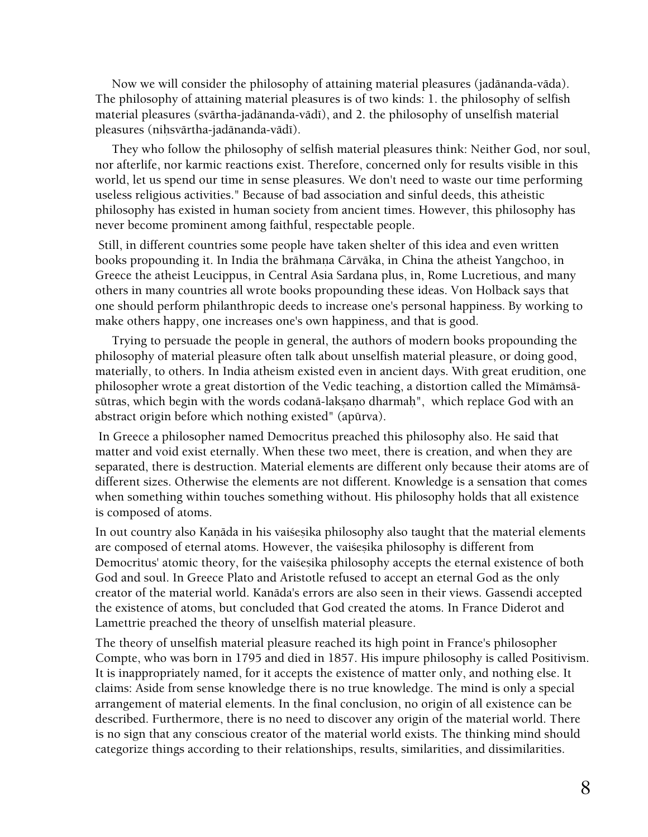Now we will consider the philosophy of attaining material pleasures (jadänanda-väda). The philosophy of attaining material pleasures is of two kinds: 1. the philosophy of selfish material pleasures (svārtha-jadānanda-vādī), and 2. the philosophy of unselfish material pleasures (nihsvārtha-jadānanda-vādī).

 They who follow the philosophy of selfish material pleasures think: Neither God, nor soul, nor afterlife, nor karmic reactions exist. Therefore, concerned only for results visible in this world, let us spend our time in sense pleasures. We don't need to waste our time performing useless religious activities." Because of bad association and sinful deeds, this atheistic philosophy has existed in human society from ancient times. However, this philosophy has never become prominent among faithful, respectable people.

 Still, in different countries some people have taken shelter of this idea and even written books propounding it. In India the brāhmana Cārvāka, in China the atheist Yangchoo, in Greece the atheist Leucippus, in Central Asia Sardana plus, in, Rome Lucretious, and many others in many countries all wrote books propounding these ideas. Von Holback says that one should perform philanthropic deeds to increase one's personal happiness. By working to make others happy, one increases one's own happiness, and that is good.

 Trying to persuade the people in general, the authors of modern books propounding the philosophy of material pleasure often talk about unselfish material pleasure, or doing good, materially, to others. In India atheism existed even in ancient days. With great erudition, one philosopher wrote a great distortion of the Vedic teaching, a distortion called the Mīmāmsāsūtras, which begin with the words codanā-laksano dharmah", which replace God with an abstract origin before which nothing existed" (apürva).

 In Greece a philosopher named Democritus preached this philosophy also. He said that matter and void exist eternally. When these two meet, there is creation, and when they are separated, there is destruction. Material elements are different only because their atoms are of different sizes. Otherwise the elements are not different. Knowledge is a sensation that comes when something within touches something without. His philosophy holds that all existence is composed of atoms.

In out country also Kanāda in his vaisesika philosophy also taught that the material elements are composed of eternal atoms. However, the vaisesika philosophy is different from Democritus' atomic theory, for the vaisesika philosophy accepts the eternal existence of both God and soul. In Greece Plato and Aristotle refused to accept an eternal God as the only creator of the material world. Kanäda's errors are also seen in their views. Gassendi accepted the existence of atoms, but concluded that God created the atoms. In France Diderot and Lamettrie preached the theory of unselfish material pleasure.

The theory of unselfish material pleasure reached its high point in France's philosopher Compte, who was born in 1795 and died in 1857. His impure philosophy is called Positivism. It is inappropriately named, for it accepts the existence of matter only, and nothing else. It claims: Aside from sense knowledge there is no true knowledge. The mind is only a special arrangement of material elements. In the final conclusion, no origin of all existence can be described. Furthermore, there is no need to discover any origin of the material world. There is no sign that any conscious creator of the material world exists. The thinking mind should categorize things according to their relationships, results, similarities, and dissimilarities.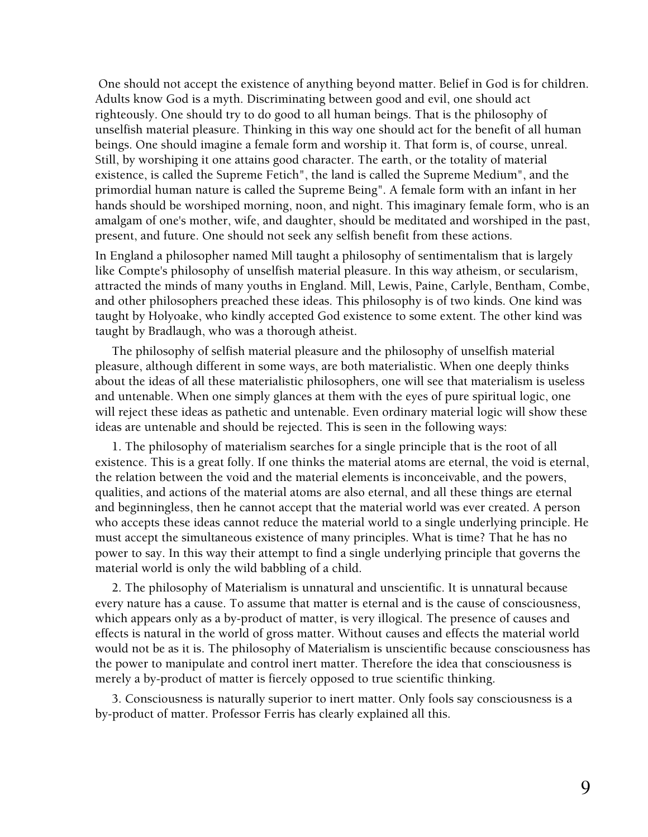One should not accept the existence of anything beyond matter. Belief in God is for children. Adults know God is a myth. Discriminating between good and evil, one should act righteously. One should try to do good to all human beings. That is the philosophy of unselfish material pleasure. Thinking in this way one should act for the benefit of all human beings. One should imagine a female form and worship it. That form is, of course, unreal. Still, by worshiping it one attains good character. The earth, or the totality of material existence, is called the Supreme Fetich", the land is called the Supreme Medium", and the primordial human nature is called the Supreme Being". A female form with an infant in her hands should be worshiped morning, noon, and night. This imaginary female form, who is an amalgam of one's mother, wife, and daughter, should be meditated and worshiped in the past, present, and future. One should not seek any selfish benefit from these actions.

In England a philosopher named Mill taught a philosophy of sentimentalism that is largely like Compte's philosophy of unselfish material pleasure. In this way atheism, or secularism, attracted the minds of many youths in England. Mill, Lewis, Paine, Carlyle, Bentham, Combe, and other philosophers preached these ideas. This philosophy is of two kinds. One kind was taught by Holyoake, who kindly accepted God existence to some extent. The other kind was taught by Bradlaugh, who was a thorough atheist.

 The philosophy of selfish material pleasure and the philosophy of unselfish material pleasure, although different in some ways, are both materialistic. When one deeply thinks about the ideas of all these materialistic philosophers, one will see that materialism is useless and untenable. When one simply glances at them with the eyes of pure spiritual logic, one will reject these ideas as pathetic and untenable. Even ordinary material logic will show these ideas are untenable and should be rejected. This is seen in the following ways:

 1. The philosophy of materialism searches for a single principle that is the root of all existence. This is a great folly. If one thinks the material atoms are eternal, the void is eternal, the relation between the void and the material elements is inconceivable, and the powers, qualities, and actions of the material atoms are also eternal, and all these things are eternal and beginningless, then he cannot accept that the material world was ever created. A person who accepts these ideas cannot reduce the material world to a single underlying principle. He must accept the simultaneous existence of many principles. What is time? That he has no power to say. In this way their attempt to find a single underlying principle that governs the material world is only the wild babbling of a child.

 2. The philosophy of Materialism is unnatural and unscientific. It is unnatural because every nature has a cause. To assume that matter is eternal and is the cause of consciousness, which appears only as a by-product of matter, is very illogical. The presence of causes and effects is natural in the world of gross matter. Without causes and effects the material world would not be as it is. The philosophy of Materialism is unscientific because consciousness has the power to manipulate and control inert matter. Therefore the idea that consciousness is merely a by-product of matter is fiercely opposed to true scientific thinking.

 3. Consciousness is naturally superior to inert matter. Only fools say consciousness is a by-product of matter. Professor Ferris has clearly explained all this.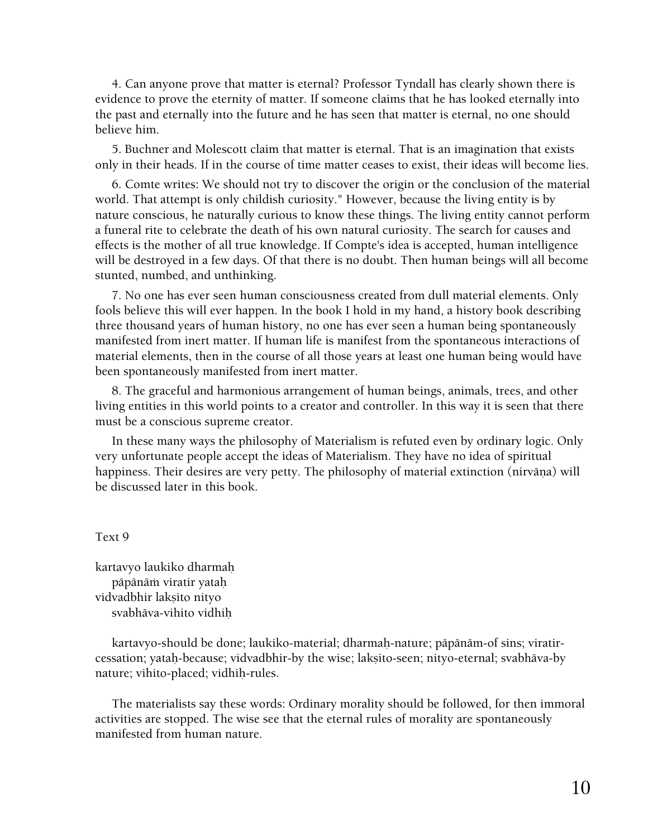4. Can anyone prove that matter is eternal? Professor Tyndall has clearly shown there is evidence to prove the eternity of matter. If someone claims that he has looked eternally into the past and eternally into the future and he has seen that matter is eternal, no one should believe him.

 5. Buchner and Molescott claim that matter is eternal. That is an imagination that exists only in their heads. If in the course of time matter ceases to exist, their ideas will become lies.

 6. Comte writes: We should not try to discover the origin or the conclusion of the material world. That attempt is only childish curiosity." However, because the living entity is by nature conscious, he naturally curious to know these things. The living entity cannot perform a funeral rite to celebrate the death of his own natural curiosity. The search for causes and effects is the mother of all true knowledge. If Compte's idea is accepted, human intelligence will be destroyed in a few days. Of that there is no doubt. Then human beings will all become stunted, numbed, and unthinking.

 7. No one has ever seen human consciousness created from dull material elements. Only fools believe this will ever happen. In the book I hold in my hand, a history book describing three thousand years of human history, no one has ever seen a human being spontaneously manifested from inert matter. If human life is manifest from the spontaneous interactions of material elements, then in the course of all those years at least one human being would have been spontaneously manifested from inert matter.

 8. The graceful and harmonious arrangement of human beings, animals, trees, and other living entities in this world points to a creator and controller. In this way it is seen that there must be a conscious supreme creator.

 In these many ways the philosophy of Materialism is refuted even by ordinary logic. Only very unfortunate people accept the ideas of Materialism. They have no idea of spiritual happiness. Their desires are very petty. The philosophy of material extinction (nirvāņa) will be discussed later in this book.

Text 9

kartavyo laukiko dharmaù pāpānām viratir yataḥ vidvadbhir lakṣito nityo svabhäva-vihito vidhiù

 kartavyo-should be done; laukiko-material; dharmaù-nature; päpänäm-of sins; viratircessation; yatah-because; vidvadbhir-by the wise; laksito-seen; nityo-eternal; svabhāva-by nature; vihito-placed; vidhih-rules.

 The materialists say these words: Ordinary morality should be followed, for then immoral activities are stopped. The wise see that the eternal rules of morality are spontaneously manifested from human nature.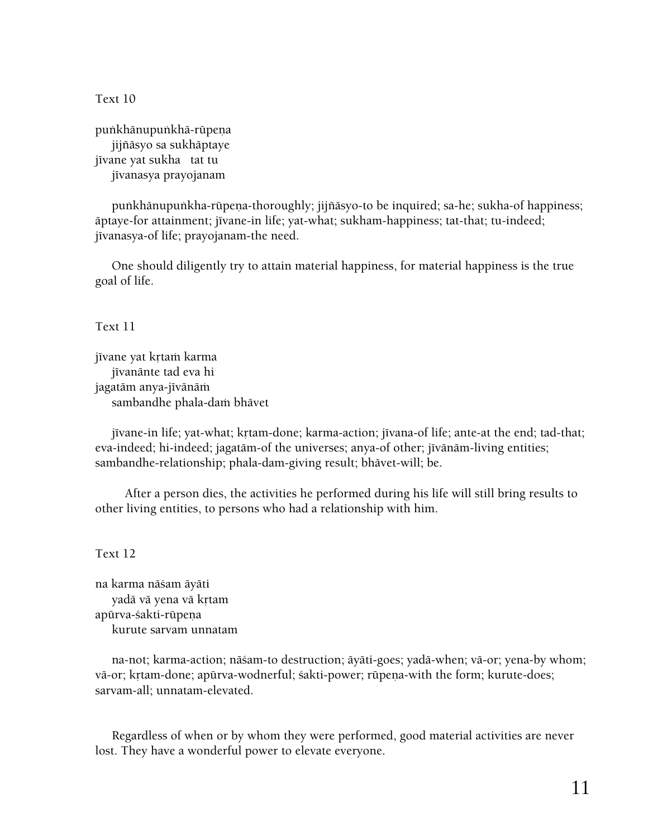Text 10

puṅkhānupuṅkhā-rūpeṇa jijïäsyo sa sukhäptaye jīvane yat sukha tat tu jīvanasya prayojanam

punkhānupunkha-rūpena-thoroughly; jijñāsyo-to be inquired; sa-he; sukha-of happiness; äptaye-for attainment; jīvane-in life; yat-what; sukham-happiness; tat-that; tu-indeed; jīvanasya-of life; prayojanam-the need.

 One should diligently try to attain material happiness, for material happiness is the true goal of life.

Text 11

jīvane yat krtam karma jīvanānte tad eva hi jagatām anya-jīvānām sambandhe phala-dam bhāvet

jīvane-in life; yat-what; krtam-done; karma-action; jīvana-of life; ante-at the end; tad-that; eva-indeed; hi-indeed; jagatām-of the universes; anya-of other; jīvānām-living entities; sambandhe-relationship; phala-dam-giving result; bhävet-will; be.

 After a person dies, the activities he performed during his life will still bring results to other living entities, to persons who had a relationship with him.

Text 12

na karma näçam äyäti yadā vā yena vā krtam apürva-śakti-rüpena kurute sarvam unnatam

 na-not; karma-action; näçam-to destruction; äyäti-goes; yadä-when; vä-or; yena-by whom; vā-or; krtam-done; apūrva-wodnerful; śakti-power; rūpeņa-with the form; kurute-does; sarvam-all; unnatam-elevated.

 Regardless of when or by whom they were performed, good material activities are never lost. They have a wonderful power to elevate everyone.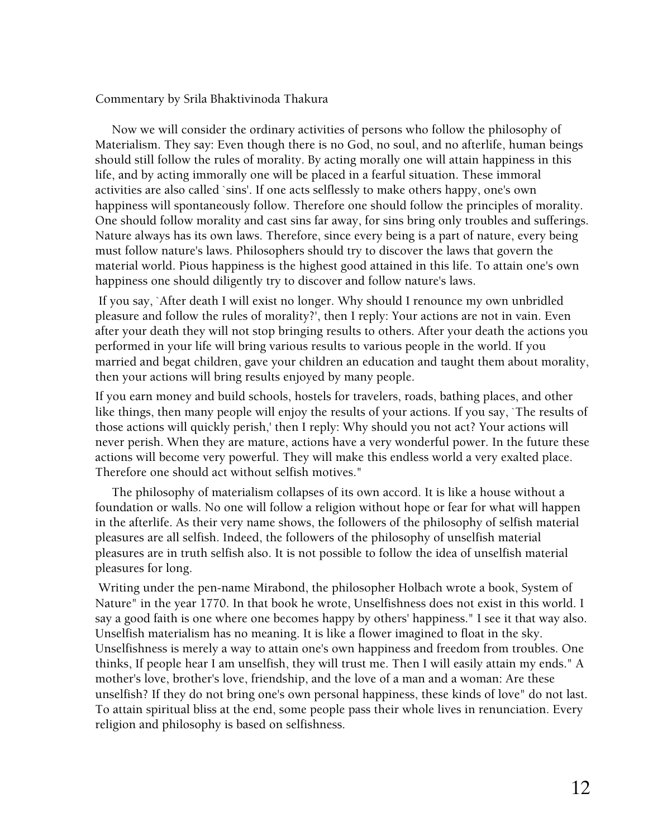Commentary by Srila Bhaktivinoda Thakura

 Now we will consider the ordinary activities of persons who follow the philosophy of Materialism. They say: Even though there is no God, no soul, and no afterlife, human beings should still follow the rules of morality. By acting morally one will attain happiness in this life, and by acting immorally one will be placed in a fearful situation. These immoral activities are also called `sins'. If one acts selflessly to make others happy, one's own happiness will spontaneously follow. Therefore one should follow the principles of morality. One should follow morality and cast sins far away, for sins bring only troubles and sufferings. Nature always has its own laws. Therefore, since every being is a part of nature, every being must follow nature's laws. Philosophers should try to discover the laws that govern the material world. Pious happiness is the highest good attained in this life. To attain one's own happiness one should diligently try to discover and follow nature's laws.

 If you say, `After death I will exist no longer. Why should I renounce my own unbridled pleasure and follow the rules of morality?', then I reply: Your actions are not in vain. Even after your death they will not stop bringing results to others. After your death the actions you performed in your life will bring various results to various people in the world. If you married and begat children, gave your children an education and taught them about morality, then your actions will bring results enjoyed by many people.

If you earn money and build schools, hostels for travelers, roads, bathing places, and other like things, then many people will enjoy the results of your actions. If you say, `The results of those actions will quickly perish,' then I reply: Why should you not act? Your actions will never perish. When they are mature, actions have a very wonderful power. In the future these actions will become very powerful. They will make this endless world a very exalted place. Therefore one should act without selfish motives."

 The philosophy of materialism collapses of its own accord. It is like a house without a foundation or walls. No one will follow a religion without hope or fear for what will happen in the afterlife. As their very name shows, the followers of the philosophy of selfish material pleasures are all selfish. Indeed, the followers of the philosophy of unselfish material pleasures are in truth selfish also. It is not possible to follow the idea of unselfish material pleasures for long.

 Writing under the pen-name Mirabond, the philosopher Holbach wrote a book, System of Nature" in the year 1770. In that book he wrote, Unselfishness does not exist in this world. I say a good faith is one where one becomes happy by others' happiness." I see it that way also. Unselfish materialism has no meaning. It is like a flower imagined to float in the sky. Unselfishness is merely a way to attain one's own happiness and freedom from troubles. One thinks, If people hear I am unselfish, they will trust me. Then I will easily attain my ends." A mother's love, brother's love, friendship, and the love of a man and a woman: Are these unselfish? If they do not bring one's own personal happiness, these kinds of love" do not last. To attain spiritual bliss at the end, some people pass their whole lives in renunciation. Every religion and philosophy is based on selfishness.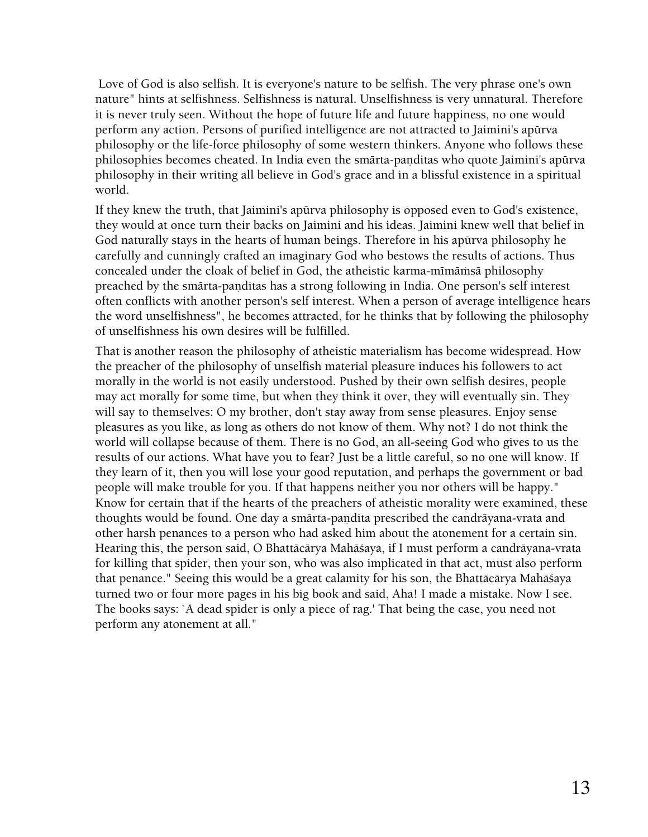Love of God is also selfish. It is everyone's nature to be selfish. The very phrase one's own nature" hints at selfishness. Selfishness is natural. Unselfishness is very unnatural. Therefore it is never truly seen. Without the hope of future life and future happiness, no one would perform any action. Persons of purified intelligence are not attracted to Jaimini's apürva philosophy or the life-force philosophy of some western thinkers. Anyone who follows these philosophies becomes cheated. In India even the smārta-paṇditas who quote Jaimini's apūrva philosophy in their writing all believe in God's grace and in a blissful existence in a spiritual world.

If they knew the truth, that Jaimini's apürva philosophy is opposed even to God's existence, they would at once turn their backs on Jaimini and his ideas. Jaimini knew well that belief in God naturally stays in the hearts of human beings. Therefore in his apürva philosophy he carefully and cunningly crafted an imaginary God who bestows the results of actions. Thus concealed under the cloak of belief in God, the atheistic karma-mīmāmsā philosophy preached by the smārta-panditas has a strong following in India. One person's self interest often conflicts with another person's self interest. When a person of average intelligence hears the word unselfishness", he becomes attracted, for he thinks that by following the philosophy of unselfishness his own desires will be fulfilled.

That is another reason the philosophy of atheistic materialism has become widespread. How the preacher of the philosophy of unselfish material pleasure induces his followers to act morally in the world is not easily understood. Pushed by their own selfish desires, people may act morally for some time, but when they think it over, they will eventually sin. They will say to themselves: O my brother, don't stay away from sense pleasures. Enjoy sense pleasures as you like, as long as others do not know of them. Why not? I do not think the world will collapse because of them. There is no God, an all-seeing God who gives to us the results of our actions. What have you to fear? Just be a little careful, so no one will know. If they learn of it, then you will lose your good reputation, and perhaps the government or bad people will make trouble for you. If that happens neither you nor others will be happy." Know for certain that if the hearts of the preachers of atheistic morality were examined, these thoughts would be found. One day a smärta-pandita prescribed the candräyana-vrata and other harsh penances to a person who had asked him about the atonement for a certain sin. Hearing this, the person said, O Bhattäcärya Mahäçaya, if I must perform a candräyana-vrata for killing that spider, then your son, who was also implicated in that act, must also perform that penance." Seeing this would be a great calamity for his son, the Bhattäcärya Mahäçaya turned two or four more pages in his big book and said, Aha! I made a mistake. Now I see. The books says: `A dead spider is only a piece of rag.' That being the case, you need not perform any atonement at all."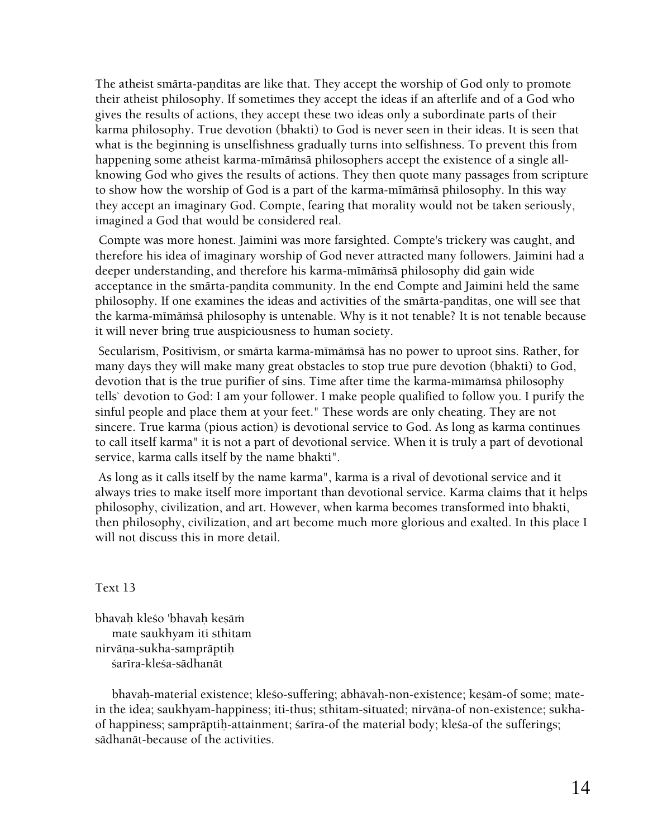The atheist smārta-panditas are like that. They accept the worship of God only to promote their atheist philosophy. If sometimes they accept the ideas if an afterlife and of a God who gives the results of actions, they accept these two ideas only a subordinate parts of their karma philosophy. True devotion (bhakti) to God is never seen in their ideas. It is seen that what is the beginning is unselfishness gradually turns into selfishness. To prevent this from happening some atheist karma-mīmāmsā philosophers accept the existence of a single allknowing God who gives the results of actions. They then quote many passages from scripture to show how the worship of God is a part of the karma-mimamsa philosophy. In this way they accept an imaginary God. Compte, fearing that morality would not be taken seriously, imagined a God that would be considered real.

 Compte was more honest. Jaimini was more farsighted. Compte's trickery was caught, and therefore his idea of imaginary worship of God never attracted many followers. Jaimini had a deeper understanding, and therefore his karma-mīmāmsā philosophy did gain wide acceptance in the smārta-pandita community. In the end Compte and Jaimini held the same philosophy. If one examines the ideas and activities of the smarta-panditas, one will see that the karma-mīmāmsā philosophy is untenable. Why is it not tenable? It is not tenable because it will never bring true auspiciousness to human society.

Secularism, Positivism, or smärta karma-mīmāmsā has no power to uproot sins. Rather, for many days they will make many great obstacles to stop true pure devotion (bhakti) to God, devotion that is the true purifier of sins. Time after time the karma-mimämsä philosophy tells` devotion to God: I am your follower. I make people qualified to follow you. I purify the sinful people and place them at your feet." These words are only cheating. They are not sincere. True karma (pious action) is devotional service to God. As long as karma continues to call itself karma" it is not a part of devotional service. When it is truly a part of devotional service, karma calls itself by the name bhakti".

 As long as it calls itself by the name karma", karma is a rival of devotional service and it always tries to make itself more important than devotional service. Karma claims that it helps philosophy, civilization, and art. However, when karma becomes transformed into bhakti, then philosophy, civilization, and art become much more glorious and exalted. In this place I will not discuss this in more detail.

#### Text 13

bhavah kleśo 'bhavah kesāṁ mate saukhyam iti sthitam nirväna-sukha-sampräptih śarīra-kleśa-sādhanāt

bhavaḥ-material existence; kleśo-suffering; abhāvaḥ-non-existence; keṣām-of some; matein the idea; saukhyam-happiness; iti-thus; sthitam-situated; nirvāṇa-of non-existence; sukhaof happiness; samprāptih-attainment; sarīra-of the material body; klesa-of the sufferings; sädhanät-because of the activities.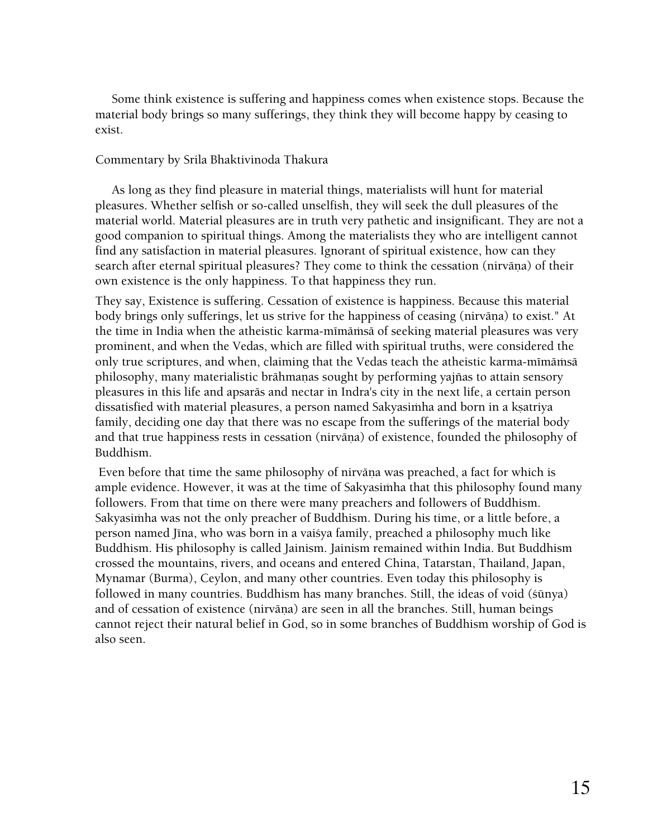Some think existence is suffering and happiness comes when existence stops. Because the material body brings so many sufferings, they think they will become happy by ceasing to exist.

# Commentary by Srila Bhaktivinoda Thakura

 As long as they find pleasure in material things, materialists will hunt for material pleasures. Whether selfish or so-called unselfish, they will seek the dull pleasures of the material world. Material pleasures are in truth very pathetic and insignificant. They are not a good companion to spiritual things. Among the materialists they who are intelligent cannot find any satisfaction in material pleasures. Ignorant of spiritual existence, how can they search after eternal spiritual pleasures? They come to think the cessation (nirvāna) of their own existence is the only happiness. To that happiness they run.

They say, Existence is suffering. Cessation of existence is happiness. Because this material body brings only sufferings, let us strive for the happiness of ceasing (nirvāna) to exist." At the time in India when the atheistic karma-mīmāmsā of seeking material pleasures was very prominent, and when the Vedas, which are filled with spiritual truths, were considered the only true scriptures, and when, claiming that the Vedas teach the atheistic karma-mīmāmsā philosophy, many materialistic brāhmaņas sought by performing yajñas to attain sensory pleasures in this life and apsaräs and nectar in Indra's city in the next life, a certain person dissatisfied with material pleasures, a person named Sakyasimha and born in a ksatriya family, deciding one day that there was no escape from the sufferings of the material body and that true happiness rests in cessation (nirvāṇa) of existence, founded the philosophy of Buddhism.

Even before that time the same philosophy of nirvāņa was preached, a fact for which is ample evidence. However, it was at the time of Sakyasimha that this philosophy found many followers. From that time on there were many preachers and followers of Buddhism. Sakyasimha was not the only preacher of Buddhism. During his time, or a little before, a person named Jīna, who was born in a vaisya family, preached a philosophy much like Buddhism. His philosophy is called Jainism. Jainism remained within India. But Buddhism crossed the mountains, rivers, and oceans and entered China, Tatarstan, Thailand, Japan, Mynamar (Burma), Ceylon, and many other countries. Even today this philosophy is followed in many countries. Buddhism has many branches. Still, the ideas of void (çünya) and of cessation of existence (nirvāṇa) are seen in all the branches. Still, human beings cannot reject their natural belief in God, so in some branches of Buddhism worship of God is also seen.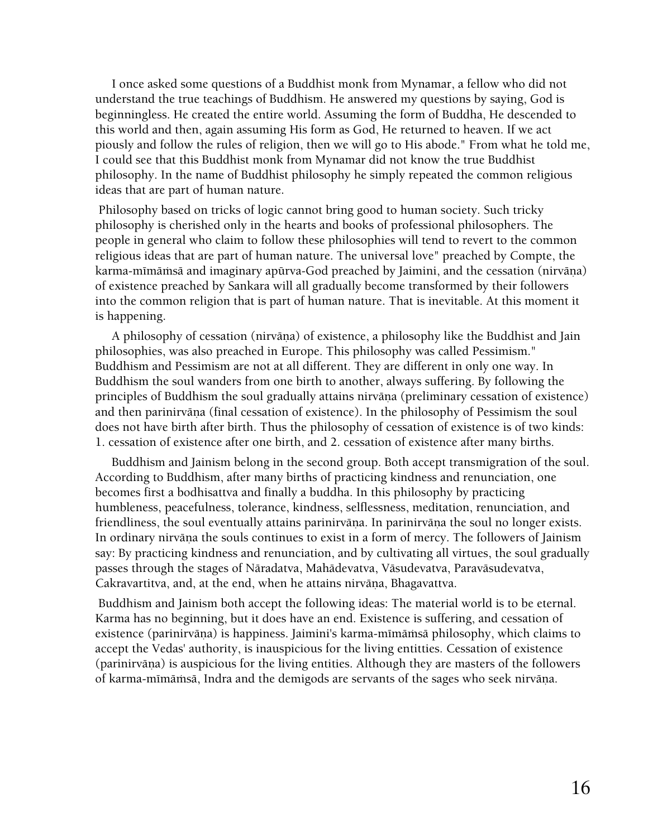I once asked some questions of a Buddhist monk from Mynamar, a fellow who did not understand the true teachings of Buddhism. He answered my questions by saying, God is beginningless. He created the entire world. Assuming the form of Buddha, He descended to this world and then, again assuming His form as God, He returned to heaven. If we act piously and follow the rules of religion, then we will go to His abode." From what he told me, I could see that this Buddhist monk from Mynamar did not know the true Buddhist philosophy. In the name of Buddhist philosophy he simply repeated the common religious ideas that are part of human nature.

 Philosophy based on tricks of logic cannot bring good to human society. Such tricky philosophy is cherished only in the hearts and books of professional philosophers. The people in general who claim to follow these philosophies will tend to revert to the common religious ideas that are part of human nature. The universal love" preached by Compte, the karma-mīmāmsā and imaginary apūrva-God preached by Jaimini, and the cessation (nirvāna) of existence preached by Sankara will all gradually become transformed by their followers into the common religion that is part of human nature. That is inevitable. At this moment it is happening.

A philosophy of cessation (nirvāņa) of existence, a philosophy like the Buddhist and Jain philosophies, was also preached in Europe. This philosophy was called Pessimism." Buddhism and Pessimism are not at all different. They are different in only one way. In Buddhism the soul wanders from one birth to another, always suffering. By following the principles of Buddhism the soul gradually attains nirvāna (preliminary cessation of existence) and then parinirvāņa (final cessation of existence). In the philosophy of Pessimism the soul does not have birth after birth. Thus the philosophy of cessation of existence is of two kinds: 1. cessation of existence after one birth, and 2. cessation of existence after many births.

 Buddhism and Jainism belong in the second group. Both accept transmigration of the soul. According to Buddhism, after many births of practicing kindness and renunciation, one becomes first a bodhisattva and finally a buddha. In this philosophy by practicing humbleness, peacefulness, tolerance, kindness, selflessness, meditation, renunciation, and friendliness, the soul eventually attains parinirvāņa. In parinirvāņa the soul no longer exists. In ordinary nirvāna the souls continues to exist in a form of mercy. The followers of Jainism say: By practicing kindness and renunciation, and by cultivating all virtues, the soul gradually passes through the stages of Näradatva, Mahädevatva, Väsudevatva, Paraväsudevatva, Cakravartitva, and, at the end, when he attains nirvāņa, Bhagavattva.

 Buddhism and Jainism both accept the following ideas: The material world is to be eternal. Karma has no beginning, but it does have an end. Existence is suffering, and cessation of existence (parinirvāņa) is happiness. Jaimini's karma-mīmāmsā philosophy, which claims to accept the Vedas' authority, is inauspicious for the living entitties. Cessation of existence (parinirvāna) is auspicious for the living entities. Although they are masters of the followers of karma-mīmāmsā, Indra and the demigods are servants of the sages who seek nirvāņa.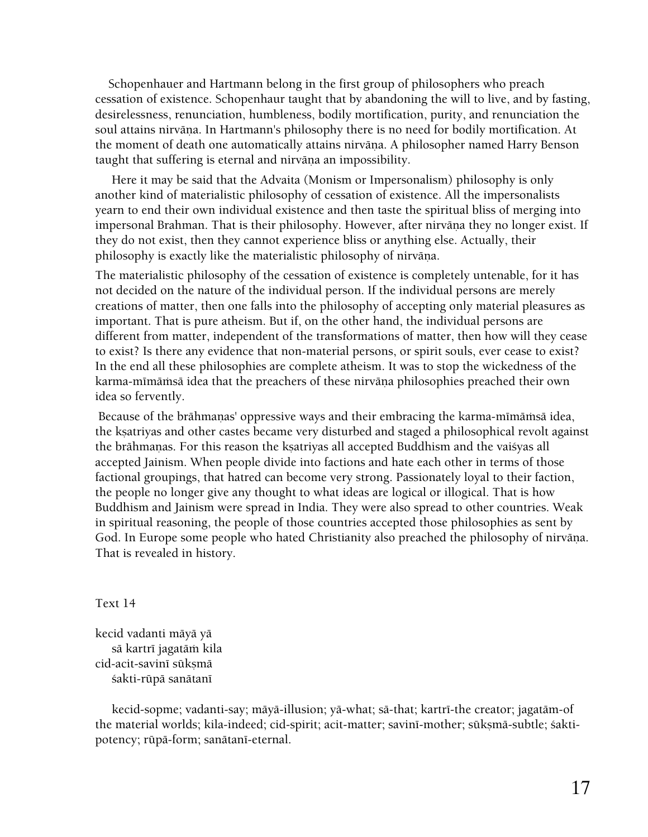Schopenhauer and Hartmann belong in the first group of philosophers who preach cessation of existence. Schopenhaur taught that by abandoning the will to live, and by fasting, desirelessness, renunciation, humbleness, bodily mortification, purity, and renunciation the soul attains nirvāna. In Hartmann's philosophy there is no need for bodily mortification. At the moment of death one automatically attains nirvāņa. A philosopher named Harry Benson taught that suffering is eternal and nirvāņa an impossibility.

 Here it may be said that the Advaita (Monism or Impersonalism) philosophy is only another kind of materialistic philosophy of cessation of existence. All the impersonalists yearn to end their own individual existence and then taste the spiritual bliss of merging into impersonal Brahman. That is their philosophy. However, after nirvāņa they no longer exist. If they do not exist, then they cannot experience bliss or anything else. Actually, their philosophy is exactly like the materialistic philosophy of nirvāņa.

The materialistic philosophy of the cessation of existence is completely untenable, for it has not decided on the nature of the individual person. If the individual persons are merely creations of matter, then one falls into the philosophy of accepting only material pleasures as important. That is pure atheism. But if, on the other hand, the individual persons are different from matter, independent of the transformations of matter, then how will they cease to exist? Is there any evidence that non-material persons, or spirit souls, ever cease to exist? In the end all these philosophies are complete atheism. It was to stop the wickedness of the karma-mīmāmsā idea that the preachers of these nirvāna philosophies preached their own idea so fervently.

Because of the brāhmaņas' oppressive ways and their embracing the karma-mīmāmsā idea, the kṣatriyas and other castes became very disturbed and staged a philosophical revolt against the brāhmaņas. For this reason the kṣatriyas all accepted Buddhism and the vaiśyas all accepted Jainism. When people divide into factions and hate each other in terms of those factional groupings, that hatred can become very strong. Passionately loyal to their faction, the people no longer give any thought to what ideas are logical or illogical. That is how Buddhism and Jainism were spread in India. They were also spread to other countries. Weak in spiritual reasoning, the people of those countries accepted those philosophies as sent by God. In Europe some people who hated Christianity also preached the philosophy of nirvāņa. That is revealed in history.

Text 14

kecid vadanti mäyä yä sā kartrī jagatām kila cid-acit-savinī sūksmā śakti-rūpā sanātanī

kecid-sopme; vadanti-say; mäyä-illusion; yä-what; sä-that; kartrī-the creator; jagatäm-of the material worlds; kila-indeed; cid-spirit; acit-matter; savinī-mother; sūksmā-subtle; śaktipotency; rūpā-form; sanātanī-eternal.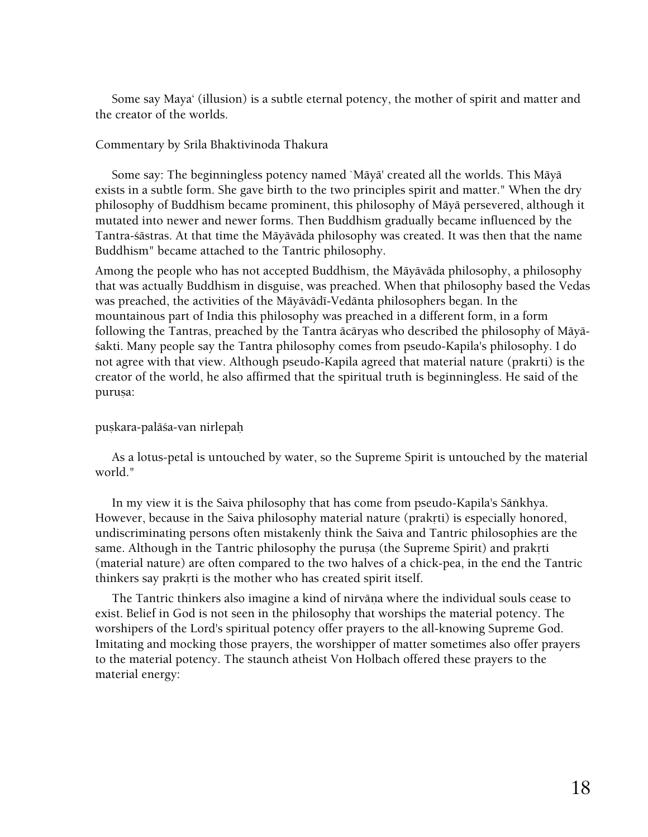Some say Maya' (illusion) is a subtle eternal potency, the mother of spirit and matter and the creator of the worlds.

#### Commentary by Srila Bhaktivinoda Thakura

 Some say: The beginningless potency named `Mäyä' created all the worlds. This Mäyä exists in a subtle form. She gave birth to the two principles spirit and matter." When the dry philosophy of Buddhism became prominent, this philosophy of Mäyä persevered, although it mutated into newer and newer forms. Then Buddhism gradually became influenced by the Tantra-çästras. At that time the Mäyäväda philosophy was created. It was then that the name Buddhism" became attached to the Tantric philosophy.

Among the people who has not accepted Buddhism, the Mäyäväda philosophy, a philosophy that was actually Buddhism in disguise, was preached. When that philosophy based the Vedas was preached, the activities of the Mäyävädé-Vedänta philosophers began. In the mountainous part of India this philosophy was preached in a different form, in a form following the Tantras, preached by the Tantra äcäryas who described the philosophy of Mäyäçakti. Many people say the Tantra philosophy comes from pseudo-Kapila's philosophy. I do not agree with that view. Although pseudo-Kapila agreed that material nature (prakrti) is the creator of the world, he also affirmed that the spiritual truth is beginningless. He said of the purusa:

#### puṣkara-palāśa-van nirlepaḥ

 As a lotus-petal is untouched by water, so the Supreme Spirit is untouched by the material world."

 In my view it is the Saiva philosophy that has come from pseudo-Kapila's Säìkhya. However, because in the Saiva philosophy material nature (prakrti) is especially honored, undiscriminating persons often mistakenly think the Saiva and Tantric philosophies are the same. Although in the Tantric philosophy the purusa (the Supreme Spirit) and praktti (material nature) are often compared to the two halves of a chick-pea, in the end the Tantric thinkers say prakrti is the mother who has created spirit itself.

The Tantric thinkers also imagine a kind of nirvāna where the individual souls cease to exist. Belief in God is not seen in the philosophy that worships the material potency. The worshipers of the Lord's spiritual potency offer prayers to the all-knowing Supreme God. Imitating and mocking those prayers, the worshipper of matter sometimes also offer prayers to the material potency. The staunch atheist Von Holbach offered these prayers to the material energy: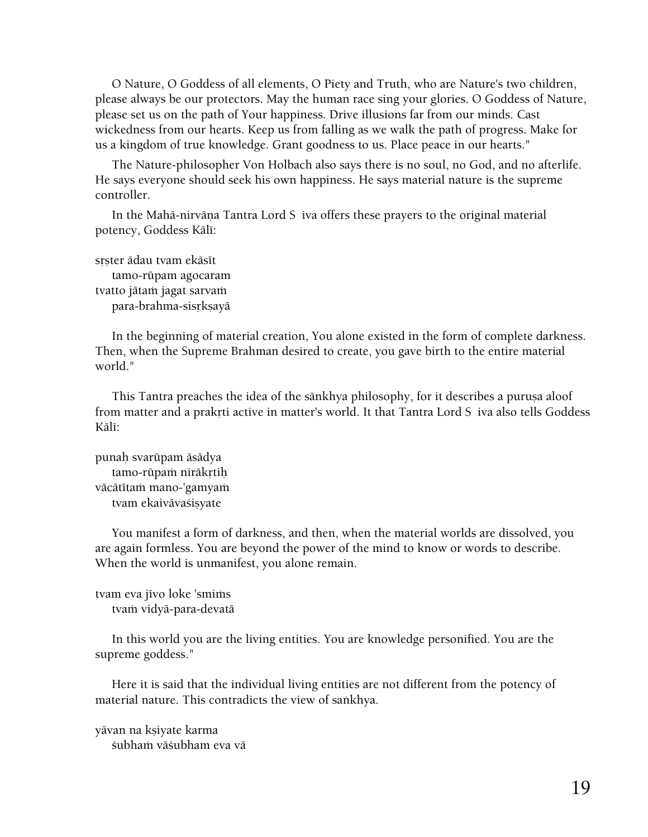O Nature, O Goddess of all elements, O Piety and Truth, who are Nature's two children, please always be our protectors. May the human race sing your glories. O Goddess of Nature, please set us on the path of Your happiness. Drive illusions far from our minds. Cast wickedness from our hearts. Keep us from falling as we walk the path of progress. Make for us a kingdom of true knowledge. Grant goodness to us. Place peace in our hearts."

 The Nature-philosopher Von Holbach also says there is no soul, no God, and no afterlife. He says everyone should seek his own happiness. He says material nature is the supreme controller.

In the Mahā-nirvāna Tantra Lord S iva offers these prayers to the original material potency, Goddess Kālī:

srster ädau tvam ekäsīt tamo-rüpam agocaram tvatto jātam jagat sarvam para-brahma-sisrkṣayā

 In the beginning of material creation, You alone existed in the form of complete darkness. Then, when the Supreme Brahman desired to create, you gave birth to the entire material world."

 This Tantra preaches the idea of the sänkhya philosophy, for it describes a puruña aloof from matter and a prakrti active in matter's world. It that Tantra Lord Siva also tells Goddess Kälī:

punaù svarüpam äsädya tamo-rūpaṁ nirākrtih vācātītam mano-'gamyam tvam ekaivāvaśisyate

 You manifest a form of darkness, and then, when the material worlds are dissolved, you are again formless. You are beyond the power of the mind to know or words to describe. When the world is unmanifest, you alone remain.

tvam eva jīvo loke 'smims tvam vidyā-para-devatā

 In this world you are the living entities. You are knowledge personified. You are the supreme goddess."

 Here it is said that the individual living entities are not different from the potency of material nature. This contradicts the view of sankhya.

yāvan na kṣiyate karma śubham vāśubham eva vā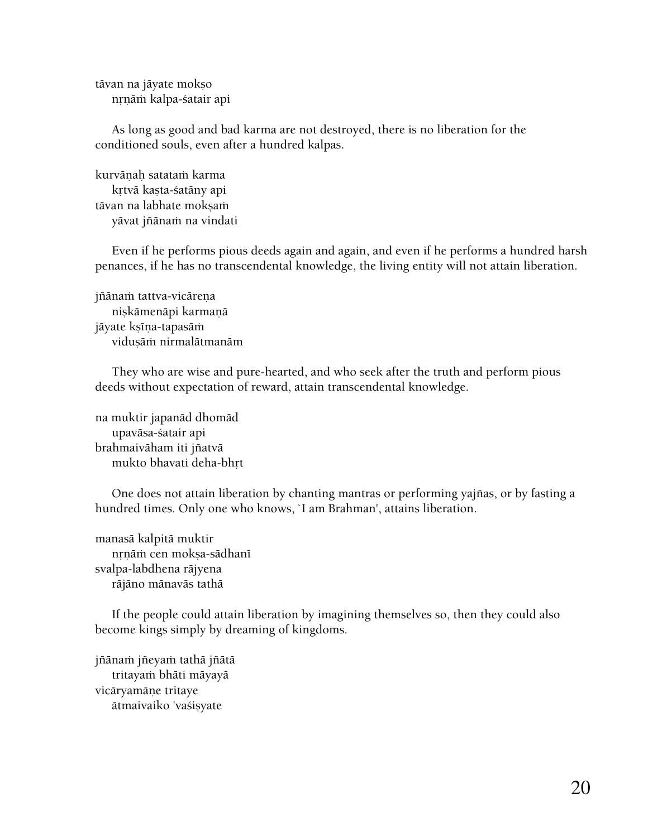tāvan na jāyate mokṣo nrnām kalpa-śatair api

 As long as good and bad karma are not destroyed, there is no liberation for the conditioned souls, even after a hundred kalpas.

kurvānah satataṁ karma krtvā kasta-śatāny api tāvan na labhate moksaṁ yāvat jñānam na vindati

 Even if he performs pious deeds again and again, and even if he performs a hundred harsh penances, if he has no transcendental knowledge, the living entity will not attain liberation.

jñānam tattva-vicāreņa niṣkāmenāpi karmaṇā jäyate kṣīṇa-tapasāṁ viduṣāṁ nirmalātmanām

 They who are wise and pure-hearted, and who seek after the truth and perform pious deeds without expectation of reward, attain transcendental knowledge.

na muktir japanäd dhomäd upaväsa-çatair api brahmaivāham iti jñatvā mukto bhavati deha-bhrt

One does not attain liberation by chanting mantras or performing yajñas, or by fasting a hundred times. Only one who knows, `I am Brahman', attains liberation.

manasä kalpitä muktir nrnām cen mokṣa-sādhanī svalpa-labdhena räjyena räjäno mänaväs tathä

 If the people could attain liberation by imagining themselves so, then they could also become kings simply by dreaming of kingdoms.

jñānaṁ jñeyaṁ tathā jñātā tritayam bhāti māyayā vicāryamāņe tritaye ātmaivaiko 'vaśisyate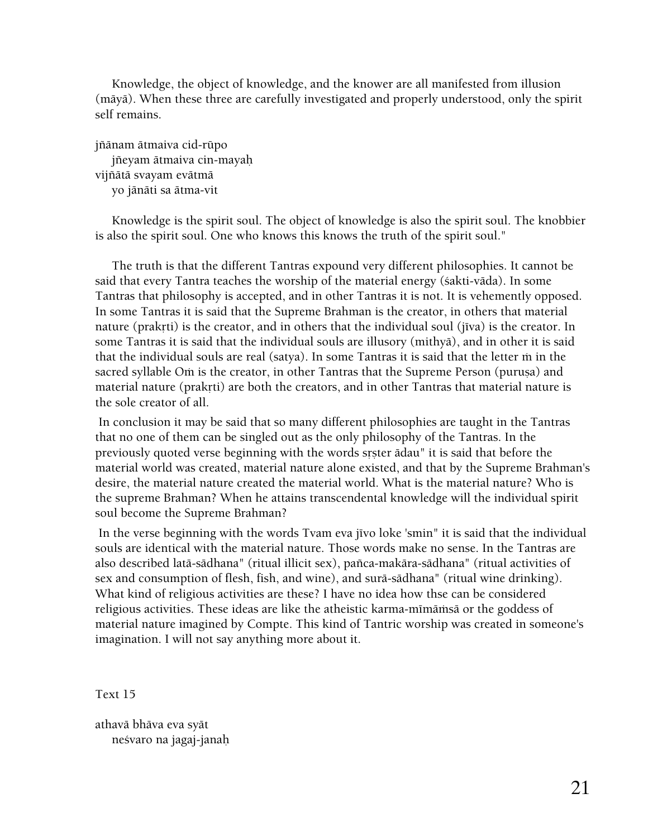Knowledge, the object of knowledge, and the knower are all manifested from illusion (mäyä). When these three are carefully investigated and properly understood, only the spirit self remains.

jïänam ätmaiva cid-rüpo jïeyam ätmaiva cin-mayaù vijïätä svayam evätmä yo jänäti sa ätma-vit

 Knowledge is the spirit soul. The object of knowledge is also the spirit soul. The knobbier is also the spirit soul. One who knows this knows the truth of the spirit soul."

 The truth is that the different Tantras expound very different philosophies. It cannot be said that every Tantra teaches the worship of the material energy (çakti-väda). In some Tantras that philosophy is accepted, and in other Tantras it is not. It is vehemently opposed. In some Tantras it is said that the Supreme Brahman is the creator, in others that material nature (prakrti) is the creator, and in others that the individual soul (jīva) is the creator. In some Tantras it is said that the individual souls are illusory (mithyä), and in other it is said that the individual souls are real (satya). In some Tantras it is said that the letter m in the sacred syllable Om is the creator, in other Tantras that the Supreme Person (purusa) and material nature (prakrti) are both the creators, and in other Tantras that material nature is the sole creator of all.

 In conclusion it may be said that so many different philosophies are taught in the Tantras that no one of them can be singled out as the only philosophy of the Tantras. In the previously quoted verse beginning with the words srster ādau" it is said that before the material world was created, material nature alone existed, and that by the Supreme Brahman's desire, the material nature created the material world. What is the material nature? Who is the supreme Brahman? When he attains transcendental knowledge will the individual spirit soul become the Supreme Brahman?

In the verse beginning with the words Tvam eva jīvo loke 'smin" it is said that the individual souls are identical with the material nature. Those words make no sense. In the Tantras are also described latä-sädhana" (ritual illicit sex), païca-makära-sädhana" (ritual activities of sex and consumption of flesh, fish, and wine), and surä-sädhana" (ritual wine drinking). What kind of religious activities are these? I have no idea how thse can be considered religious activities. These ideas are like the atheistic karma-mīmāmsā or the goddess of material nature imagined by Compte. This kind of Tantric worship was created in someone's imagination. I will not say anything more about it.

Text 15

athavä bhäva eva syät neçvaro na jagaj-janaù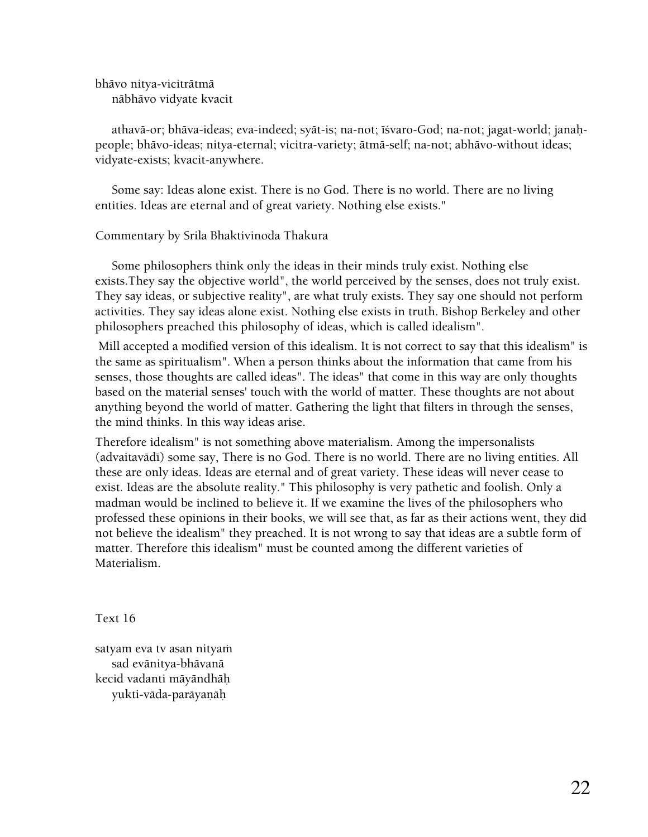bhävo nitya-viciträtmä näbhävo vidyate kvacit

athavā-or; bhāva-ideas; eva-indeed; syāt-is; na-not; īśvaro-God; na-not; jagat-world; janahpeople; bhävo-ideas; nitya-eternal; vicitra-variety; ätmä-self; na-not; abhävo-without ideas; vidyate-exists; kvacit-anywhere.

 Some say: Ideas alone exist. There is no God. There is no world. There are no living entities. Ideas are eternal and of great variety. Nothing else exists."

## Commentary by Srila Bhaktivinoda Thakura

 Some philosophers think only the ideas in their minds truly exist. Nothing else exists.They say the objective world", the world perceived by the senses, does not truly exist. They say ideas, or subjective reality", are what truly exists. They say one should not perform activities. They say ideas alone exist. Nothing else exists in truth. Bishop Berkeley and other philosophers preached this philosophy of ideas, which is called idealism".

 Mill accepted a modified version of this idealism. It is not correct to say that this idealism" is the same as spiritualism". When a person thinks about the information that came from his senses, those thoughts are called ideas". The ideas" that come in this way are only thoughts based on the material senses' touch with the world of matter. These thoughts are not about anything beyond the world of matter. Gathering the light that filters in through the senses, the mind thinks. In this way ideas arise.

Therefore idealism" is not something above materialism. Among the impersonalists (advaitavādī) some say, There is no God. There is no world. There are no living entities. All these are only ideas. Ideas are eternal and of great variety. These ideas will never cease to exist. Ideas are the absolute reality." This philosophy is very pathetic and foolish. Only a madman would be inclined to believe it. If we examine the lives of the philosophers who professed these opinions in their books, we will see that, as far as their actions went, they did not believe the idealism" they preached. It is not wrong to say that ideas are a subtle form of matter. Therefore this idealism" must be counted among the different varieties of Materialism.

Text 16

satyam eva tv asan nityam sad evänitya-bhävanä kecid vadanti mäyändhäù yukti-vāda-parāyaņāh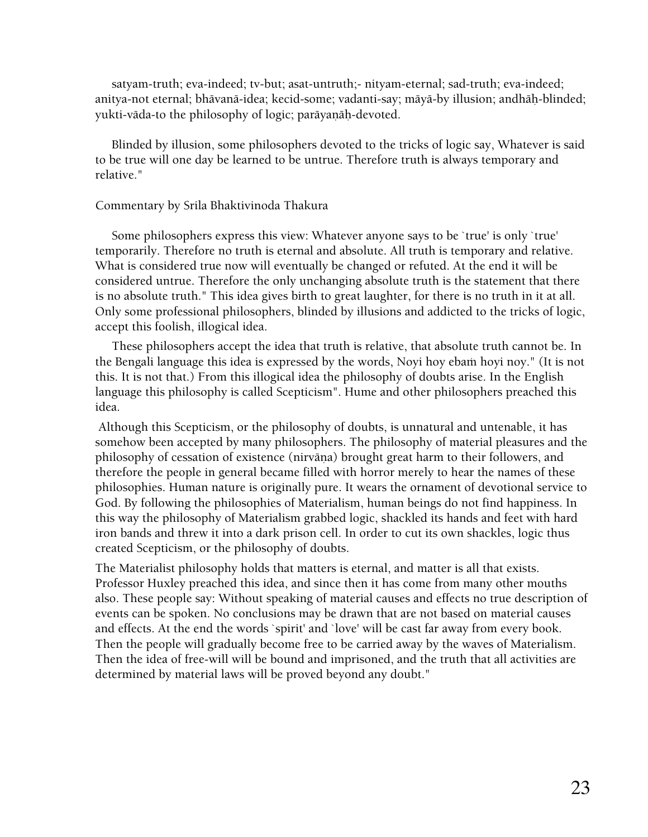satyam-truth; eva-indeed; tv-but; asat-untruth;- nityam-eternal; sad-truth; eva-indeed; anitya-not eternal; bhävanä-idea; kecid-some; vadanti-say; mäyä-by illusion; andhäù-blinded; yukti-vāda-to the philosophy of logic; parāyanāh-devoted.

 Blinded by illusion, some philosophers devoted to the tricks of logic say, Whatever is said to be true will one day be learned to be untrue. Therefore truth is always temporary and relative."

#### Commentary by Srila Bhaktivinoda Thakura

 Some philosophers express this view: Whatever anyone says to be `true' is only `true' temporarily. Therefore no truth is eternal and absolute. All truth is temporary and relative. What is considered true now will eventually be changed or refuted. At the end it will be considered untrue. Therefore the only unchanging absolute truth is the statement that there is no absolute truth." This idea gives birth to great laughter, for there is no truth in it at all. Only some professional philosophers, blinded by illusions and addicted to the tricks of logic, accept this foolish, illogical idea.

 These philosophers accept the idea that truth is relative, that absolute truth cannot be. In the Bengali language this idea is expressed by the words, Noyi hoy ebam hoyi noy." (It is not this. It is not that.) From this illogical idea the philosophy of doubts arise. In the English language this philosophy is called Scepticism". Hume and other philosophers preached this idea.

 Although this Scepticism, or the philosophy of doubts, is unnatural and untenable, it has somehow been accepted by many philosophers. The philosophy of material pleasures and the philosophy of cessation of existence (nirvāna) brought great harm to their followers, and therefore the people in general became filled with horror merely to hear the names of these philosophies. Human nature is originally pure. It wears the ornament of devotional service to God. By following the philosophies of Materialism, human beings do not find happiness. In this way the philosophy of Materialism grabbed logic, shackled its hands and feet with hard iron bands and threw it into a dark prison cell. In order to cut its own shackles, logic thus created Scepticism, or the philosophy of doubts.

The Materialist philosophy holds that matters is eternal, and matter is all that exists. Professor Huxley preached this idea, and since then it has come from many other mouths also. These people say: Without speaking of material causes and effects no true description of events can be spoken. No conclusions may be drawn that are not based on material causes and effects. At the end the words `spirit' and `love' will be cast far away from every book. Then the people will gradually become free to be carried away by the waves of Materialism. Then the idea of free-will will be bound and imprisoned, and the truth that all activities are determined by material laws will be proved beyond any doubt."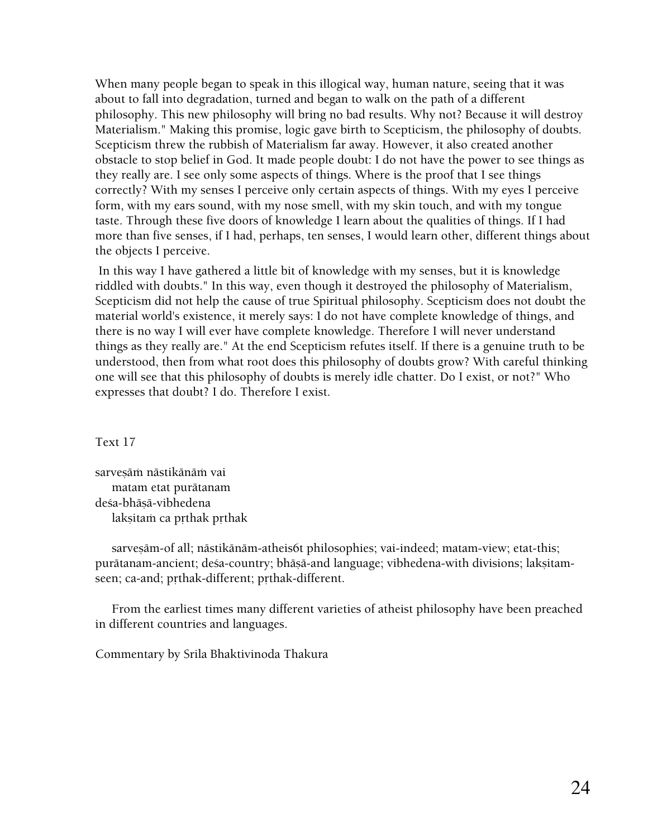When many people began to speak in this illogical way, human nature, seeing that it was about to fall into degradation, turned and began to walk on the path of a different philosophy. This new philosophy will bring no bad results. Why not? Because it will destroy Materialism." Making this promise, logic gave birth to Scepticism, the philosophy of doubts. Scepticism threw the rubbish of Materialism far away. However, it also created another obstacle to stop belief in God. It made people doubt: I do not have the power to see things as they really are. I see only some aspects of things. Where is the proof that I see things correctly? With my senses I perceive only certain aspects of things. With my eyes I perceive form, with my ears sound, with my nose smell, with my skin touch, and with my tongue taste. Through these five doors of knowledge I learn about the qualities of things. If I had more than five senses, if I had, perhaps, ten senses, I would learn other, different things about the objects I perceive.

 In this way I have gathered a little bit of knowledge with my senses, but it is knowledge riddled with doubts." In this way, even though it destroyed the philosophy of Materialism, Scepticism did not help the cause of true Spiritual philosophy. Scepticism does not doubt the material world's existence, it merely says: I do not have complete knowledge of things, and there is no way I will ever have complete knowledge. Therefore I will never understand things as they really are." At the end Scepticism refutes itself. If there is a genuine truth to be understood, then from what root does this philosophy of doubts grow? With careful thinking one will see that this philosophy of doubts is merely idle chatter. Do I exist, or not?" Who expresses that doubt? I do. Therefore I exist.

# Text 17

sarvesām nāstikānām vai matam etat purätanam deśa-bhāsā-vibhedena laksitam ca prthak prthak

sarvesām-of all; nāstikānām-atheis6t philosophies; vai-indeed; matam-view; etat-this; purātanam-ancient; deśa-country; bhāṣā-and language; vibhedena-with divisions; lakṣitamseen; ca-and; prthak-different; prthak-different.

 From the earliest times many different varieties of atheist philosophy have been preached in different countries and languages.

Commentary by Srila Bhaktivinoda Thakura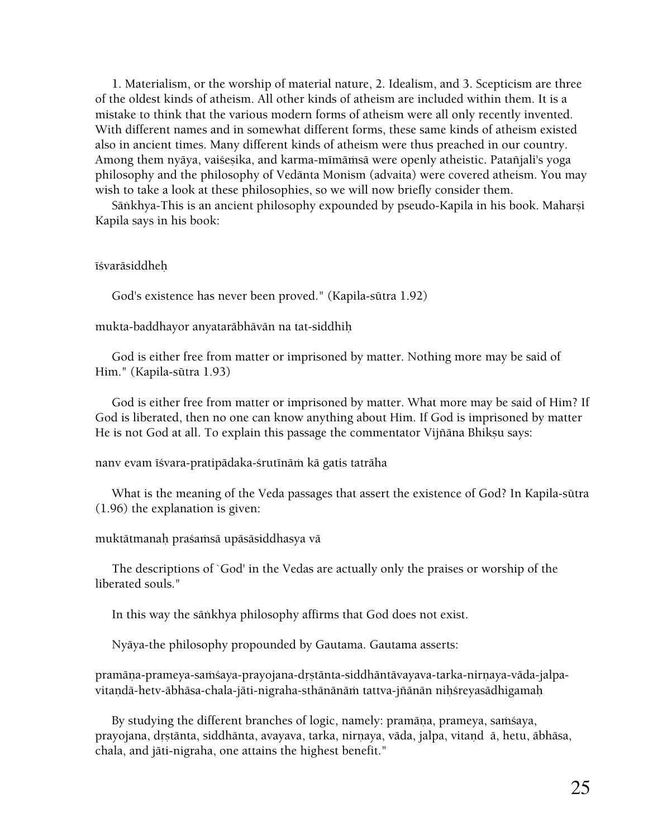1. Materialism, or the worship of material nature, 2. Idealism, and 3. Scepticism are three of the oldest kinds of atheism. All other kinds of atheism are included within them. It is a mistake to think that the various modern forms of atheism were all only recently invented. With different names and in somewhat different forms, these same kinds of atheism existed also in ancient times. Many different kinds of atheism were thus preached in our country. Among them nyāya, vaiśesika, and karma-mīmāmsā were openly atheistic. Patañjali's yoga philosophy and the philosophy of Vedänta Monism (advaita) were covered atheism. You may wish to take a look at these philosophies, so we will now briefly consider them.

Sāṅkhya-This is an ancient philosophy expounded by pseudo-Kapila in his book. Maharṣi Kapila says in his book:

#### īśvarāsiddheh

God's existence has never been proved." (Kapila-sütra 1.92)

mukta-baddhayor anyataräbhävän na tat-siddhiù

 God is either free from matter or imprisoned by matter. Nothing more may be said of Him." (Kapila-sütra 1.93)

 God is either free from matter or imprisoned by matter. What more may be said of Him? If God is liberated, then no one can know anything about Him. If God is imprisoned by matter He is not God at all. To explain this passage the commentator Vijñāna Bhikṣu says:

nanv evam īśvara-pratipādaka-śrutīnāṁ kā gatis tatrāha

 What is the meaning of the Veda passages that assert the existence of God? In Kapila-sütra (1.96) the explanation is given:

muktātmanaḥ praśaṁsā upāsāsiddhasya vā

 The descriptions of `God' in the Vedas are actually only the praises or worship of the liberated souls."

In this way the säìkhya philosophy affirms that God does not exist.

Nyäya-the philosophy propounded by Gautama. Gautama asserts:

pramāṇa-prameya-saṁśaya-prayojana-dṛṣtānta-siddhāntāvayava-tarka-nirṇaya-vāda-jalpavitaṇdā-hetv-ābhāsa-chala-jāti-nigraha-sthānānāṁ tattva-jñānān niḥśreyasādhigamaḥ

By studying the different branches of logic, namely: pramāņa, prameya, saṁsaya, prayojana, drstānta, siddhānta, avayava, tarka, nirnaya, vāda, jalpa, vitand ā, hetu, ābhāsa, chala, and jäti-nigraha, one attains the highest benefit."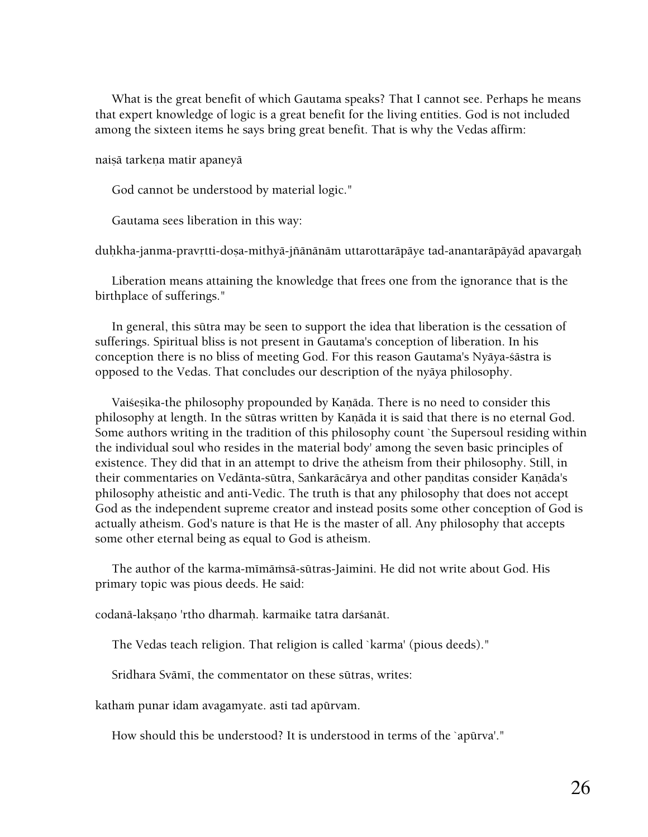What is the great benefit of which Gautama speaks? That I cannot see. Perhaps he means that expert knowledge of logic is a great benefit for the living entities. God is not included among the sixteen items he says bring great benefit. That is why the Vedas affirm:

naiṣā tarkeṇa matir apaneyā

God cannot be understood by material logic."

Gautama sees liberation in this way:

duhkha-janma-pravrtti-dosa-mithyā-jñānānām uttarottarāpāye tad-anantarāpāyād apavargah

 Liberation means attaining the knowledge that frees one from the ignorance that is the birthplace of sufferings."

 In general, this sütra may be seen to support the idea that liberation is the cessation of sufferings. Spiritual bliss is not present in Gautama's conception of liberation. In his conception there is no bliss of meeting God. For this reason Gautama's Nyäya-çästra is opposed to the Vedas. That concludes our description of the nyäya philosophy.

Vaiśesika-the philosophy propounded by Kanāda. There is no need to consider this philosophy at length. In the sūtras written by Kaṇāda it is said that there is no eternal God. Some authors writing in the tradition of this philosophy count `the Supersoul residing within the individual soul who resides in the material body' among the seven basic principles of existence. They did that in an attempt to drive the atheism from their philosophy. Still, in their commentaries on Vedānta-sūtra, Saṅkarācārya and other panditas consider Kaṇāda's philosophy atheistic and anti-Vedic. The truth is that any philosophy that does not accept God as the independent supreme creator and instead posits some other conception of God is actually atheism. God's nature is that He is the master of all. Any philosophy that accepts some other eternal being as equal to God is atheism.

The author of the karma-mīmāmsā-sūtras-Jaimini. He did not write about God. His primary topic was pious deeds. He said:

codanā-lakṣaṇo 'rtho dharmaḥ. karmaike tatra darśanāt.

The Vedas teach religion. That religion is called `karma' (pious deeds)."

Sridhara Svāmī, the commentator on these sūtras, writes:

katham punar idam avagamyate. asti tad apūrvam.

How should this be understood? It is understood in terms of the `apürva'."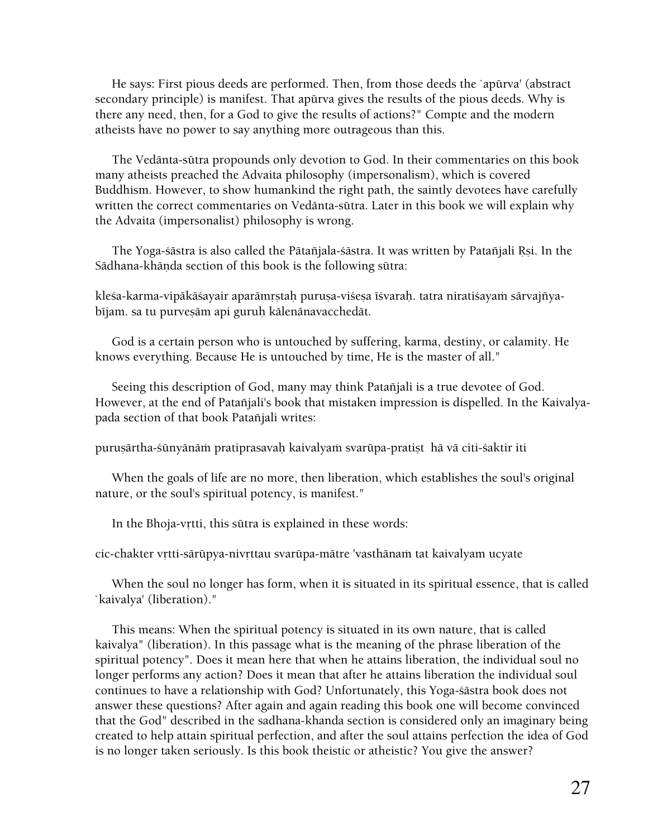He says: First pious deeds are performed. Then, from those deeds the `apürva' (abstract secondary principle) is manifest. That apürva gives the results of the pious deeds. Why is there any need, then, for a God to give the results of actions?" Compte and the modern atheists have no power to say anything more outrageous than this.

 The Vedänta-sütra propounds only devotion to God. In their commentaries on this book many atheists preached the Advaita philosophy (impersonalism), which is covered Buddhism. However, to show humankind the right path, the saintly devotees have carefully written the correct commentaries on Vedänta-sütra. Later in this book we will explain why the Advaita (impersonalist) philosophy is wrong.

The Yoga-śāstra is also called the Pātañjala-śāstra. It was written by Patañjali Rsi. In the Sādhana-khāṇda section of this book is the following sūtra:

kleśa-karma-vipākāśayair aparāmrṣtaḥ puruṣa-viśeṣa īśvaraḥ. tatra niratiśayaṁ sārvajñyabījam. sa tu purvesām api guruh kālenānavacchedāt.

 God is a certain person who is untouched by suffering, karma, destiny, or calamity. He knows everything. Because He is untouched by time, He is the master of all."

Seeing this description of God, many may think Patañjali is a true devotee of God. However, at the end of Patañjali's book that mistaken impression is dispelled. In the Kaivalyapada section of that book Patañjali writes:

purusārtha-śūnyānāṁ pratiprasavah kaivalyaṁ svarūpa-pratist hā vā citi-śaktir iti

 When the goals of life are no more, then liberation, which establishes the soul's original nature, or the soul's spiritual potency, is manifest."

In the Bhoja-vrtti, this sūtra is explained in these words:

cic-chakter vrtti-särüpya-nivrttau svarüpa-mätre 'vasthänam tat kaivalyam ucyate

 When the soul no longer has form, when it is situated in its spiritual essence, that is called `kaivalya' (liberation)."

 This means: When the spiritual potency is situated in its own nature, that is called kaivalya" (liberation). In this passage what is the meaning of the phrase liberation of the spiritual potency". Does it mean here that when he attains liberation, the individual soul no longer performs any action? Does it mean that after he attains liberation the individual soul continues to have a relationship with God? Unfortunately, this Yoga-çästra book does not answer these questions? After again and again reading this book one will become convinced that the God" described in the sadhana-khanda section is considered only an imaginary being created to help attain spiritual perfection, and after the soul attains perfection the idea of God is no longer taken seriously. Is this book theistic or atheistic? You give the answer?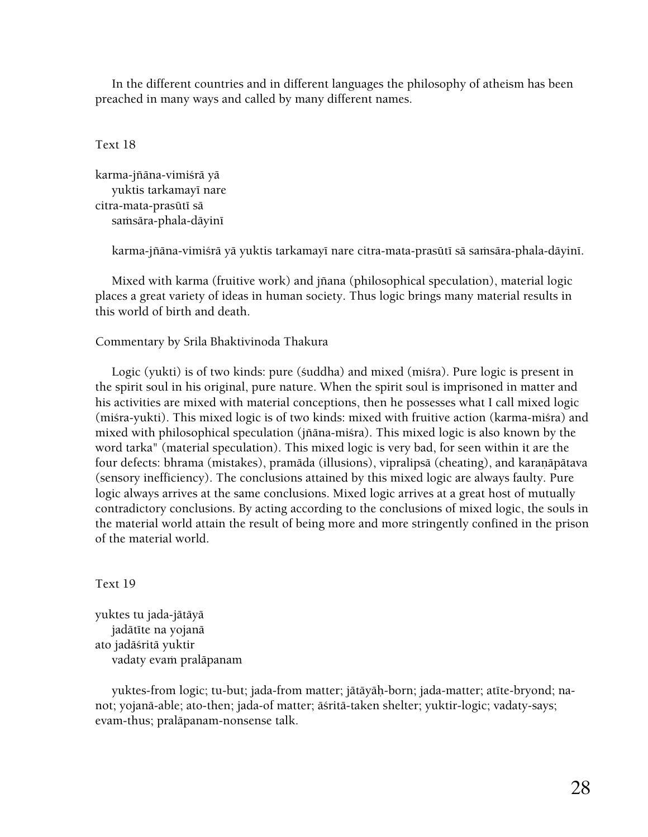In the different countries and in different languages the philosophy of atheism has been preached in many ways and called by many different names.

## Text 18

karma-jïäna-vimiçrä yä yuktis tarkamayī nare citra-mata-prasūtī sā samsāra-phala-dāyinī

karma-jñāna-vimiśrā yā yuktis tarkamayī nare citra-mata-prasūtī sā saṁsāra-phala-dāyinī.

 Mixed with karma (fruitive work) and jïana (philosophical speculation), material logic places a great variety of ideas in human society. Thus logic brings many material results in this world of birth and death.

# Commentary by Srila Bhaktivinoda Thakura

Logic (yukti) is of two kinds: pure (suddha) and mixed (misra). Pure logic is present in the spirit soul in his original, pure nature. When the spirit soul is imprisoned in matter and his activities are mixed with material conceptions, then he possesses what I call mixed logic (misra-yukti). This mixed logic is of two kinds: mixed with fruitive action (karma-misra) and mixed with philosophical speculation (jïäna-miçra). This mixed logic is also known by the word tarka" (material speculation). This mixed logic is very bad, for seen within it are the four defects: bhrama (mistakes), pramāda (illusions), vipralipsā (cheating), and karaņāpātava (sensory inefficiency). The conclusions attained by this mixed logic are always faulty. Pure logic always arrives at the same conclusions. Mixed logic arrives at a great host of mutually contradictory conclusions. By acting according to the conclusions of mixed logic, the souls in the material world attain the result of being more and more stringently confined in the prison of the material world.

#### Text 19

yuktes tu jada-jätäyä jadātīte na yojanā ato jadäçritä yuktir vadaty evam pralāpanam

yuktes-from logic; tu-but; jada-from matter; jātāyāh-born; jada-matter; atīte-bryond; nanot; yojanä-able; ato-then; jada-of matter; äçritä-taken shelter; yuktir-logic; vadaty-says; evam-thus; praläpanam-nonsense talk.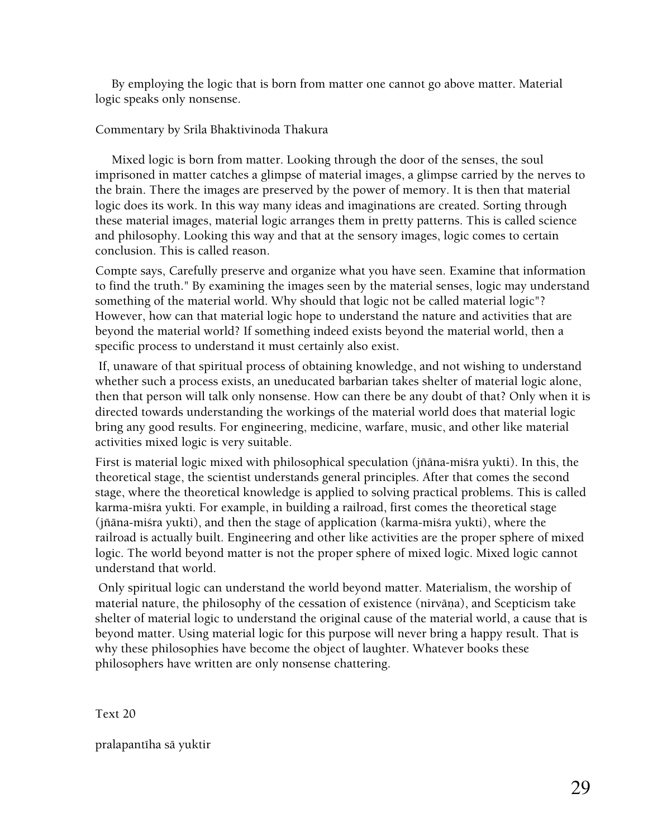By employing the logic that is born from matter one cannot go above matter. Material logic speaks only nonsense.

## Commentary by Srila Bhaktivinoda Thakura

 Mixed logic is born from matter. Looking through the door of the senses, the soul imprisoned in matter catches a glimpse of material images, a glimpse carried by the nerves to the brain. There the images are preserved by the power of memory. It is then that material logic does its work. In this way many ideas and imaginations are created. Sorting through these material images, material logic arranges them in pretty patterns. This is called science and philosophy. Looking this way and that at the sensory images, logic comes to certain conclusion. This is called reason.

Compte says, Carefully preserve and organize what you have seen. Examine that information to find the truth." By examining the images seen by the material senses, logic may understand something of the material world. Why should that logic not be called material logic"? However, how can that material logic hope to understand the nature and activities that are beyond the material world? If something indeed exists beyond the material world, then a specific process to understand it must certainly also exist.

 If, unaware of that spiritual process of obtaining knowledge, and not wishing to understand whether such a process exists, an uneducated barbarian takes shelter of material logic alone, then that person will talk only nonsense. How can there be any doubt of that? Only when it is directed towards understanding the workings of the material world does that material logic bring any good results. For engineering, medicine, warfare, music, and other like material activities mixed logic is very suitable.

First is material logic mixed with philosophical speculation (jñāna-miśra yukti). In this, the theoretical stage, the scientist understands general principles. After that comes the second stage, where the theoretical knowledge is applied to solving practical problems. This is called karma-miśra yukti. For example, in building a railroad, first comes the theoretical stage (jñāna-miśra yukti), and then the stage of application (karma-miśra yukti), where the railroad is actually built. Engineering and other like activities are the proper sphere of mixed logic. The world beyond matter is not the proper sphere of mixed logic. Mixed logic cannot understand that world.

 Only spiritual logic can understand the world beyond matter. Materialism, the worship of material nature, the philosophy of the cessation of existence (nirvāna), and Scepticism take shelter of material logic to understand the original cause of the material world, a cause that is beyond matter. Using material logic for this purpose will never bring a happy result. That is why these philosophies have become the object of laughter. Whatever books these philosophers have written are only nonsense chattering.

Text 20

pralapantīha sā yuktir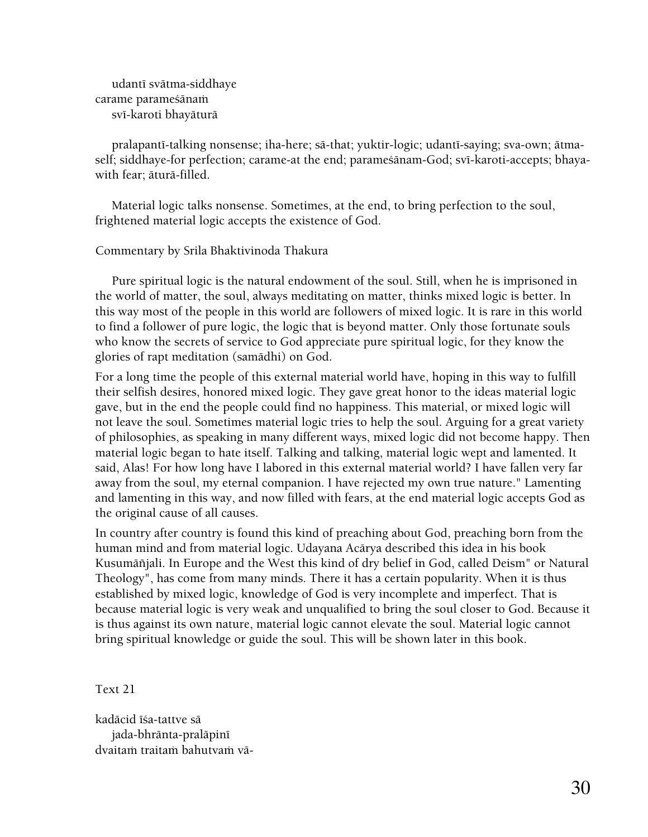udantī svātma-siddhaye carame parameśānam svī-karoti bhayāturā

pralapantī-talking nonsense; iha-here; sā-that; yuktir-logic; udantī-saying; sva-own; ātmaself; siddhaye-for perfection; carame-at the end; parames̃ānam-God; svī-karoti-accepts; bhayawith fear; äturä-filled.

 Material logic talks nonsense. Sometimes, at the end, to bring perfection to the soul, frightened material logic accepts the existence of God.

#### Commentary by Srila Bhaktivinoda Thakura

 Pure spiritual logic is the natural endowment of the soul. Still, when he is imprisoned in the world of matter, the soul, always meditating on matter, thinks mixed logic is better. In this way most of the people in this world are followers of mixed logic. It is rare in this world to find a follower of pure logic, the logic that is beyond matter. Only those fortunate souls who know the secrets of service to God appreciate pure spiritual logic, for they know the glories of rapt meditation (samädhi) on God.

For a long time the people of this external material world have, hoping in this way to fulfill their selfish desires, honored mixed logic. They gave great honor to the ideas material logic gave, but in the end the people could find no happiness. This material, or mixed logic will not leave the soul. Sometimes material logic tries to help the soul. Arguing for a great variety of philosophies, as speaking in many different ways, mixed logic did not become happy. Then material logic began to hate itself. Talking and talking, material logic wept and lamented. It said, Alas! For how long have I labored in this external material world? I have fallen very far away from the soul, my eternal companion. I have rejected my own true nature." Lamenting and lamenting in this way, and now filled with fears, at the end material logic accepts God as the original cause of all causes.

In country after country is found this kind of preaching about God, preaching born from the human mind and from material logic. Udayana Acärya described this idea in his book Kusumāñjali. In Europe and the West this kind of dry belief in God, called Deism" or Natural Theology", has come from many minds. There it has a certain popularity. When it is thus established by mixed logic, knowledge of God is very incomplete and imperfect. That is because material logic is very weak and unqualified to bring the soul closer to God. Because it is thus against its own nature, material logic cannot elevate the soul. Material logic cannot bring spiritual knowledge or guide the soul. This will be shown later in this book.

Text 21

kadācid īśa-tattve sā jada-bhrānta-pralāpinī dvaitam traitam bahutvam vā-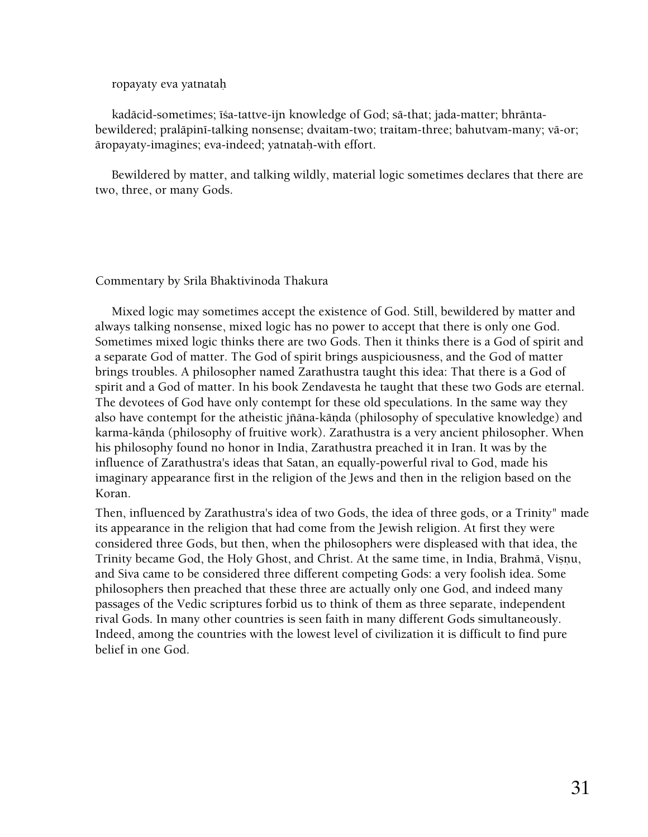#### ropayaty eva yatnataù

 kadäcid-sometimes; éça-tattve-ijn knowledge of God; sä-that; jada-matter; bhräntabewildered; pralāpinī-talking nonsense; dvaitam-two; traitam-three; bahutvam-many; vā-or; äropayaty-imagines; eva-indeed; yatnataù-with effort.

 Bewildered by matter, and talking wildly, material logic sometimes declares that there are two, three, or many Gods.

#### Commentary by Srila Bhaktivinoda Thakura

 Mixed logic may sometimes accept the existence of God. Still, bewildered by matter and always talking nonsense, mixed logic has no power to accept that there is only one God. Sometimes mixed logic thinks there are two Gods. Then it thinks there is a God of spirit and a separate God of matter. The God of spirit brings auspiciousness, and the God of matter brings troubles. A philosopher named Zarathustra taught this idea: That there is a God of spirit and a God of matter. In his book Zendavesta he taught that these two Gods are eternal. The devotees of God have only contempt for these old speculations. In the same way they also have contempt for the atheistic jñāna-kāṇda (philosophy of speculative knowledge) and karma-kānda (philosophy of fruitive work). Zarathustra is a very ancient philosopher. When his philosophy found no honor in India, Zarathustra preached it in Iran. It was by the influence of Zarathustra's ideas that Satan, an equally-powerful rival to God, made his imaginary appearance first in the religion of the Jews and then in the religion based on the Koran.

Then, influenced by Zarathustra's idea of two Gods, the idea of three gods, or a Trinity" made its appearance in the religion that had come from the Jewish religion. At first they were considered three Gods, but then, when the philosophers were displeased with that idea, the Trinity became God, the Holy Ghost, and Christ. At the same time, in India, Brahmā, Visnu, and Siva came to be considered three different competing Gods: a very foolish idea. Some philosophers then preached that these three are actually only one God, and indeed many passages of the Vedic scriptures forbid us to think of them as three separate, independent rival Gods. In many other countries is seen faith in many different Gods simultaneously. Indeed, among the countries with the lowest level of civilization it is difficult to find pure belief in one God.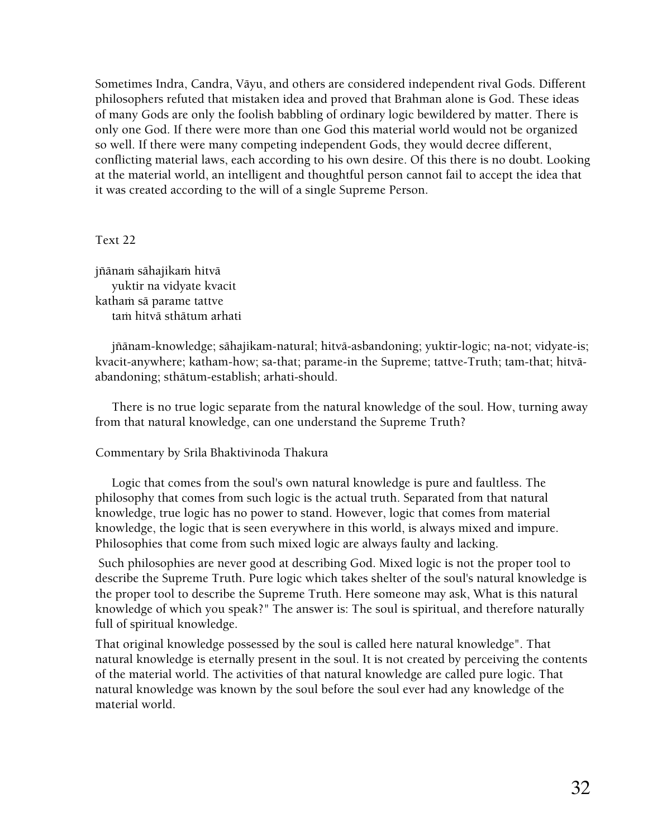Sometimes Indra, Candra, Väyu, and others are considered independent rival Gods. Different philosophers refuted that mistaken idea and proved that Brahman alone is God. These ideas of many Gods are only the foolish babbling of ordinary logic bewildered by matter. There is only one God. If there were more than one God this material world would not be organized so well. If there were many competing independent Gods, they would decree different, conflicting material laws, each according to his own desire. Of this there is no doubt. Looking at the material world, an intelligent and thoughtful person cannot fail to accept the idea that it was created according to the will of a single Supreme Person.

#### Text 22

jñānam sāhajikam hitvā yuktir na vidyate kvacit katham sā parame tattve tam hitvā sthātum arhati

 jïänam-knowledge; sähajikam-natural; hitvä-asbandoning; yuktir-logic; na-not; vidyate-is; kvacit-anywhere; katham-how; sa-that; parame-in the Supreme; tattve-Truth; tam-that; hitväabandoning; sthätum-establish; arhati-should.

 There is no true logic separate from the natural knowledge of the soul. How, turning away from that natural knowledge, can one understand the Supreme Truth?

# Commentary by Srila Bhaktivinoda Thakura

 Logic that comes from the soul's own natural knowledge is pure and faultless. The philosophy that comes from such logic is the actual truth. Separated from that natural knowledge, true logic has no power to stand. However, logic that comes from material knowledge, the logic that is seen everywhere in this world, is always mixed and impure. Philosophies that come from such mixed logic are always faulty and lacking.

 Such philosophies are never good at describing God. Mixed logic is not the proper tool to describe the Supreme Truth. Pure logic which takes shelter of the soul's natural knowledge is the proper tool to describe the Supreme Truth. Here someone may ask, What is this natural knowledge of which you speak?" The answer is: The soul is spiritual, and therefore naturally full of spiritual knowledge.

That original knowledge possessed by the soul is called here natural knowledge". That natural knowledge is eternally present in the soul. It is not created by perceiving the contents of the material world. The activities of that natural knowledge are called pure logic. That natural knowledge was known by the soul before the soul ever had any knowledge of the material world.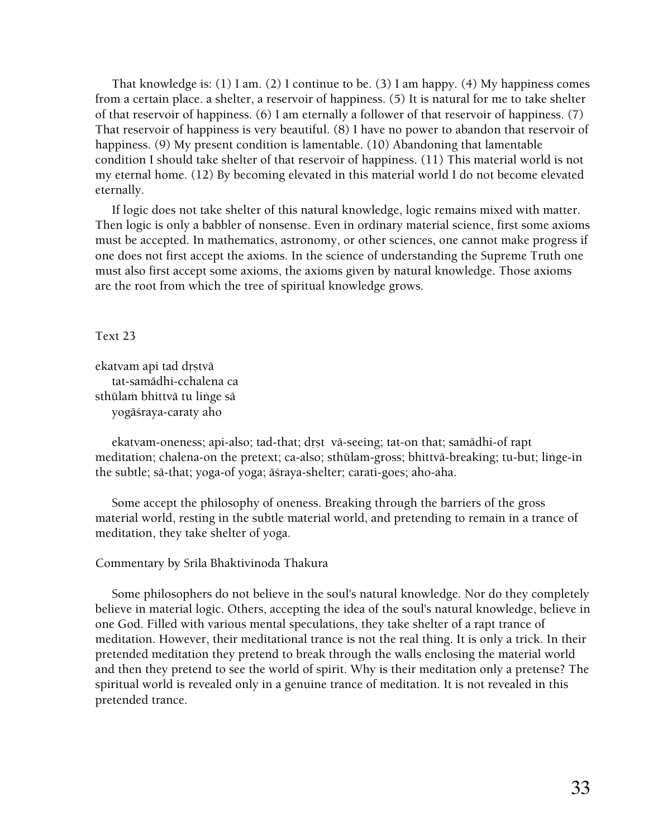That knowledge is: (1) I am. (2) I continue to be. (3) I am happy. (4) My happiness comes from a certain place. a shelter, a reservoir of happiness. (5) It is natural for me to take shelter of that reservoir of happiness. (6) I am eternally a follower of that reservoir of happiness. (7) That reservoir of happiness is very beautiful. (8) I have no power to abandon that reservoir of happiness. (9) My present condition is lamentable. (10) Abandoning that lamentable condition I should take shelter of that reservoir of happiness. (11) This material world is not my eternal home. (12) By becoming elevated in this material world I do not become elevated eternally.

 If logic does not take shelter of this natural knowledge, logic remains mixed with matter. Then logic is only a babbler of nonsense. Even in ordinary material science, first some axioms must be accepted. In mathematics, astronomy, or other sciences, one cannot make progress if one does not first accept the axioms. In the science of understanding the Supreme Truth one must also first accept some axioms, the axioms given by natural knowledge. Those axioms are the root from which the tree of spiritual knowledge grows.

Text 23

ekatvam api tad drstvā tat-samädhi-cchalena ca sthūlam bhittvā tu linge sā yogāśraya-caraty aho

ekatvam-oneness; api-also; tad-that; drst vā-seeing; tat-on that; samādhi-of rapt meditation; chalena-on the pretext; ca-also; sthülam-gross; bhittvä-breaking; tu-but; liìge-in the subtle; sä-that; yoga-of yoga; äçraya-shelter; carati-goes; aho-aha.

 Some accept the philosophy of oneness. Breaking through the barriers of the gross material world, resting in the subtle material world, and pretending to remain in a trance of meditation, they take shelter of yoga.

#### Commentary by Srila Bhaktivinoda Thakura

 Some philosophers do not believe in the soul's natural knowledge. Nor do they completely believe in material logic. Others, accepting the idea of the soul's natural knowledge, believe in one God. Filled with various mental speculations, they take shelter of a rapt trance of meditation. However, their meditational trance is not the real thing. It is only a trick. In their pretended meditation they pretend to break through the walls enclosing the material world and then they pretend to see the world of spirit. Why is their meditation only a pretense? The spiritual world is revealed only in a genuine trance of meditation. It is not revealed in this pretended trance.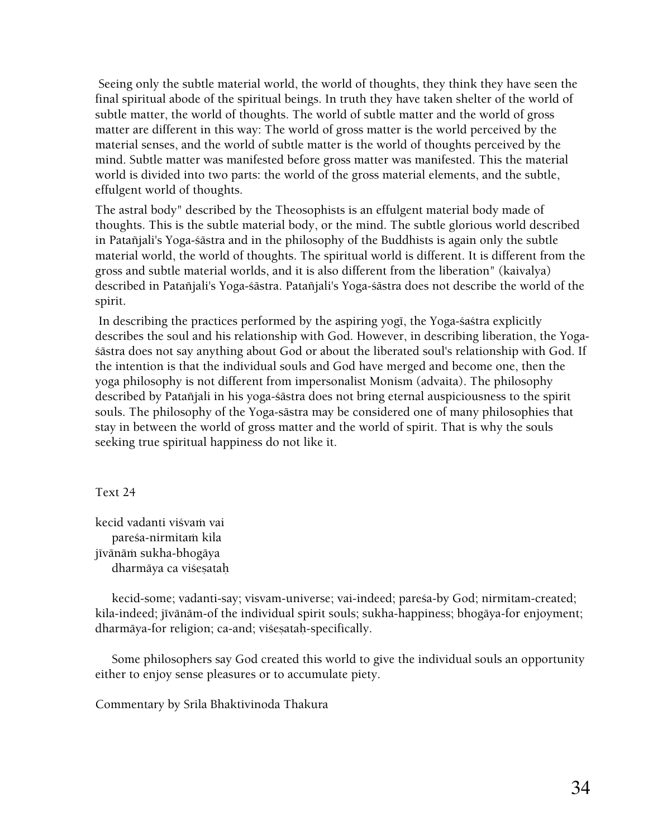Seeing only the subtle material world, the world of thoughts, they think they have seen the final spiritual abode of the spiritual beings. In truth they have taken shelter of the world of subtle matter, the world of thoughts. The world of subtle matter and the world of gross matter are different in this way: The world of gross matter is the world perceived by the material senses, and the world of subtle matter is the world of thoughts perceived by the mind. Subtle matter was manifested before gross matter was manifested. This the material world is divided into two parts: the world of the gross material elements, and the subtle, effulgent world of thoughts.

The astral body" described by the Theosophists is an effulgent material body made of thoughts. This is the subtle material body, or the mind. The subtle glorious world described in Pataïjali's Yoga-çästra and in the philosophy of the Buddhists is again only the subtle material world, the world of thoughts. The spiritual world is different. It is different from the gross and subtle material worlds, and it is also different from the liberation" (kaivalya) described in Pataïjali's Yoga-çästra. Pataïjali's Yoga-çästra does not describe the world of the spirit.

In describing the practices performed by the aspiring yogi, the Yoga-sastra explicitly describes the soul and his relationship with God. However, in describing liberation, the Yogaçästra does not say anything about God or about the liberated soul's relationship with God. If the intention is that the individual souls and God have merged and become one, then the yoga philosophy is not different from impersonalist Monism (advaita). The philosophy described by Patañjali in his yoga-śāstra does not bring eternal auspiciousness to the spirit souls. The philosophy of the Yoga-sästra may be considered one of many philosophies that stay in between the world of gross matter and the world of spirit. That is why the souls seeking true spiritual happiness do not like it.

Text 24

kecid vadanti viśvam vai pareśa-nirmitam kila jīvānām sukha-bhogāya dharmāya ca viśesatah

kecid-some; vadanti-say; visvam-universe; vai-indeed; pareśa-by God; nirmitam-created; kila-indeed; jīvānām-of the individual spirit souls; sukha-happiness; bhogāya-for enjoyment; dharmāya-for religion; ca-and; viśesatah-specifically.

 Some philosophers say God created this world to give the individual souls an opportunity either to enjoy sense pleasures or to accumulate piety.

Commentary by Srila Bhaktivinoda Thakura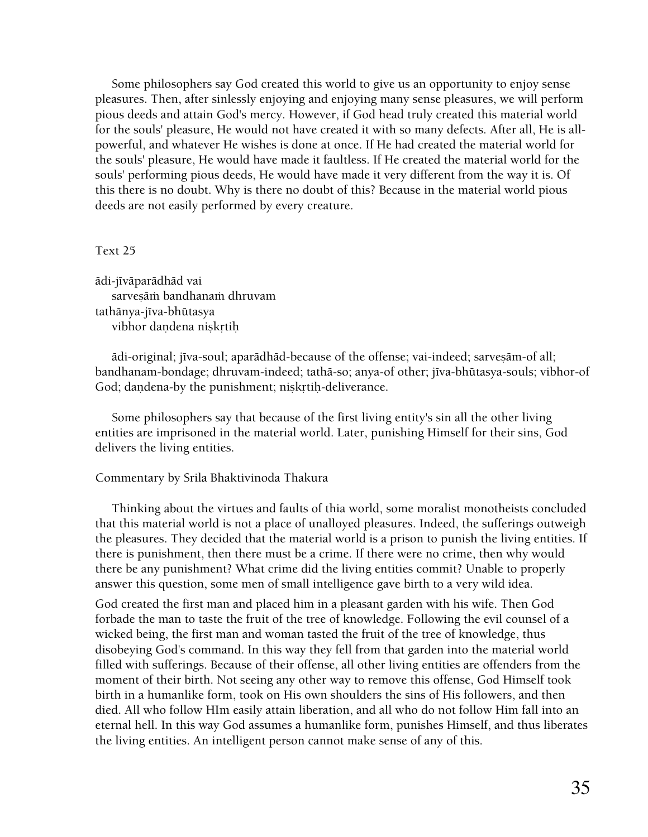Some philosophers say God created this world to give us an opportunity to enjoy sense pleasures. Then, after sinlessly enjoying and enjoying many sense pleasures, we will perform pious deeds and attain God's mercy. However, if God head truly created this material world for the souls' pleasure, He would not have created it with so many defects. After all, He is allpowerful, and whatever He wishes is done at once. If He had created the material world for the souls' pleasure, He would have made it faultless. If He created the material world for the souls' performing pious deeds, He would have made it very different from the way it is. Of this there is no doubt. Why is there no doubt of this? Because in the material world pious deeds are not easily performed by every creature.

#### Text 25

ādi-jīvāparādhād vai sarvesām bandhanam dhruvam tathānya-jīva-bhūtasya vibhor dandena niskrtih

ādi-original; jīva-soul; aparādhād-because of the offense; vai-indeed; sarvesām-of all; bandhanam-bondage; dhruvam-indeed; tathā-so; anya-of other; jīva-bhūtasya-souls; vibhor-of God; dandena-by the punishment; niskrtih-deliverance.

 Some philosophers say that because of the first living entity's sin all the other living entities are imprisoned in the material world. Later, punishing Himself for their sins, God delivers the living entities.

#### Commentary by Srila Bhaktivinoda Thakura

 Thinking about the virtues and faults of thia world, some moralist monotheists concluded that this material world is not a place of unalloyed pleasures. Indeed, the sufferings outweigh the pleasures. They decided that the material world is a prison to punish the living entities. If there is punishment, then there must be a crime. If there were no crime, then why would there be any punishment? What crime did the living entities commit? Unable to properly answer this question, some men of small intelligence gave birth to a very wild idea.

God created the first man and placed him in a pleasant garden with his wife. Then God forbade the man to taste the fruit of the tree of knowledge. Following the evil counsel of a wicked being, the first man and woman tasted the fruit of the tree of knowledge, thus disobeying God's command. In this way they fell from that garden into the material world filled with sufferings. Because of their offense, all other living entities are offenders from the moment of their birth. Not seeing any other way to remove this offense, God Himself took birth in a humanlike form, took on His own shoulders the sins of His followers, and then died. All who follow HIm easily attain liberation, and all who do not follow Him fall into an eternal hell. In this way God assumes a humanlike form, punishes Himself, and thus liberates the living entities. An intelligent person cannot make sense of any of this.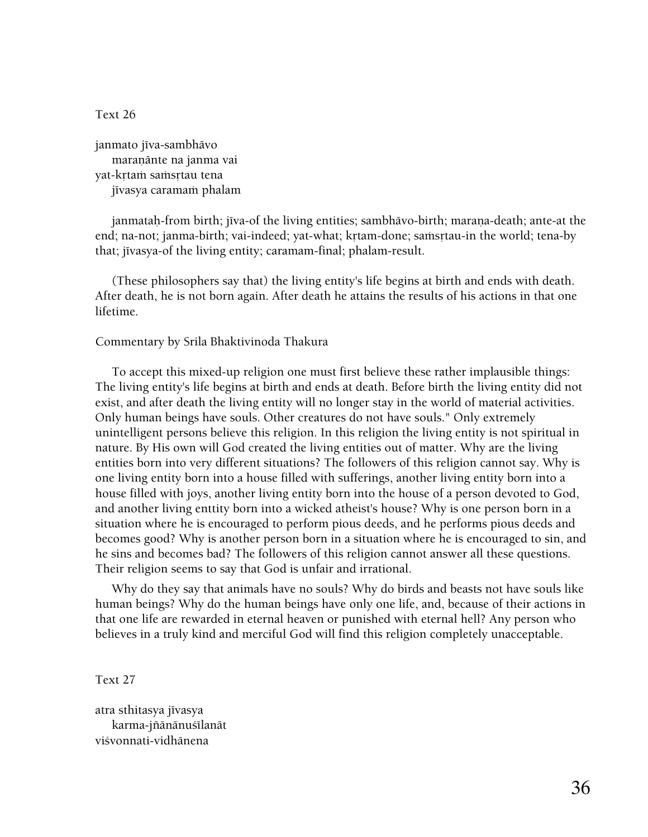Text 26

janmato jīva-sambhāvo maranānte na janma vai yat-krtam samsrtau tena jīvasya caramam phalam

janmataḥ-from birth; jīva-of the living entities; sambhāvo-birth; maraṇa-death; ante-at the end; na-not; janma-birth; vai-indeed; yat-what; krtam-done; samsrtau-in the world; tena-by that; jīvasya-of the living entity; caramam-final; phalam-result.

 (These philosophers say that) the living entity's life begins at birth and ends with death. After death, he is not born again. After death he attains the results of his actions in that one lifetime.

#### Commentary by Srila Bhaktivinoda Thakura

 To accept this mixed-up religion one must first believe these rather implausible things: The living entity's life begins at birth and ends at death. Before birth the living entity did not exist, and after death the living entity will no longer stay in the world of material activities. Only human beings have souls. Other creatures do not have souls." Only extremely unintelligent persons believe this religion. In this religion the living entity is not spiritual in nature. By His own will God created the living entities out of matter. Why are the living entities born into very different situations? The followers of this religion cannot say. Why is one living entity born into a house filled with sufferings, another living entity born into a house filled with joys, another living entity born into the house of a person devoted to God, and another living enttity born into a wicked atheist's house? Why is one person born in a situation where he is encouraged to perform pious deeds, and he performs pious deeds and becomes good? Why is another person born in a situation where he is encouraged to sin, and he sins and becomes bad? The followers of this religion cannot answer all these questions. Their religion seems to say that God is unfair and irrational.

 Why do they say that animals have no souls? Why do birds and beasts not have souls like human beings? Why do the human beings have only one life, and, because of their actions in that one life are rewarded in eternal heaven or punished with eternal hell? Any person who believes in a truly kind and merciful God will find this religion completely unacceptable.

#### Text 27

atra sthitasya jīvasya karma-jñānānuśīlanāt viçvonnati-vidhänena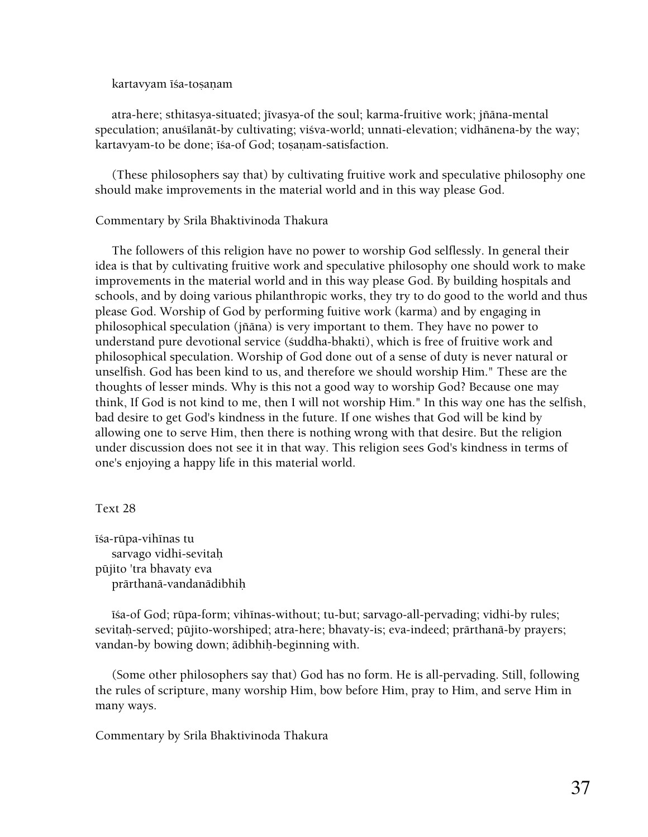kartavyam iśa-toṣanam

atra-here; sthitasya-situated; jīvasya-of the soul; karma-fruitive work; jñāna-mental speculation; anustlanāt-by cultivating; visva-world; unnati-elevation; vidhānena-by the way; kartavyam-to be done; īśa-of God; toṣaṇam-satisfaction.

 (These philosophers say that) by cultivating fruitive work and speculative philosophy one should make improvements in the material world and in this way please God.

#### Commentary by Srila Bhaktivinoda Thakura

 The followers of this religion have no power to worship God selflessly. In general their idea is that by cultivating fruitive work and speculative philosophy one should work to make improvements in the material world and in this way please God. By building hospitals and schools, and by doing various philanthropic works, they try to do good to the world and thus please God. Worship of God by performing fuitive work (karma) and by engaging in philosophical speculation (jïäna) is very important to them. They have no power to understand pure devotional service (çuddha-bhakti), which is free of fruitive work and philosophical speculation. Worship of God done out of a sense of duty is never natural or unselfish. God has been kind to us, and therefore we should worship Him." These are the thoughts of lesser minds. Why is this not a good way to worship God? Because one may think, If God is not kind to me, then I will not worship Him." In this way one has the selfish, bad desire to get God's kindness in the future. If one wishes that God will be kind by allowing one to serve Him, then there is nothing wrong with that desire. But the religion under discussion does not see it in that way. This religion sees God's kindness in terms of one's enjoying a happy life in this material world.

Text 28

īśa-rūpa-vihīnas tu sarvago vidhi-sevitaù püjito 'tra bhavaty eva prärthanä-vandanädibhiù

 $\bar{\text{r}}$ isa-of God; rūpa-form; vihinas-without; tu-but; sarvago-all-pervading; vidhi-by rules; sevitah-served; pūjito-worshiped; atra-here; bhavaty-is; eva-indeed; prārthanā-by prayers; vandan-by bowing down; ädibhiù-beginning with.

 (Some other philosophers say that) God has no form. He is all-pervading. Still, following the rules of scripture, many worship Him, bow before Him, pray to Him, and serve Him in many ways.

Commentary by Srila Bhaktivinoda Thakura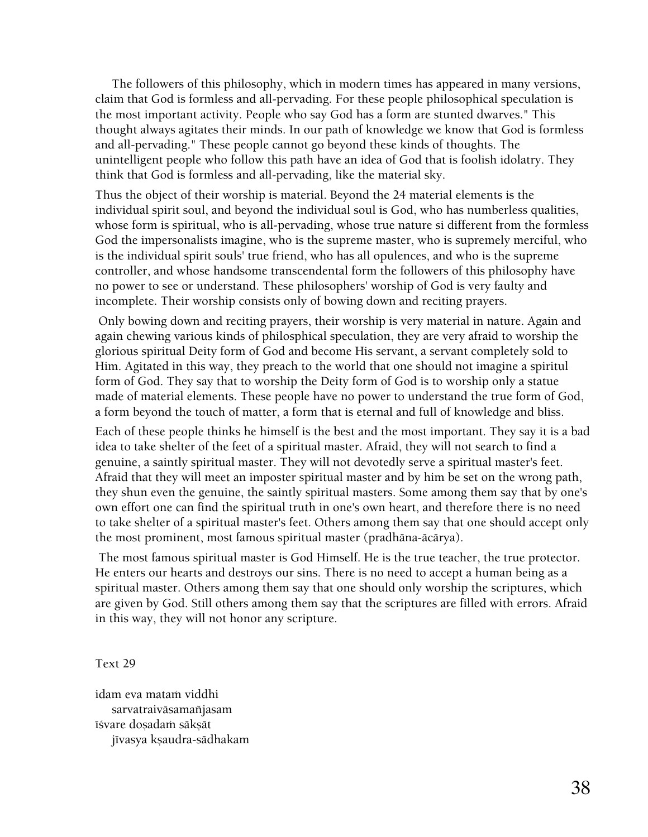The followers of this philosophy, which in modern times has appeared in many versions, claim that God is formless and all-pervading. For these people philosophical speculation is the most important activity. People who say God has a form are stunted dwarves." This thought always agitates their minds. In our path of knowledge we know that God is formless and all-pervading." These people cannot go beyond these kinds of thoughts. The unintelligent people who follow this path have an idea of God that is foolish idolatry. They think that God is formless and all-pervading, like the material sky.

Thus the object of their worship is material. Beyond the 24 material elements is the individual spirit soul, and beyond the individual soul is God, who has numberless qualities, whose form is spiritual, who is all-pervading, whose true nature si different from the formless God the impersonalists imagine, who is the supreme master, who is supremely merciful, who is the individual spirit souls' true friend, who has all opulences, and who is the supreme controller, and whose handsome transcendental form the followers of this philosophy have no power to see or understand. These philosophers' worship of God is very faulty and incomplete. Their worship consists only of bowing down and reciting prayers.

 Only bowing down and reciting prayers, their worship is very material in nature. Again and again chewing various kinds of philosphical speculation, they are very afraid to worship the glorious spiritual Deity form of God and become His servant, a servant completely sold to Him. Agitated in this way, they preach to the world that one should not imagine a spiritul form of God. They say that to worship the Deity form of God is to worship only a statue made of material elements. These people have no power to understand the true form of God, a form beyond the touch of matter, a form that is eternal and full of knowledge and bliss.

Each of these people thinks he himself is the best and the most important. They say it is a bad idea to take shelter of the feet of a spiritual master. Afraid, they will not search to find a genuine, a saintly spiritual master. They will not devotedly serve a spiritual master's feet. Afraid that they will meet an imposter spiritual master and by him be set on the wrong path, they shun even the genuine, the saintly spiritual masters. Some among them say that by one's own effort one can find the spiritual truth in one's own heart, and therefore there is no need to take shelter of a spiritual master's feet. Others among them say that one should accept only the most prominent, most famous spiritual master (pradhäna-äcärya).

 The most famous spiritual master is God Himself. He is the true teacher, the true protector. He enters our hearts and destroys our sins. There is no need to accept a human being as a spiritual master. Others among them say that one should only worship the scriptures, which are given by God. Still others among them say that the scriptures are filled with errors. Afraid in this way, they will not honor any scripture.

Text 29

idam eva mataṁ viddhi sarvatraivāsamañjasam īśvare doṣadaṁ sākṣāt jīvasya kṣaudra-sādhakam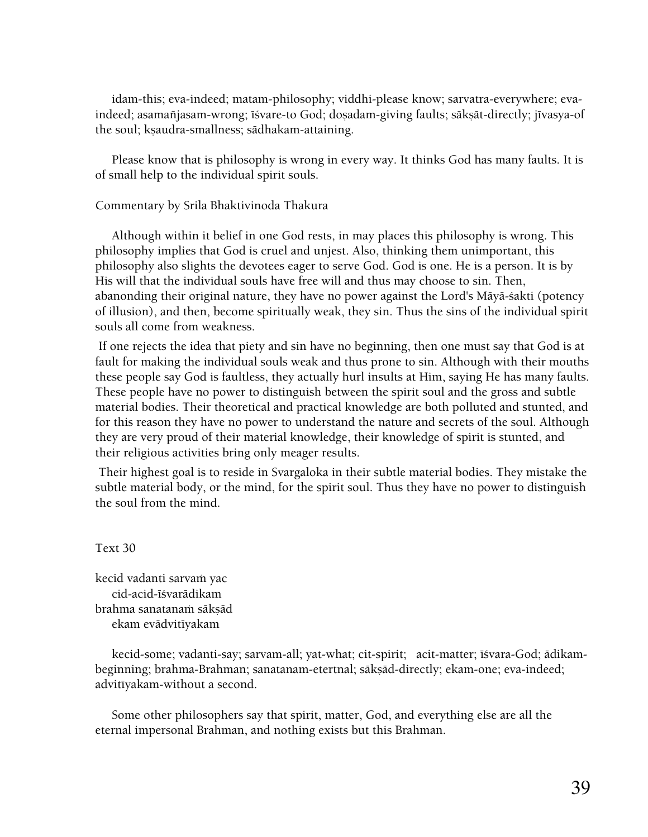idam-this; eva-indeed; matam-philosophy; viddhi-please know; sarvatra-everywhere; evaindeed; asamañjasam-wrong; īśvare-to God; dosadam-giving faults; sāksāt-directly; jīvasya-of the soul; ksaudra-smallness; sädhakam-attaining.

 Please know that is philosophy is wrong in every way. It thinks God has many faults. It is of small help to the individual spirit souls.

#### Commentary by Srila Bhaktivinoda Thakura

 Although within it belief in one God rests, in may places this philosophy is wrong. This philosophy implies that God is cruel and unjest. Also, thinking them unimportant, this philosophy also slights the devotees eager to serve God. God is one. He is a person. It is by His will that the individual souls have free will and thus may choose to sin. Then, abanonding their original nature, they have no power against the Lord's Mäyä-çakti (potency of illusion), and then, become spiritually weak, they sin. Thus the sins of the individual spirit souls all come from weakness.

 If one rejects the idea that piety and sin have no beginning, then one must say that God is at fault for making the individual souls weak and thus prone to sin. Although with their mouths these people say God is faultless, they actually hurl insults at Him, saying He has many faults. These people have no power to distinguish between the spirit soul and the gross and subtle material bodies. Their theoretical and practical knowledge are both polluted and stunted, and for this reason they have no power to understand the nature and secrets of the soul. Although they are very proud of their material knowledge, their knowledge of spirit is stunted, and their religious activities bring only meager results.

 Their highest goal is to reside in Svargaloka in their subtle material bodies. They mistake the subtle material body, or the mind, for the spirit soul. Thus they have no power to distinguish the soul from the mind.

#### Text 30

kecid vadanti sarvaṁ yac cid-acid-īśvarādikam brahma sanatanaṁ sāksād ekam evādvitīyakam

kecid-some; vadanti-say; sarvam-all; yat-what; cit-spirit; acit-matter; ī svara-God; ādikambeginning; brahma-Brahman; sanatanam-etertnal; sākṣād-directly; ekam-one; eva-indeed; advitīyakam-without a second.

 Some other philosophers say that spirit, matter, God, and everything else are all the eternal impersonal Brahman, and nothing exists but this Brahman.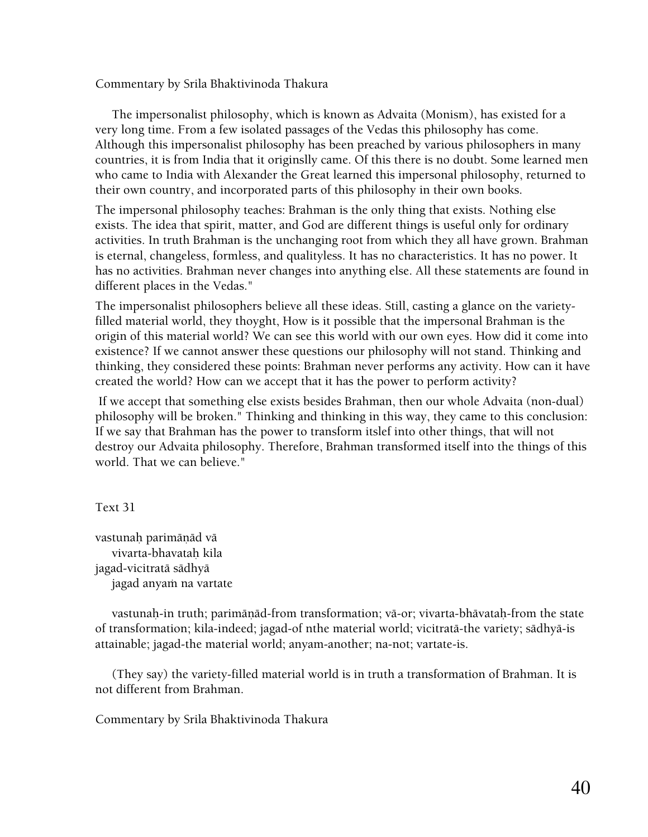Commentary by Srila Bhaktivinoda Thakura

 The impersonalist philosophy, which is known as Advaita (Monism), has existed for a very long time. From a few isolated passages of the Vedas this philosophy has come. Although this impersonalist philosophy has been preached by various philosophers in many countries, it is from India that it originslly came. Of this there is no doubt. Some learned men who came to India with Alexander the Great learned this impersonal philosophy, returned to their own country, and incorporated parts of this philosophy in their own books.

The impersonal philosophy teaches: Brahman is the only thing that exists. Nothing else exists. The idea that spirit, matter, and God are different things is useful only for ordinary activities. In truth Brahman is the unchanging root from which they all have grown. Brahman is eternal, changeless, formless, and qualityless. It has no characteristics. It has no power. It has no activities. Brahman never changes into anything else. All these statements are found in different places in the Vedas."

The impersonalist philosophers believe all these ideas. Still, casting a glance on the varietyfilled material world, they thoyght, How is it possible that the impersonal Brahman is the origin of this material world? We can see this world with our own eyes. How did it come into existence? If we cannot answer these questions our philosophy will not stand. Thinking and thinking, they considered these points: Brahman never performs any activity. How can it have created the world? How can we accept that it has the power to perform activity?

 If we accept that something else exists besides Brahman, then our whole Advaita (non-dual) philosophy will be broken." Thinking and thinking in this way, they came to this conclusion: If we say that Brahman has the power to transform itslef into other things, that will not destroy our Advaita philosophy. Therefore, Brahman transformed itself into the things of this world. That we can believe."

Text 31

vastunah parimāņād vā vivarta-bhavatah kila jagad-vicitratä sädhyä jagad anyam na vartate

vastunah-in truth; parimānād-from transformation; vā-or; vivarta-bhāvatah-from the state of transformation; kila-indeed; jagad-of nthe material world; vicitratä-the variety; sädhyä-is attainable; jagad-the material world; anyam-another; na-not; vartate-is.

 (They say) the variety-filled material world is in truth a transformation of Brahman. It is not different from Brahman.

Commentary by Srila Bhaktivinoda Thakura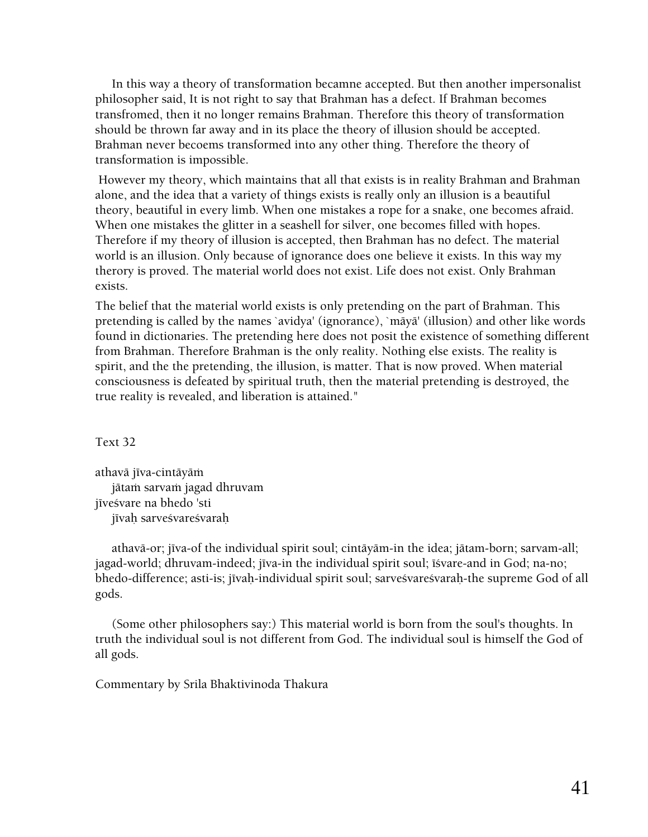In this way a theory of transformation becamne accepted. But then another impersonalist philosopher said, It is not right to say that Brahman has a defect. If Brahman becomes transfromed, then it no longer remains Brahman. Therefore this theory of transformation should be thrown far away and in its place the theory of illusion should be accepted. Brahman never becoems transformed into any other thing. Therefore the theory of transformation is impossible.

 However my theory, which maintains that all that exists is in reality Brahman and Brahman alone, and the idea that a variety of things exists is really only an illusion is a beautiful theory, beautiful in every limb. When one mistakes a rope for a snake, one becomes afraid. When one mistakes the glitter in a seashell for silver, one becomes filled with hopes. Therefore if my theory of illusion is accepted, then Brahman has no defect. The material world is an illusion. Only because of ignorance does one believe it exists. In this way my therory is proved. The material world does not exist. Life does not exist. Only Brahman exists.

The belief that the material world exists is only pretending on the part of Brahman. This pretending is called by the names `avidya' (ignorance), `mäyä' (illusion) and other like words found in dictionaries. The pretending here does not posit the existence of something different from Brahman. Therefore Brahman is the only reality. Nothing else exists. The reality is spirit, and the the pretending, the illusion, is matter. That is now proved. When material consciousness is defeated by spiritual truth, then the material pretending is destroyed, the true reality is revealed, and liberation is attained."

Text 32

athavā jīva-cintāyāṁ jātam sarvam jagad dhruvam jīveśvare na bhedo 'sti jīvah sarveśvareśvarah

athavā-or; jīva-of the individual spirit soul; cintāyām-in the idea; jātam-born; sarvam-all; jagad-world; dhruvam-indeed; jīva-in the individual spirit soul; īśvare-and in God; na-no; bhedo-difference; asti-is; jīvah-individual spirit soul; sarveśvareśvarah-the supreme God of all gods.

 (Some other philosophers say:) This material world is born from the soul's thoughts. In truth the individual soul is not different from God. The individual soul is himself the God of all gods.

Commentary by Srila Bhaktivinoda Thakura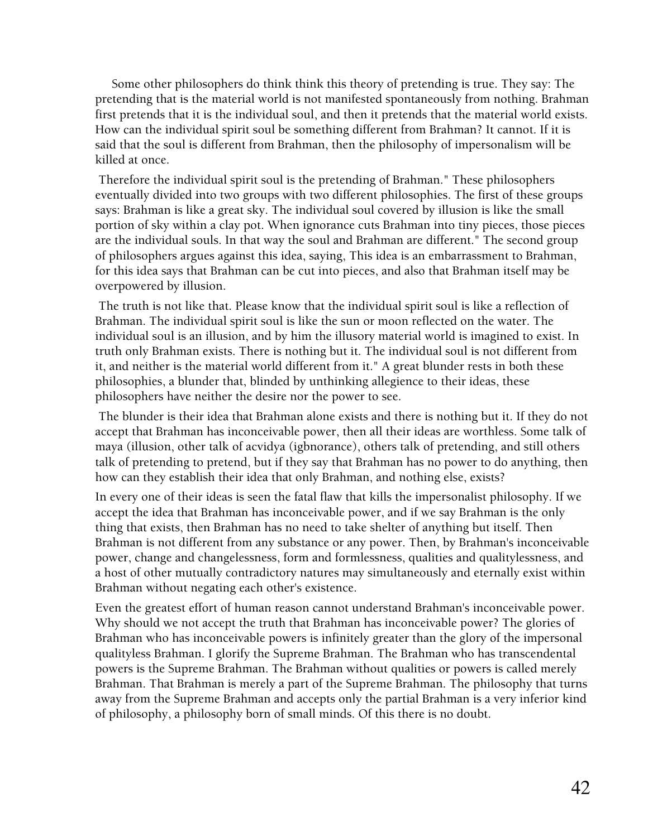Some other philosophers do think think this theory of pretending is true. They say: The pretending that is the material world is not manifested spontaneously from nothing. Brahman first pretends that it is the individual soul, and then it pretends that the material world exists. How can the individual spirit soul be something different from Brahman? It cannot. If it is said that the soul is different from Brahman, then the philosophy of impersonalism will be killed at once.

 Therefore the individual spirit soul is the pretending of Brahman." These philosophers eventually divided into two groups with two different philosophies. The first of these groups says: Brahman is like a great sky. The individual soul covered by illusion is like the small portion of sky within a clay pot. When ignorance cuts Brahman into tiny pieces, those pieces are the individual souls. In that way the soul and Brahman are different." The second group of philosophers argues against this idea, saying, This idea is an embarrassment to Brahman, for this idea says that Brahman can be cut into pieces, and also that Brahman itself may be overpowered by illusion.

 The truth is not like that. Please know that the individual spirit soul is like a reflection of Brahman. The individual spirit soul is like the sun or moon reflected on the water. The individual soul is an illusion, and by him the illusory material world is imagined to exist. In truth only Brahman exists. There is nothing but it. The individual soul is not different from it, and neither is the material world different from it." A great blunder rests in both these philosophies, a blunder that, blinded by unthinking allegience to their ideas, these philosophers have neither the desire nor the power to see.

 The blunder is their idea that Brahman alone exists and there is nothing but it. If they do not accept that Brahman has inconceivable power, then all their ideas are worthless. Some talk of maya (illusion, other talk of acvidya (igbnorance), others talk of pretending, and still others talk of pretending to pretend, but if they say that Brahman has no power to do anything, then how can they establish their idea that only Brahman, and nothing else, exists?

In every one of their ideas is seen the fatal flaw that kills the impersonalist philosophy. If we accept the idea that Brahman has inconceivable power, and if we say Brahman is the only thing that exists, then Brahman has no need to take shelter of anything but itself. Then Brahman is not different from any substance or any power. Then, by Brahman's inconceivable power, change and changelessness, form and formlessness, qualities and qualitylessness, and a host of other mutually contradictory natures may simultaneously and eternally exist within Brahman without negating each other's existence.

Even the greatest effort of human reason cannot understand Brahman's inconceivable power. Why should we not accept the truth that Brahman has inconceivable power? The glories of Brahman who has inconceivable powers is infinitely greater than the glory of the impersonal qualityless Brahman. I glorify the Supreme Brahman. The Brahman who has transcendental powers is the Supreme Brahman. The Brahman without qualities or powers is called merely Brahman. That Brahman is merely a part of the Supreme Brahman. The philosophy that turns away from the Supreme Brahman and accepts only the partial Brahman is a very inferior kind of philosophy, a philosophy born of small minds. Of this there is no doubt.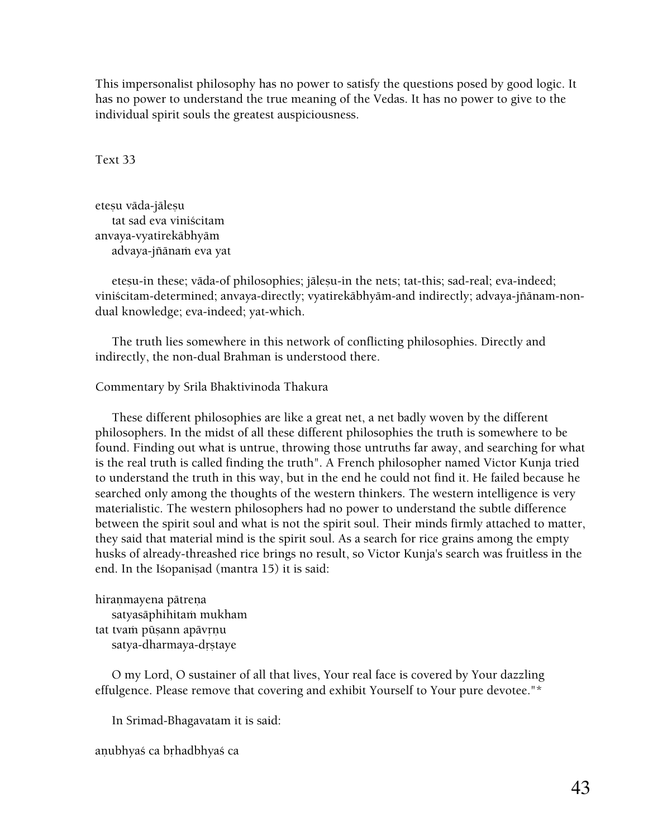This impersonalist philosophy has no power to satisfy the questions posed by good logic. It has no power to understand the true meaning of the Vedas. It has no power to give to the individual spirit souls the greatest auspiciousness.

Text 33

eteșu vāda-jālesu tat sad eva viniçcitam anvaya-vyatirekäbhyäm advaya-jñānam eva yat

eteșu-in these; vāda-of philosophies; jāleșu-in the nets; tat-this; sad-real; eva-indeed; viniścitam-determined; anvaya-directly; vyatirekābhyām-and indirectly; advaya-jñānam-nondual knowledge; eva-indeed; yat-which.

 The truth lies somewhere in this network of conflicting philosophies. Directly and indirectly, the non-dual Brahman is understood there.

#### Commentary by Srila Bhaktivinoda Thakura

 These different philosophies are like a great net, a net badly woven by the different philosophers. In the midst of all these different philosophies the truth is somewhere to be found. Finding out what is untrue, throwing those untruths far away, and searching for what is the real truth is called finding the truth". A French philosopher named Victor Kunja tried to understand the truth in this way, but in the end he could not find it. He failed because he searched only among the thoughts of the western thinkers. The western intelligence is very materialistic. The western philosophers had no power to understand the subtle difference between the spirit soul and what is not the spirit soul. Their minds firmly attached to matter, they said that material mind is the spirit soul. As a search for rice grains among the empty husks of already-threashed rice brings no result, so Victor Kunja's search was fruitless in the end. In the Isopanisad (mantra 15) it is said:

hiranmayena pātreņa satyasāphihitam mukham tat tvam pūsann apāvrnu satya-dharmaya-drṣtaye

 O my Lord, O sustainer of all that lives, Your real face is covered by Your dazzling effulgence. Please remove that covering and exhibit Yourself to Your pure devotee."\*

In Srimad-Bhagavatam it is said:

anubhyaś ca brhadbhyaś ca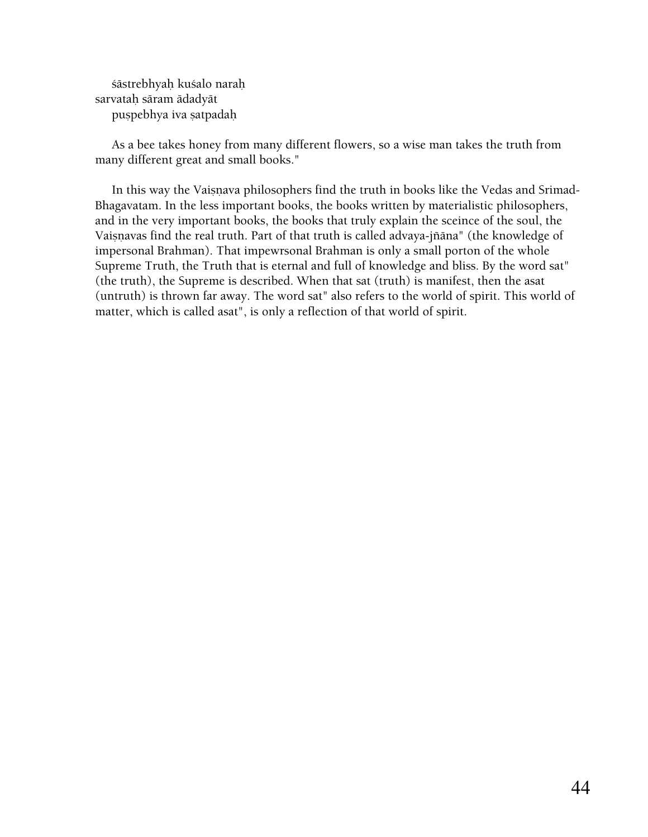çästrebhyaù kuçalo naraù sarvatah sāram ādadyāt puspebhya iva satpadah

 As a bee takes honey from many different flowers, so a wise man takes the truth from many different great and small books."

In this way the Vaisnava philosophers find the truth in books like the Vedas and Srimad-Bhagavatam. In the less important books, the books written by materialistic philosophers, and in the very important books, the books that truly explain the sceince of the soul, the Vaisnavas find the real truth. Part of that truth is called advaya-jñāna" (the knowledge of impersonal Brahman). That impewrsonal Brahman is only a small porton of the whole Supreme Truth, the Truth that is eternal and full of knowledge and bliss. By the word sat" (the truth), the Supreme is described. When that sat (truth) is manifest, then the asat (untruth) is thrown far away. The word sat" also refers to the world of spirit. This world of matter, which is called asat", is only a reflection of that world of spirit.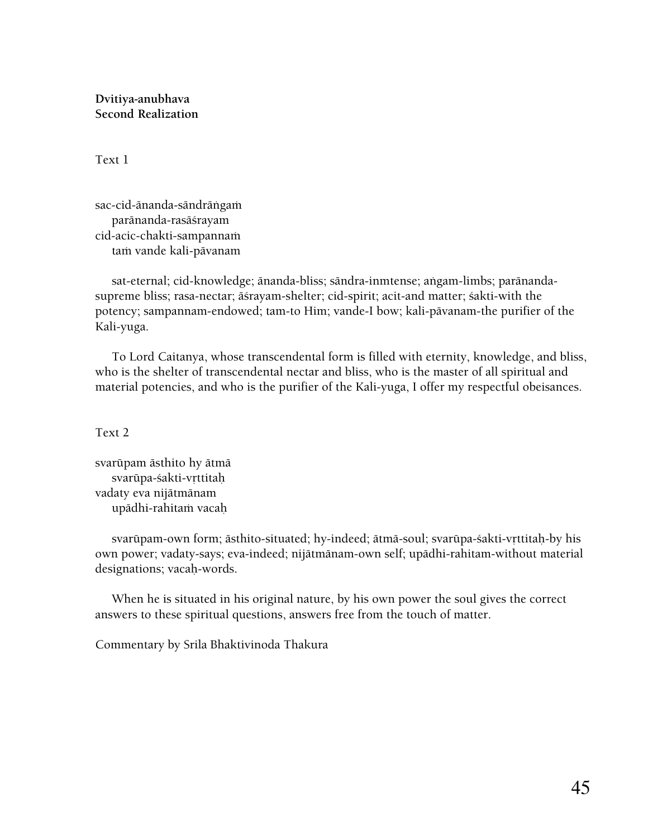**Dvitiya-anubhava Second Realization** 

Text 1

sac-cid-ānanda-sāndrāṅgaṁ paränanda-rasäçrayam cid-acic-chakti-sampannam tam vande kali-pāvanam

sat-eternal; cid-knowledge; änanda-bliss; sändra-inmtense; aṅgam-limbs; parānandasupreme bliss; rasa-nectar; āśrayam-shelter; cid-spirit; acit-and matter; śakti-with the potency; sampannam-endowed; tam-to Him; vande-I bow; kali-pävanam-the purifier of the Kali-yuga.

 To Lord Caitanya, whose transcendental form is filled with eternity, knowledge, and bliss, who is the shelter of transcendental nectar and bliss, who is the master of all spiritual and material potencies, and who is the purifier of the Kali-yuga, I offer my respectful obeisances.

Text 2

svarüpam ästhito hy ätmä svarūpa-śakti-vrttitah vadaty eva nijätmänam upādhi-rahitam vacaḥ

svarūpam-own form; āsthito-situated; hy-indeed; ātmā-soul; svarūpa-śakti-vṛttitaḥ-by his own power; vadaty-says; eva-indeed; nijätmänam-own self; upädhi-rahitam-without material designations; vacah-words.

 When he is situated in his original nature, by his own power the soul gives the correct answers to these spiritual questions, answers free from the touch of matter.

Commentary by Srila Bhaktivinoda Thakura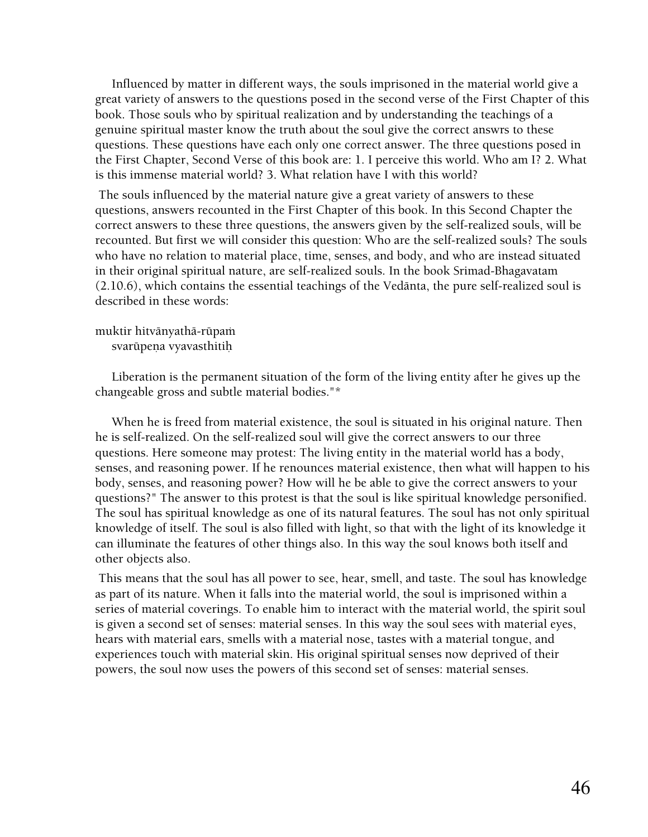Influenced by matter in different ways, the souls imprisoned in the material world give a great variety of answers to the questions posed in the second verse of the First Chapter of this book. Those souls who by spiritual realization and by understanding the teachings of a genuine spiritual master know the truth about the soul give the correct answrs to these questions. These questions have each only one correct answer. The three questions posed in the First Chapter, Second Verse of this book are: 1. I perceive this world. Who am I? 2. What is this immense material world? 3. What relation have I with this world?

 The souls influenced by the material nature give a great variety of answers to these questions, answers recounted in the First Chapter of this book. In this Second Chapter the correct answers to these three questions, the answers given by the self-realized souls, will be recounted. But first we will consider this question: Who are the self-realized souls? The souls who have no relation to material place, time, senses, and body, and who are instead situated in their original spiritual nature, are self-realized souls. In the book Srimad-Bhagavatam (2.10.6), which contains the essential teachings of the Vedänta, the pure self-realized soul is described in these words:

# muktir hitvānyathā-rūpam

svarüpena vyavasthitih

 Liberation is the permanent situation of the form of the living entity after he gives up the changeable gross and subtle material bodies."\*

 When he is freed from material existence, the soul is situated in his original nature. Then he is self-realized. On the self-realized soul will give the correct answers to our three questions. Here someone may protest: The living entity in the material world has a body, senses, and reasoning power. If he renounces material existence, then what will happen to his body, senses, and reasoning power? How will he be able to give the correct answers to your questions?" The answer to this protest is that the soul is like spiritual knowledge personified. The soul has spiritual knowledge as one of its natural features. The soul has not only spiritual knowledge of itself. The soul is also filled with light, so that with the light of its knowledge it can illuminate the features of other things also. In this way the soul knows both itself and other objects also.

 This means that the soul has all power to see, hear, smell, and taste. The soul has knowledge as part of its nature. When it falls into the material world, the soul is imprisoned within a series of material coverings. To enable him to interact with the material world, the spirit soul is given a second set of senses: material senses. In this way the soul sees with material eyes, hears with material ears, smells with a material nose, tastes with a material tongue, and experiences touch with material skin. His original spiritual senses now deprived of their powers, the soul now uses the powers of this second set of senses: material senses.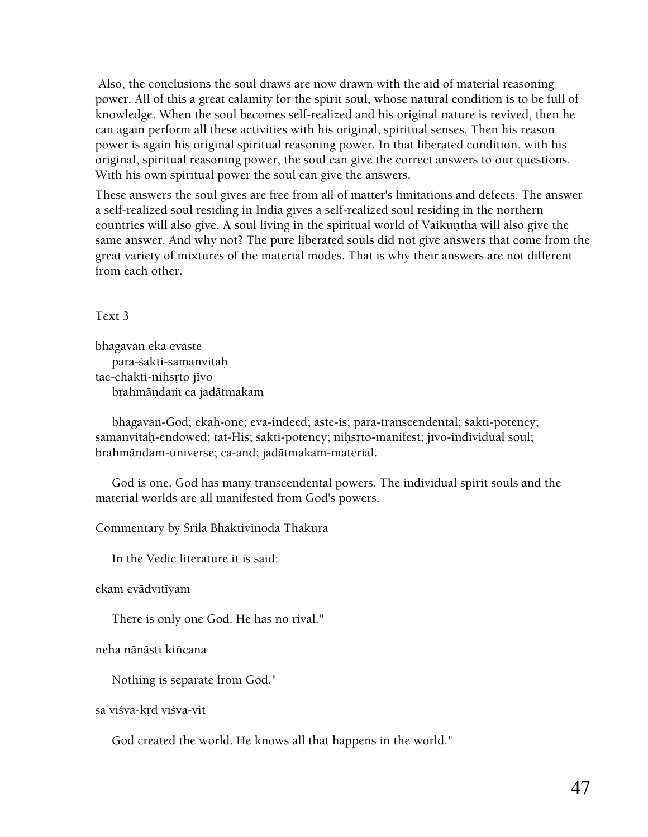Also, the conclusions the soul draws are now drawn with the aid of material reasoning power. All of this a great calamity for the spirit soul, whose natural condition is to be full of knowledge. When the soul becomes self-realized and his original nature is revived, then he can again perform all these activities with his original, spiritual senses. Then his reason power is again his original spiritual reasoning power. In that liberated condition, with his original, spiritual reasoning power, the soul can give the correct answers to our questions. With his own spiritual power the soul can give the answers.

These answers the soul gives are free from all of matter's limitations and defects. The answer a self-realized soul residing in India gives a self-realized soul residing in the northern countries will also give. A soul living in the spiritual world of Vaikuntha will also give the same answer. And why not? The pure liberated souls did not give answers that come from the great variety of mixtures of the material modes. That is why their answers are not different from each other.

Text 3

bhagavän eka eväste para-çakti-samanvitaù tac-chakti-nihsrto jīvo brahmāndam ca jadātmakam

 bhagavän-God; ekaù-one; eva-indeed; äste-is; para-transcendental; çakti-potency; samanvitah-endowed; tat-His; śakti-potency; nihsrto-manifest; jīvo-individual soul; brahmändam-universe; ca-and; jadätmakam-material.

 God is one. God has many transcendental powers. The individual spirit souls and the material worlds are all manifested from God's powers.

Commentary by Srila Bhaktivinoda Thakura

In the Vedic literature it is said:

ekam evādvitīyam

There is only one God. He has no rival."

neha nänästi kiïcana

Nothing is separate from God."

sa viśva-krd viśva-vit

God created the world. He knows all that happens in the world."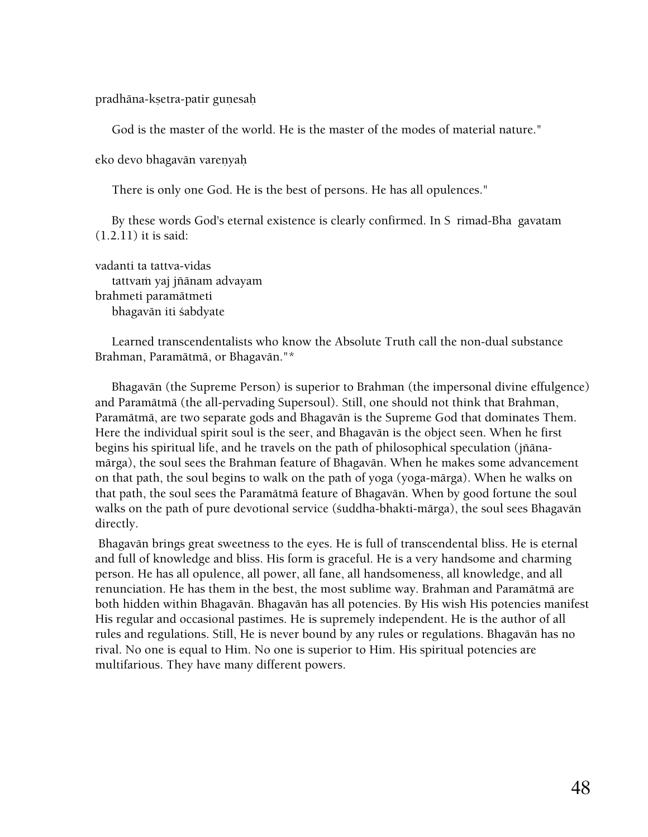pradhāna-kṣetra-patir gunesaḥ

God is the master of the world. He is the master of the modes of material nature."

eko devo bhagavān varenyaḥ

There is only one God. He is the best of persons. He has all opulences."

By these words God's eternal existence is clearly confirmed. In S rimad-Bha gavatam (1.2.11) it is said:

vadanti ta tattva-vidas tattvaṁ yaj jñānam advayam brahmeti paramätmeti bhagavān iti śabdyate

 Learned transcendentalists who know the Absolute Truth call the non-dual substance Brahman, Paramätmä, or Bhagavän."\*

 Bhagavän (the Supreme Person) is superior to Brahman (the impersonal divine effulgence) and Paramätmä (the all-pervading Supersoul). Still, one should not think that Brahman, Paramätmä, are two separate gods and Bhagavän is the Supreme God that dominates Them. Here the individual spirit soul is the seer, and Bhagavän is the object seen. When he first begins his spiritual life, and he travels on the path of philosophical speculation (jïänamärga), the soul sees the Brahman feature of Bhagavän. When he makes some advancement on that path, the soul begins to walk on the path of yoga (yoga-märga). When he walks on that path, the soul sees the Paramätmä feature of Bhagavän. When by good fortune the soul walks on the path of pure devotional service (çuddha-bhakti-märga), the soul sees Bhagavän directly.

 Bhagavän brings great sweetness to the eyes. He is full of transcendental bliss. He is eternal and full of knowledge and bliss. His form is graceful. He is a very handsome and charming person. He has all opulence, all power, all fane, all handsomeness, all knowledge, and all renunciation. He has them in the best, the most sublime way. Brahman and Paramätmä are both hidden within Bhagavän. Bhagavän has all potencies. By His wish His potencies manifest His regular and occasional pastimes. He is supremely independent. He is the author of all rules and regulations. Still, He is never bound by any rules or regulations. Bhagavän has no rival. No one is equal to Him. No one is superior to Him. His spiritual potencies are multifarious. They have many different powers.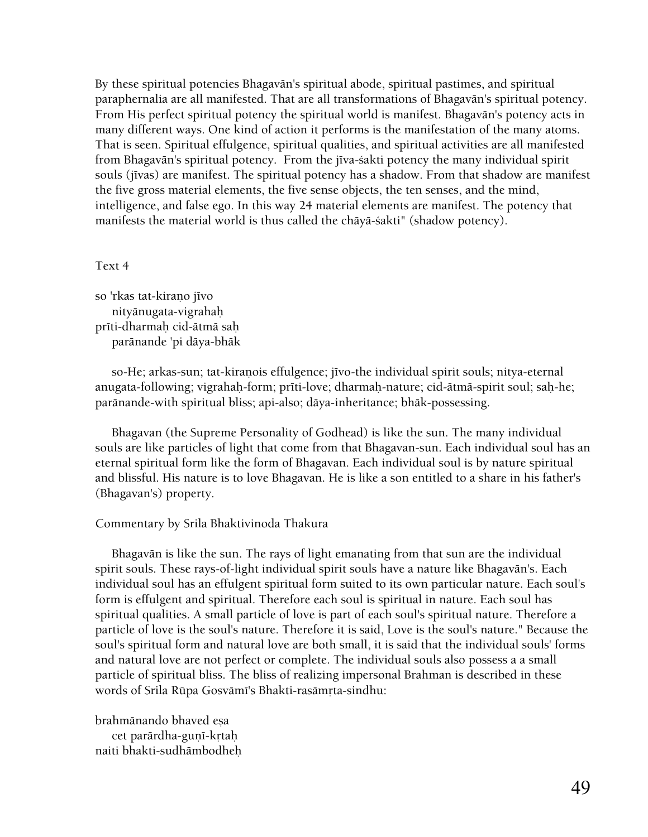By these spiritual potencies Bhagavän's spiritual abode, spiritual pastimes, and spiritual paraphernalia are all manifested. That are all transformations of Bhagavän's spiritual potency. From His perfect spiritual potency the spiritual world is manifest. Bhagavän's potency acts in many different ways. One kind of action it performs is the manifestation of the many atoms. That is seen. Spiritual effulgence, spiritual qualities, and spiritual activities are all manifested from Bhagavān's spiritual potency. From the jīva-śakti potency the many individual spirit souls (jīvas) are manifest. The spiritual potency has a shadow. From that shadow are manifest the five gross material elements, the five sense objects, the ten senses, and the mind, intelligence, and false ego. In this way 24 material elements are manifest. The potency that manifests the material world is thus called the chāyā-śakti" (shadow potency).

#### Text 4

so 'rkas tat-kiraņo jīvo nityänugata-vigrahaù prīti-dharmah cid-ātmā sah paränande 'pi däya-bhäk

so-He; arkas-sun; tat-kiranois effulgence; jīvo-the individual spirit souls; nitya-eternal anugata-following; vigrahah-form; prīti-love; dharmah-nature; cid-ātmā-spirit soul; sah-he; paränande-with spiritual bliss; api-also; däya-inheritance; bhäk-possessing.

 Bhagavan (the Supreme Personality of Godhead) is like the sun. The many individual souls are like particles of light that come from that Bhagavan-sun. Each individual soul has an eternal spiritual form like the form of Bhagavan. Each individual soul is by nature spiritual and blissful. His nature is to love Bhagavan. He is like a son entitled to a share in his father's (Bhagavan's) property.

#### Commentary by Srila Bhaktivinoda Thakura

 Bhagavän is like the sun. The rays of light emanating from that sun are the individual spirit souls. These rays-of-light individual spirit souls have a nature like Bhagavän's. Each individual soul has an effulgent spiritual form suited to its own particular nature. Each soul's form is effulgent and spiritual. Therefore each soul is spiritual in nature. Each soul has spiritual qualities. A small particle of love is part of each soul's spiritual nature. Therefore a particle of love is the soul's nature. Therefore it is said, Love is the soul's nature." Because the soul's spiritual form and natural love are both small, it is said that the individual souls' forms and natural love are not perfect or complete. The individual souls also possess a a small particle of spiritual bliss. The bliss of realizing impersonal Brahman is described in these words of Srila Rūpa Gosvāmī's Bhakti-rasāmrta-sindhu:

brahmānando bhaved esa cet parārdha-guṇī-kṛtaḥ naiti bhakti-sudhämbodheù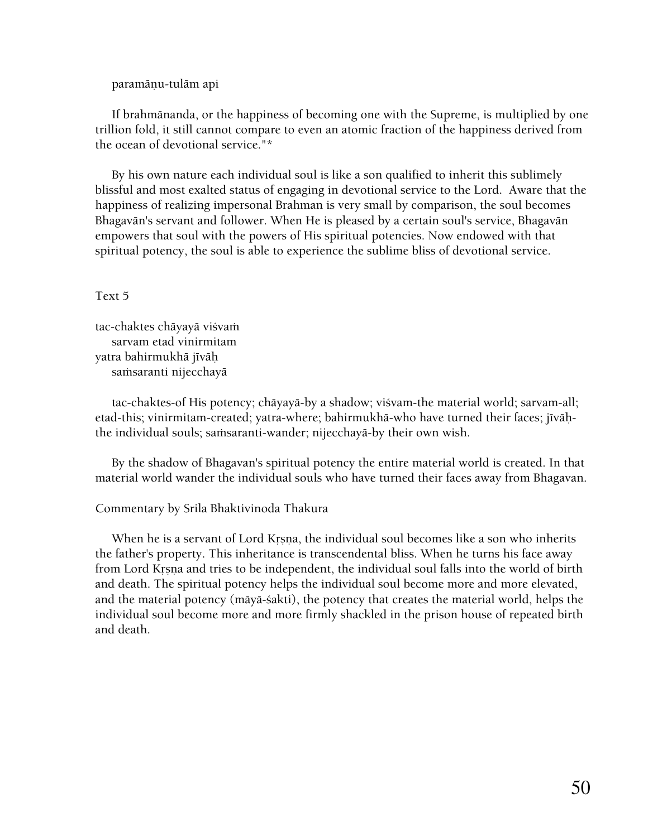#### paramāņu-tulām api

 If brahmänanda, or the happiness of becoming one with the Supreme, is multiplied by one trillion fold, it still cannot compare to even an atomic fraction of the happiness derived from the ocean of devotional service."\*

 By his own nature each individual soul is like a son qualified to inherit this sublimely blissful and most exalted status of engaging in devotional service to the Lord. Aware that the happiness of realizing impersonal Brahman is very small by comparison, the soul becomes Bhagavän's servant and follower. When He is pleased by a certain soul's service, Bhagavän empowers that soul with the powers of His spiritual potencies. Now endowed with that spiritual potency, the soul is able to experience the sublime bliss of devotional service.

#### Text 5

tac-chaktes chāyayā viśvam sarvam etad vinirmitam yatra bahirmukhā jīvāh samsaranti nijecchayā

 tac-chaktes-of His potency; chäyayä-by a shadow; viçvam-the material world; sarvam-all; etad-this; vinirmitam-created; yatra-where; bahirmukhā-who have turned their faces; jīvāḥthe individual souls; samsaranti-wander; nijecchayā-by their own wish.

 By the shadow of Bhagavan's spiritual potency the entire material world is created. In that material world wander the individual souls who have turned their faces away from Bhagavan.

#### Commentary by Srila Bhaktivinoda Thakura

When he is a servant of Lord Krsna, the individual soul becomes like a son who inherits the father's property. This inheritance is transcendental bliss. When he turns his face away from Lord Krsna and tries to be independent, the individual soul falls into the world of birth and death. The spiritual potency helps the individual soul become more and more elevated, and the material potency (mäyä-çakti), the potency that creates the material world, helps the individual soul become more and more firmly shackled in the prison house of repeated birth and death.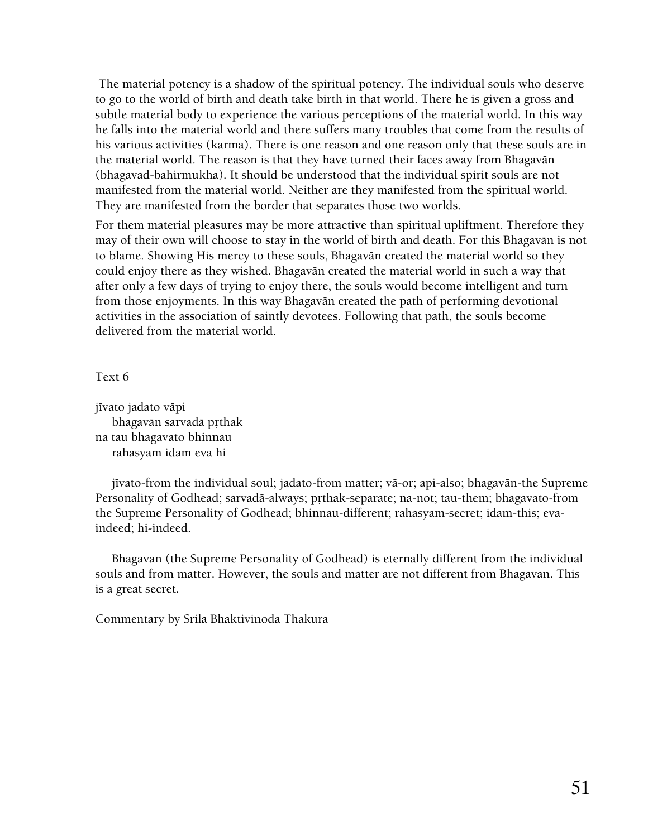The material potency is a shadow of the spiritual potency. The individual souls who deserve to go to the world of birth and death take birth in that world. There he is given a gross and subtle material body to experience the various perceptions of the material world. In this way he falls into the material world and there suffers many troubles that come from the results of his various activities (karma). There is one reason and one reason only that these souls are in the material world. The reason is that they have turned their faces away from Bhagavän (bhagavad-bahirmukha). It should be understood that the individual spirit souls are not manifested from the material world. Neither are they manifested from the spiritual world. They are manifested from the border that separates those two worlds.

For them material pleasures may be more attractive than spiritual upliftment. Therefore they may of their own will choose to stay in the world of birth and death. For this Bhagavän is not to blame. Showing His mercy to these souls, Bhagavän created the material world so they could enjoy there as they wished. Bhagavän created the material world in such a way that after only a few days of trying to enjoy there, the souls would become intelligent and turn from those enjoyments. In this way Bhagavän created the path of performing devotional activities in the association of saintly devotees. Following that path, the souls become delivered from the material world.

Text 6

jīvato jadato vāpi bhagavān sarvadā prthak na tau bhagavato bhinnau rahasyam idam eva hi

jīvato-from the individual soul; jadato-from matter; vā-or; api-also; bhagavān-the Supreme Personality of Godhead; sarvadā-always; prthak-separate; na-not; tau-them; bhagavato-from the Supreme Personality of Godhead; bhinnau-different; rahasyam-secret; idam-this; evaindeed; hi-indeed.

 Bhagavan (the Supreme Personality of Godhead) is eternally different from the individual souls and from matter. However, the souls and matter are not different from Bhagavan. This is a great secret.

Commentary by Srila Bhaktivinoda Thakura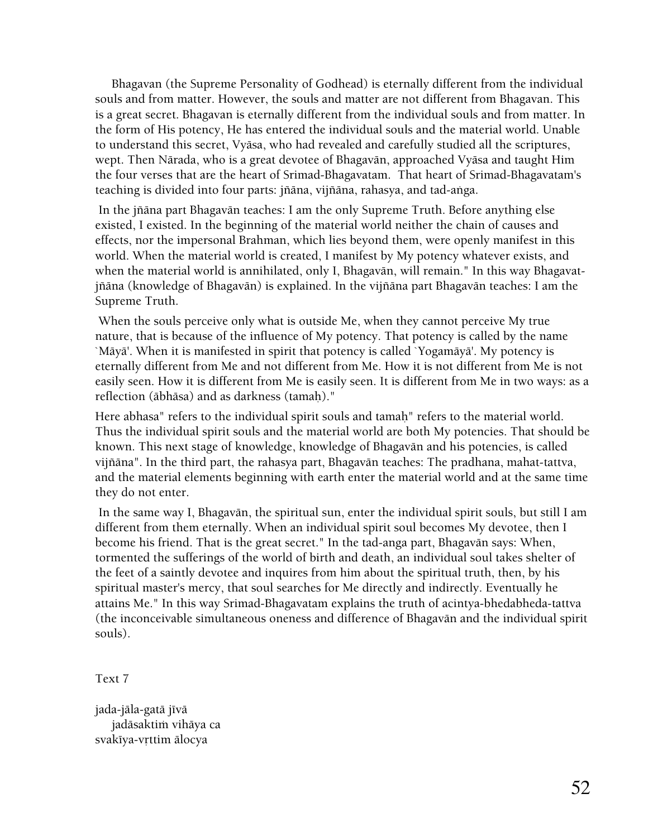Bhagavan (the Supreme Personality of Godhead) is eternally different from the individual souls and from matter. However, the souls and matter are not different from Bhagavan. This is a great secret. Bhagavan is eternally different from the individual souls and from matter. In the form of His potency, He has entered the individual souls and the material world. Unable to understand this secret, Vyäsa, who had revealed and carefully studied all the scriptures, wept. Then Närada, who is a great devotee of Bhagavän, approached Vyäsa and taught Him the four verses that are the heart of Srimad-Bhagavatam. That heart of Srimad-Bhagavatam's teaching is divided into four parts: jñāna, vijñāna, rahasya, and tad-aṅga.

 In the jïäna part Bhagavän teaches: I am the only Supreme Truth. Before anything else existed, I existed. In the beginning of the material world neither the chain of causes and effects, nor the impersonal Brahman, which lies beyond them, were openly manifest in this world. When the material world is created, I manifest by My potency whatever exists, and when the material world is annihilated, only I, Bhagavän, will remain." In this way Bhagavatjïäna (knowledge of Bhagavän) is explained. In the vijïäna part Bhagavän teaches: I am the Supreme Truth.

 When the souls perceive only what is outside Me, when they cannot perceive My true nature, that is because of the influence of My potency. That potency is called by the name `Mäyä'. When it is manifested in spirit that potency is called `Yogamäyä'. My potency is eternally different from Me and not different from Me. How it is not different from Me is not easily seen. How it is different from Me is easily seen. It is different from Me in two ways: as a reflection (ābhāsa) and as darkness (tamah)."

Here abhasa" refers to the individual spirit souls and tamah" refers to the material world. Thus the individual spirit souls and the material world are both My potencies. That should be known. This next stage of knowledge, knowledge of Bhagavän and his potencies, is called vijïäna". In the third part, the rahasya part, Bhagavän teaches: The pradhana, mahat-tattva, and the material elements beginning with earth enter the material world and at the same time they do not enter.

 In the same way I, Bhagavän, the spiritual sun, enter the individual spirit souls, but still I am different from them eternally. When an individual spirit soul becomes My devotee, then I become his friend. That is the great secret." In the tad-anga part, Bhagavän says: When, tormented the sufferings of the world of birth and death, an individual soul takes shelter of the feet of a saintly devotee and inquires from him about the spiritual truth, then, by his spiritual master's mercy, that soul searches for Me directly and indirectly. Eventually he attains Me." In this way Srimad-Bhagavatam explains the truth of acintya-bhedabheda-tattva (the inconceivable simultaneous oneness and difference of Bhagavän and the individual spirit souls).

Text 7

jada-jāla-gatā jīvā jadāsaktim vihāya ca svakīya-vrttim ālocya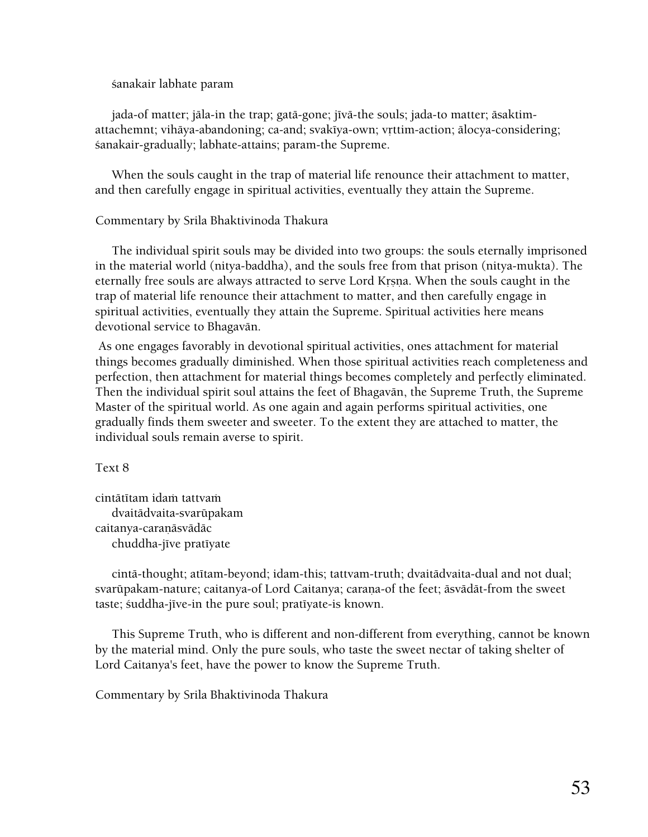çanakair labhate param

jada-of matter; jāla-in the trap; gatā-gone; jīvā-the souls; jada-to matter; āsaktimattachemnt; vihāya-abandoning; ca-and; svakīya-own; vrttim-action; ālocya-considering; çanakair-gradually; labhate-attains; param-the Supreme.

 When the souls caught in the trap of material life renounce their attachment to matter, and then carefully engage in spiritual activities, eventually they attain the Supreme.

# Commentary by Srila Bhaktivinoda Thakura

 The individual spirit souls may be divided into two groups: the souls eternally imprisoned in the material world (nitya-baddha), and the souls free from that prison (nitya-mukta). The eternally free souls are always attracted to serve Lord Krsna. When the souls caught in the trap of material life renounce their attachment to matter, and then carefully engage in spiritual activities, eventually they attain the Supreme. Spiritual activities here means devotional service to Bhagavän.

 As one engages favorably in devotional spiritual activities, ones attachment for material things becomes gradually diminished. When those spiritual activities reach completeness and perfection, then attachment for material things becomes completely and perfectly eliminated. Then the individual spirit soul attains the feet of Bhagavän, the Supreme Truth, the Supreme Master of the spiritual world. As one again and again performs spiritual activities, one gradually finds them sweeter and sweeter. To the extent they are attached to matter, the individual souls remain averse to spirit.

Text 8

cintātītam idam tattvam dvaitädvaita-svarüpakam caitanya-caraņāsvādāc chuddha-jīve pratīyate

cintā-thought; atītam-beyond; idam-this; tattvam-truth; dvaitādvaita-dual and not dual; svarūpakam-nature; caitanya-of Lord Caitanya; carana-of the feet; äsvädät-from the sweet taste; śuddha-jīve-in the pure soul; pratīyate-is known.

 This Supreme Truth, who is different and non-different from everything, cannot be known by the material mind. Only the pure souls, who taste the sweet nectar of taking shelter of Lord Caitanya's feet, have the power to know the Supreme Truth.

Commentary by Srila Bhaktivinoda Thakura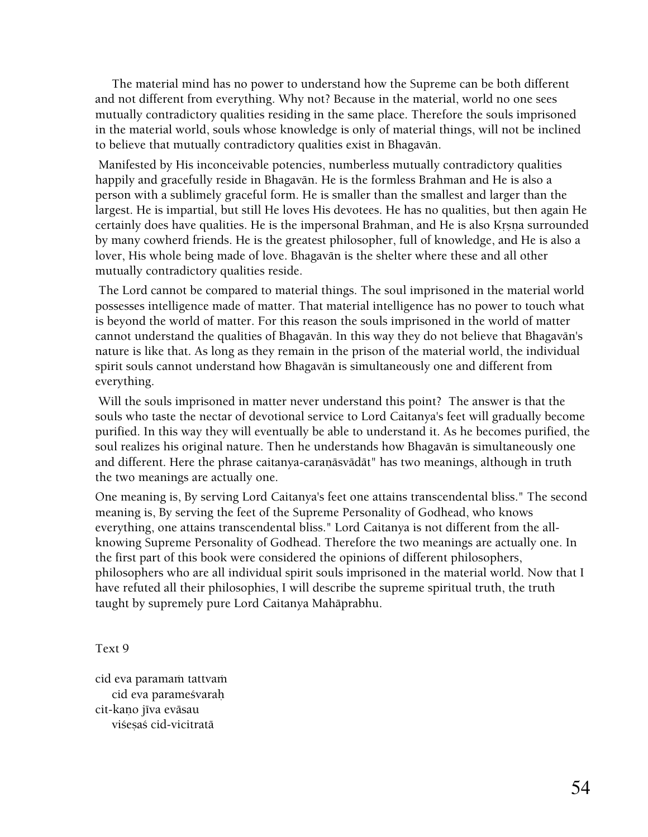The material mind has no power to understand how the Supreme can be both different and not different from everything. Why not? Because in the material, world no one sees mutually contradictory qualities residing in the same place. Therefore the souls imprisoned in the material world, souls whose knowledge is only of material things, will not be inclined to believe that mutually contradictory qualities exist in Bhagavän.

 Manifested by His inconceivable potencies, numberless mutually contradictory qualities happily and gracefully reside in Bhagavän. He is the formless Brahman and He is also a person with a sublimely graceful form. He is smaller than the smallest and larger than the largest. He is impartial, but still He loves His devotees. He has no qualities, but then again He certainly does have qualities. He is the impersonal Brahman, and He is also Krsna surrounded by many cowherd friends. He is the greatest philosopher, full of knowledge, and He is also a lover, His whole being made of love. Bhagavän is the shelter where these and all other mutually contradictory qualities reside.

 The Lord cannot be compared to material things. The soul imprisoned in the material world possesses intelligence made of matter. That material intelligence has no power to touch what is beyond the world of matter. For this reason the souls imprisoned in the world of matter cannot understand the qualities of Bhagavän. In this way they do not believe that Bhagavän's nature is like that. As long as they remain in the prison of the material world, the individual spirit souls cannot understand how Bhagavän is simultaneously one and different from everything.

 Will the souls imprisoned in matter never understand this point? The answer is that the souls who taste the nectar of devotional service to Lord Caitanya's feet will gradually become purified. In this way they will eventually be able to understand it. As he becomes purified, the soul realizes his original nature. Then he understands how Bhagavän is simultaneously one and different. Here the phrase caitanya-caraṇāsvādāt" has two meanings, although in truth the two meanings are actually one.

One meaning is, By serving Lord Caitanya's feet one attains transcendental bliss." The second meaning is, By serving the feet of the Supreme Personality of Godhead, who knows everything, one attains transcendental bliss." Lord Caitanya is not different from the allknowing Supreme Personality of Godhead. Therefore the two meanings are actually one. In the first part of this book were considered the opinions of different philosophers, philosophers who are all individual spirit souls imprisoned in the material world. Now that I have refuted all their philosophies, I will describe the supreme spiritual truth, the truth taught by supremely pure Lord Caitanya Mahäprabhu.

Text 9

cid eva paramaṁ tattvaṁ cid eva parameçvaraù cit-kano jīva evāsau viśesaś cid-vicitratā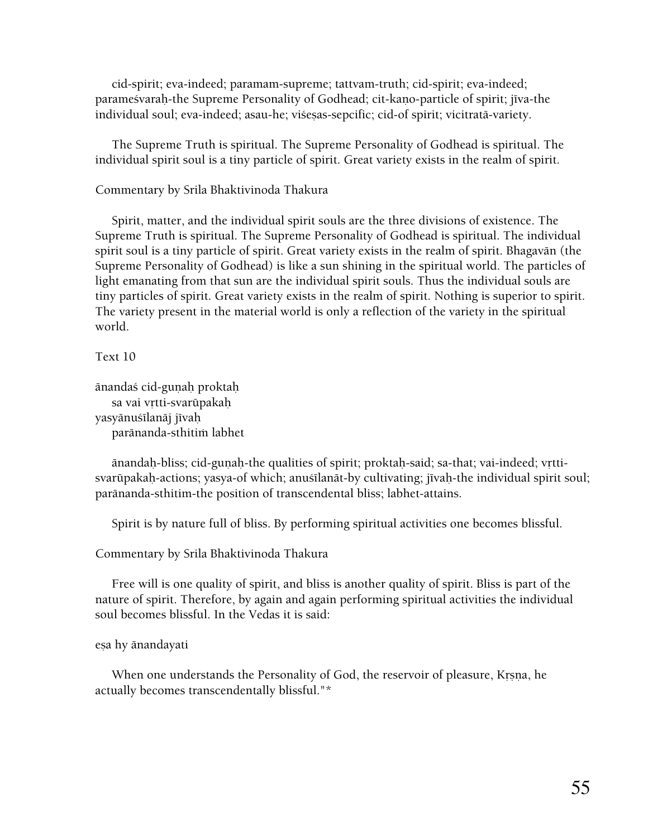cid-spirit; eva-indeed; paramam-supreme; tattvam-truth; cid-spirit; eva-indeed; paramesvarah-the Supreme Personality of Godhead; cit-kano-particle of spirit; jīva-the individual soul; eva-indeed; asau-he; viśesas-sepcific; cid-of spirit; vicitratā-variety.

 The Supreme Truth is spiritual. The Supreme Personality of Godhead is spiritual. The individual spirit soul is a tiny particle of spirit. Great variety exists in the realm of spirit.

#### Commentary by Srila Bhaktivinoda Thakura

 Spirit, matter, and the individual spirit souls are the three divisions of existence. The Supreme Truth is spiritual. The Supreme Personality of Godhead is spiritual. The individual spirit soul is a tiny particle of spirit. Great variety exists in the realm of spirit. Bhagavän (the Supreme Personality of Godhead) is like a sun shining in the spiritual world. The particles of light emanating from that sun are the individual spirit souls. Thus the individual souls are tiny particles of spirit. Great variety exists in the realm of spirit. Nothing is superior to spirit. The variety present in the material world is only a reflection of the variety in the spiritual world.

Text 10

```
änandaç cid-guëaù proktaù 
   sa vai vrtti-svarūpakah
yasyānuśīlanāj jīvaḥ
    paränanda-sthitià labhet
```
ānandaḥ-bliss; cid-guṇaḥ-the qualities of spirit; proktaḥ-said; sa-that; vai-indeed; vṛttisvarūpakaḥ-actions; yasya-of which; anuśīlanāt-by cultivating; jīvaḥ-the individual spirit soul; paränanda-sthitim-the position of transcendental bliss; labhet-attains.

Spirit is by nature full of bliss. By performing spiritual activities one becomes blissful.

Commentary by Srila Bhaktivinoda Thakura

 Free will is one quality of spirit, and bliss is another quality of spirit. Bliss is part of the nature of spirit. Therefore, by again and again performing spiritual activities the individual soul becomes blissful. In the Vedas it is said:

#### eṣa hy ānandayati

When one understands the Personality of God, the reservoir of pleasure, Krsna, he actually becomes transcendentally blissful."\*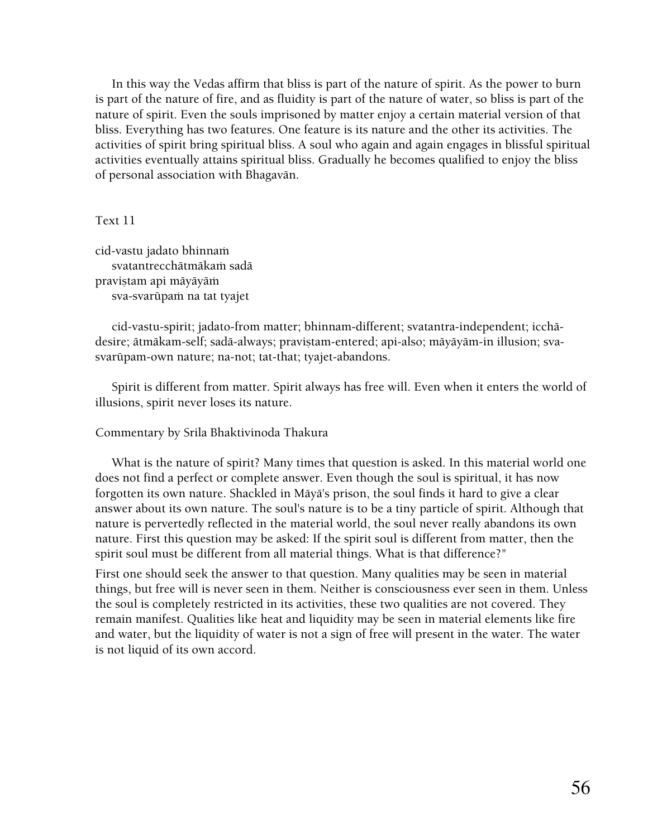In this way the Vedas affirm that bliss is part of the nature of spirit. As the power to burn is part of the nature of fire, and as fluidity is part of the nature of water, so bliss is part of the nature of spirit. Even the souls imprisoned by matter enjoy a certain material version of that bliss. Everything has two features. One feature is its nature and the other its activities. The activities of spirit bring spiritual bliss. A soul who again and again engages in blissful spiritual activities eventually attains spiritual bliss. Gradually he becomes qualified to enjoy the bliss of personal association with Bhagavän.

#### Text 11

cid-vastu jadato bhinnam svatantrecchātmākam sadā pravistam api mäyäyäm sva-svarūpam na tat tyajet

 cid-vastu-spirit; jadato-from matter; bhinnam-different; svatantra-independent; icchädesire; ātmākam-self; sadā-always; praviṣtam-entered; api-also; māyāyām-in illusion; svasvarüpam-own nature; na-not; tat-that; tyajet-abandons.

 Spirit is different from matter. Spirit always has free will. Even when it enters the world of illusions, spirit never loses its nature.

#### Commentary by Srila Bhaktivinoda Thakura

 What is the nature of spirit? Many times that question is asked. In this material world one does not find a perfect or complete answer. Even though the soul is spiritual, it has now forgotten its own nature. Shackled in Mäyä's prison, the soul finds it hard to give a clear answer about its own nature. The soul's nature is to be a tiny particle of spirit. Although that nature is pervertedly reflected in the material world, the soul never really abandons its own nature. First this question may be asked: If the spirit soul is different from matter, then the spirit soul must be different from all material things. What is that difference?"

First one should seek the answer to that question. Many qualities may be seen in material things, but free will is never seen in them. Neither is consciousness ever seen in them. Unless the soul is completely restricted in its activities, these two qualities are not covered. They remain manifest. Qualities like heat and liquidity may be seen in material elements like fire and water, but the liquidity of water is not a sign of free will present in the water. The water is not liquid of its own accord.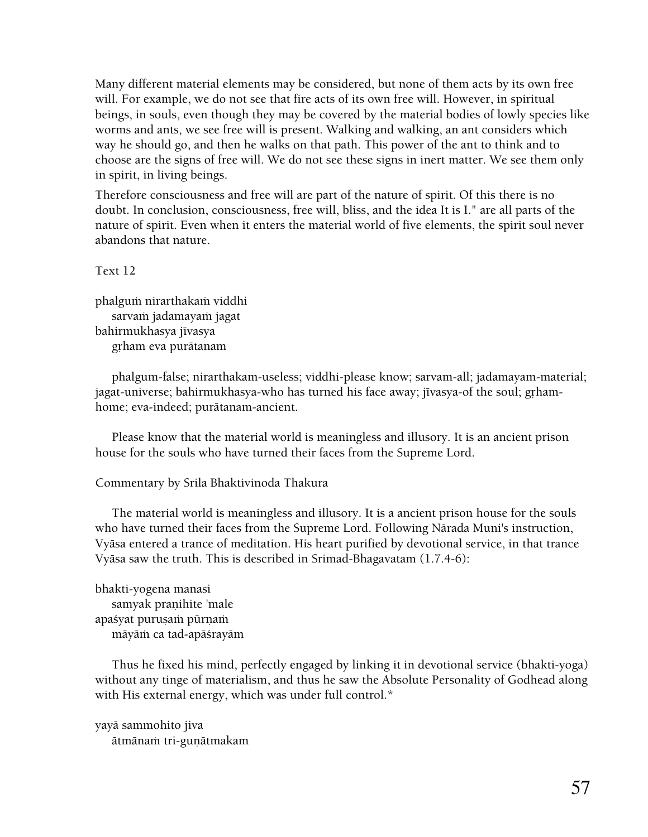Many different material elements may be considered, but none of them acts by its own free will. For example, we do not see that fire acts of its own free will. However, in spiritual beings, in souls, even though they may be covered by the material bodies of lowly species like worms and ants, we see free will is present. Walking and walking, an ant considers which way he should go, and then he walks on that path. This power of the ant to think and to choose are the signs of free will. We do not see these signs in inert matter. We see them only in spirit, in living beings.

Therefore consciousness and free will are part of the nature of spirit. Of this there is no doubt. In conclusion, consciousness, free will, bliss, and the idea It is I." are all parts of the nature of spirit. Even when it enters the material world of five elements, the spirit soul never abandons that nature.

Text 12

phalguṁ nirarthakaṁ viddhi sarvam jadamayam jagat bahirmukhasya jīvasya grham eva purātanam

 phalgum-false; nirarthakam-useless; viddhi-please know; sarvam-all; jadamayam-material; jagat-universe; bahirmukhasya-who has turned his face away; jīvasya-of the soul; grhamhome; eva-indeed; purätanam-ancient.

 Please know that the material world is meaningless and illusory. It is an ancient prison house for the souls who have turned their faces from the Supreme Lord.

# Commentary by Srila Bhaktivinoda Thakura

 The material world is meaningless and illusory. It is a ancient prison house for the souls who have turned their faces from the Supreme Lord. Following Närada Muni's instruction, Vyäsa entered a trance of meditation. His heart purified by devotional service, in that trance Vyäsa saw the truth. This is described in Srimad-Bhagavatam (1.7.4-6):

bhakti-yogena manasi samyak pranihite 'male apaśyat purușam pūrņam māyām ca tad-apāśrayām

 Thus he fixed his mind, perfectly engaged by linking it in devotional service (bhakti-yoga) without any tinge of materialism, and thus he saw the Absolute Personality of Godhead along with His external energy, which was under full control.\*

yayä sammohito jiva ätmänam tri-gunätmakam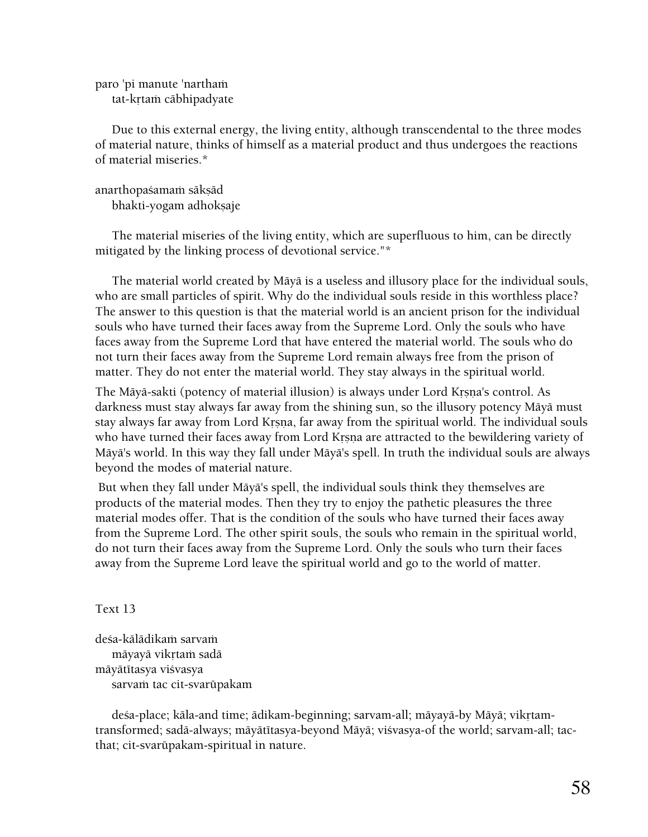paro 'pi manute 'nartham tat-krtam cābhipadyate

 Due to this external energy, the living entity, although transcendental to the three modes of material nature, thinks of himself as a material product and thus undergoes the reactions of material miseries.\*

anarthopaśamaṁ sākṣād

bhakti-yogam adhokṣaje

 The material miseries of the living entity, which are superfluous to him, can be directly mitigated by the linking process of devotional service."\*

 The material world created by Mäyä is a useless and illusory place for the individual souls, who are small particles of spirit. Why do the individual souls reside in this worthless place? The answer to this question is that the material world is an ancient prison for the individual souls who have turned their faces away from the Supreme Lord. Only the souls who have faces away from the Supreme Lord that have entered the material world. The souls who do not turn their faces away from the Supreme Lord remain always free from the prison of matter. They do not enter the material world. They stay always in the spiritual world.

The Mäyä-sakti (potency of material illusion) is always under Lord Krsna's control. As darkness must stay always far away from the shining sun, so the illusory potency Mäyä must stay always far away from Lord Krsna, far away from the spiritual world. The individual souls who have turned their faces away from Lord Krsna are attracted to the bewildering variety of Mäyä's world. In this way they fall under Mäyä's spell. In truth the individual souls are always beyond the modes of material nature.

 But when they fall under Mäyä's spell, the individual souls think they themselves are products of the material modes. Then they try to enjoy the pathetic pleasures the three material modes offer. That is the condition of the souls who have turned their faces away from the Supreme Lord. The other spirit souls, the souls who remain in the spiritual world, do not turn their faces away from the Supreme Lord. Only the souls who turn their faces away from the Supreme Lord leave the spiritual world and go to the world of matter.

Text 13

deśa-kālādikam sarvam māyayā vikrtam sadā māyātītasya viśvasya sarvam tac cit-svarūpakam

deśa-place; kāla-and time; ādikam-beginning; sarvam-all; māyayā-by Māyā; vikrtamtransformed; sadā-always; māyātītasya-beyond Māyā; viśvasya-of the world; sarvam-all; tacthat; cit-svarüpakam-spiritual in nature.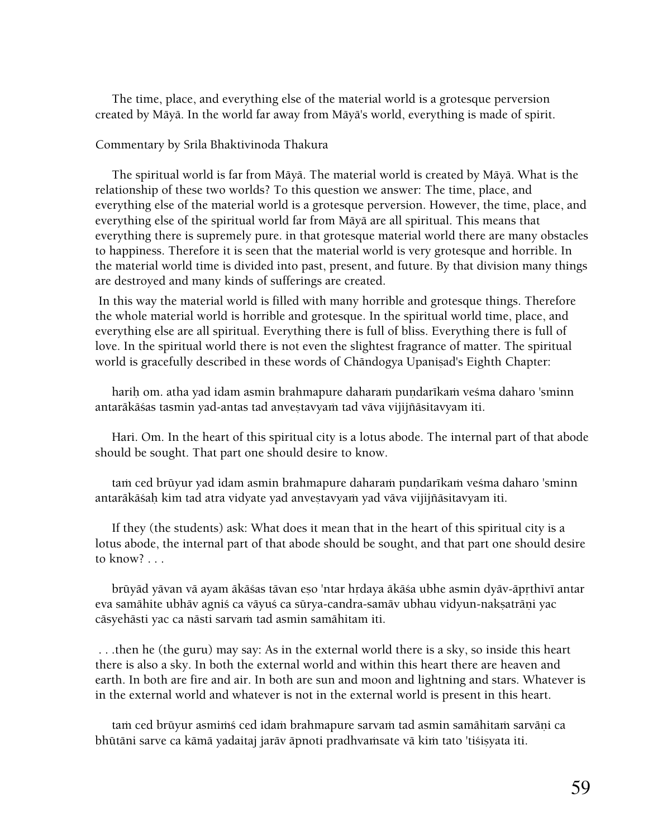The time, place, and everything else of the material world is a grotesque perversion created by Mäyä. In the world far away from Mäyä's world, everything is made of spirit.

#### Commentary by Srila Bhaktivinoda Thakura

 The spiritual world is far from Mäyä. The material world is created by Mäyä. What is the relationship of these two worlds? To this question we answer: The time, place, and everything else of the material world is a grotesque perversion. However, the time, place, and everything else of the spiritual world far from Mäyä are all spiritual. This means that everything there is supremely pure. in that grotesque material world there are many obstacles to happiness. Therefore it is seen that the material world is very grotesque and horrible. In the material world time is divided into past, present, and future. By that division many things are destroyed and many kinds of sufferings are created.

 In this way the material world is filled with many horrible and grotesque things. Therefore the whole material world is horrible and grotesque. In the spiritual world time, place, and everything else are all spiritual. Everything there is full of bliss. Everything there is full of love. In the spiritual world there is not even the slightest fragrance of matter. The spiritual world is gracefully described in these words of Chāndogya Upanisad's Eighth Chapter:

harih om. atha yad idam asmin brahmapure daharam pundarīkam vesma daharo 'sminn antarākāśas tasmin yad-antas tad anvestavyam tad vāva vijijñāsitavyam iti.

 Hari. Om. In the heart of this spiritual city is a lotus abode. The internal part of that abode should be sought. That part one should desire to know.

tam ced brūyur yad idam asmin brahmapure daharam pundarīkam veśma daharo 'sminn antarākāśah kim tad atra vidyate yad anvestavyam yad vāva vijijñāsitavyam iti.

 If they (the students) ask: What does it mean that in the heart of this spiritual city is a lotus abode, the internal part of that abode should be sought, and that part one should desire to know? . . .

brūyād yāvan vā ayam ākāśas tāvan eso 'ntar hrdaya ākāśa ubhe asmin dyāv-āprthivī antar eva samāhite ubhāv agniś ca vāyuś ca sūrya-candra-samāv ubhau vidyun-nakṣatrāṇi yac cāsyehāsti yac ca nāsti sarvaṁ tad asmin samāhitam iti.

 . . .then he (the guru) may say: As in the external world there is a sky, so inside this heart there is also a sky. In both the external world and within this heart there are heaven and earth. In both are fire and air. In both are sun and moon and lightning and stars. Whatever is in the external world and whatever is not in the external world is present in this heart.

tam ced brūyur asmimś ced idam brahmapure sarvam tad asmin samāhitam sarvāņi ca bhūtāni sarve ca kāmā yadaitaj jarāv āpnoti pradhvaṁsate vā kiṁ tato 'tiśiṣyata iti.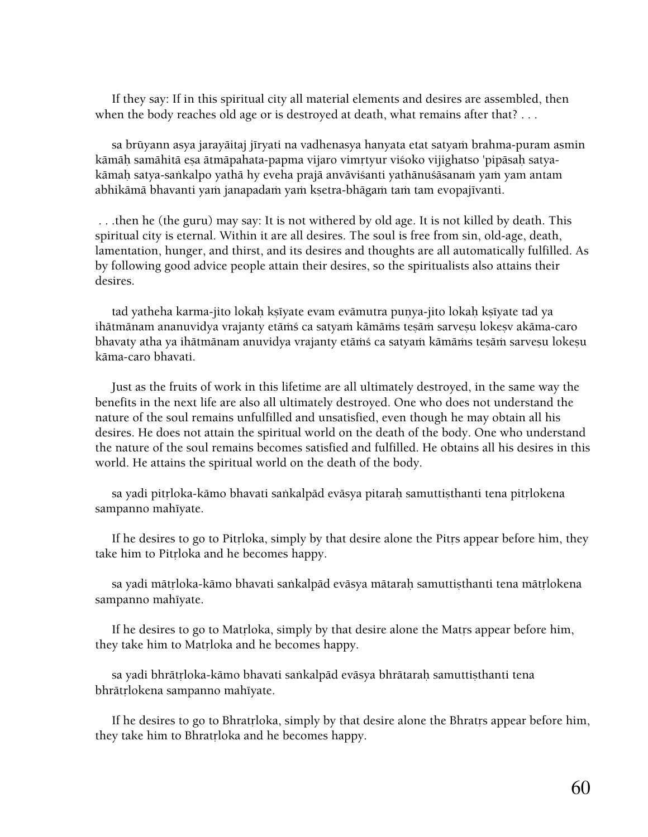If they say: If in this spiritual city all material elements and desires are assembled, then when the body reaches old age or is destroyed at death, what remains after that? . . .

sa brūyann asya jarayāitaj jīryati na vadhenasya hanyata etat satyaṁ brahma-puram asmin kāmāḥ samāhitā eṣa ātmāpahata-papma vijaro vimṛtyur viśoko vijighatso 'pipāsaḥ satyakāmah satya-saṅkalpo yathā hy eveha prajā anvāviśanti yathānuśāsanaṁ yaṁ yam antam abhikāmā bhavanti yaṁ janapadaṁ yaṁ kṣetra-bhāgaṁ taṁ tam evopajīvanti.

 . . .then he (the guru) may say: It is not withered by old age. It is not killed by death. This spiritual city is eternal. Within it are all desires. The soul is free from sin, old-age, death, lamentation, hunger, and thirst, and its desires and thoughts are all automatically fulfilled. As by following good advice people attain their desires, so the spiritualists also attains their desires.

tad yatheha karma-jito lokah ksīyate evam evāmutra punya-jito lokah ksīyate tad ya ihātmānam ananuvidya vrajanty etāṁś ca satyaṁ kāmāṁs tesāṁ sarvesu lokesv akāma-caro bhavaty atha ya ihātmānam anuvidya vrajanty etāṁś ca satyaṁ kāmāṁs tesāṁ sarveṣu lokeṣu käma-caro bhavati.

 Just as the fruits of work in this lifetime are all ultimately destroyed, in the same way the benefits in the next life are also all ultimately destroyed. One who does not understand the nature of the soul remains unfulfilled and unsatisfied, even though he may obtain all his desires. He does not attain the spiritual world on the death of the body. One who understand the nature of the soul remains becomes satisfied and fulfilled. He obtains all his desires in this world. He attains the spiritual world on the death of the body.

sa yadi pitrloka-kāmo bhavati saṅkalpād evāsya pitarah samuttisthanti tena pitrlokena sampanno mahīyate.

If he desires to go to Pitrloka, simply by that desire alone the Pitrs appear before him, they take him to Pitrloka and he becomes happy.

sa yadi mātrloka-kāmo bhavati saṅkalpād evāsya mātarah samuttisthanti tena mātrlokena sampanno mahīyate.

If he desires to go to Matrloka, simply by that desire alone the Matrs appear before him, they take him to Matrloka and he becomes happy.

sa yadi bhrātṛloka-kāmo bhavati saṅkalpād evāsya bhrātaraḥ samuttiṣthanti tena bhrātŗlokena sampanno mahīyate.

If he desires to go to Bhratrloka, simply by that desire alone the Bhratrs appear before him, they take him to Bhratrloka and he becomes happy.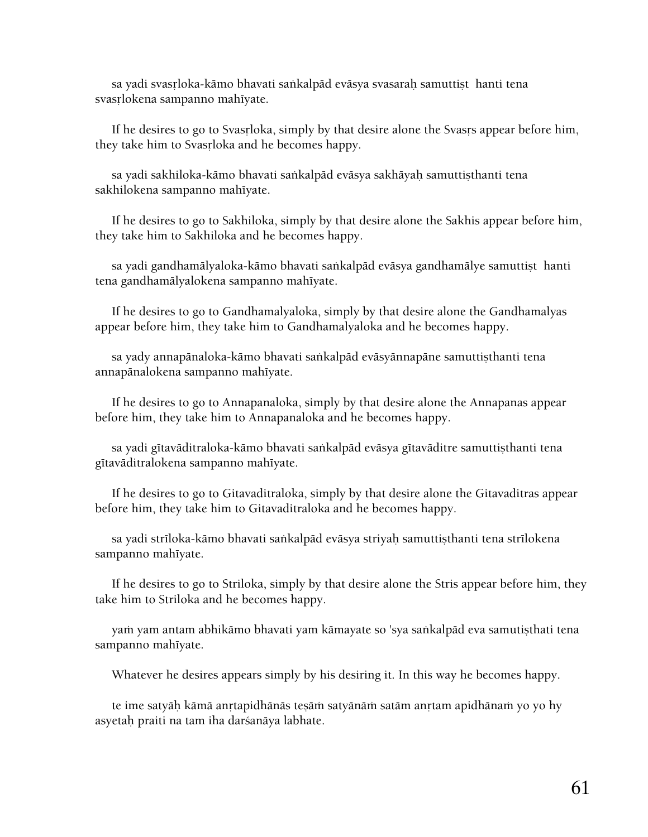sa yadi svasrloka-kāmo bhavati saṅkalpād evāsya svasaraḥ samuttiṣthanti tena svasrlokena sampanno mahīyate.

If he desires to go to Svasrloka, simply by that desire alone the Svasts appear before him, they take him to Svasrloka and he becomes happy.

sa yadi sakhiloka-kämo bhavati sankalpäd eväsya sakhäyah samuttisthanti tena sakhilokena sampanno mahīyate.

 If he desires to go to Sakhiloka, simply by that desire alone the Sakhis appear before him, they take him to Sakhiloka and he becomes happy.

sa yadi gandhamālyaloka-kāmo bhavati saṅkalpād evāsya gandhamālye samuttisthanti tena gandhamālyalokena sampanno mahīyate.

 If he desires to go to Gandhamalyaloka, simply by that desire alone the Gandhamalyas appear before him, they take him to Gandhamalyaloka and he becomes happy.

sa yady annapānaloka-kāmo bhavati saṅkalpād evāsyānnapāne samuttisthanti tena annapānalokena sampanno mahīyate.

 If he desires to go to Annapanaloka, simply by that desire alone the Annapanas appear before him, they take him to Annapanaloka and he becomes happy.

sa yadi gītavāditraloka-kāmo bhavati saṅkalpād evāsya gītavāditre samuttisthanti tena gītavāditralokena sampanno mahīyate.

 If he desires to go to Gitavaditraloka, simply by that desire alone the Gitavaditras appear before him, they take him to Gitavaditraloka and he becomes happy.

sa yadi strīloka-kāmo bhavati saṅkalpād evāsya striyaḥ samuttiṣthanti tena strīlokena sampanno mahīyate.

 If he desires to go to Striloka, simply by that desire alone the Stris appear before him, they take him to Striloka and he becomes happy.

yam yam antam abhikāmo bhavati yam kāmayate so 'sya sankalpād eva samutisthati tena sampanno mahīyate.

Whatever he desires appears simply by his desiring it. In this way he becomes happy.

te ime satyāḥ kāmā anṛtapidhānās teṣāṁ satyānāṁ satām anṛtam apidhānaṁ yo yo hy asyetah praiti na tam iha darśanāya labhate.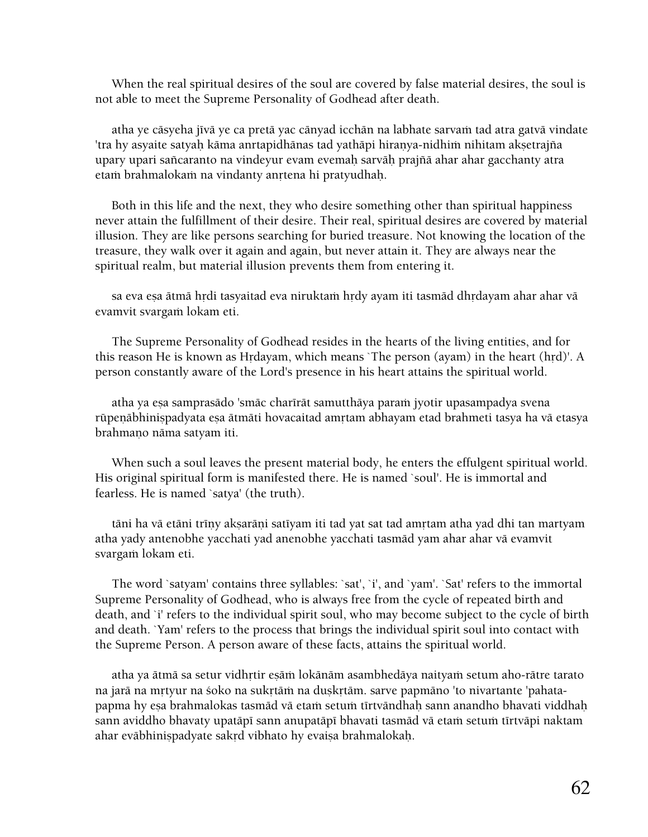When the real spiritual desires of the soul are covered by false material desires, the soul is not able to meet the Supreme Personality of Godhead after death.

atha ye cāsyeha jīvā ye ca pretā yac cānyad icchān na labhate sarvam tad atra gatvā vindate 'tra hy asyaite satyaḥ kāma anrtapidhānas tad yathāpi hiraṇya-nidhiṁ nihitam akṣetrajña upary upari saïcaranto na vindeyur evam evemaù sarväù prajïä ahar ahar gacchanty atra etam brahmalokam na vindanty anrtena hi pratyudhah.

 Both in this life and the next, they who desire something other than spiritual happiness never attain the fulfillment of their desire. Their real, spiritual desires are covered by material illusion. They are like persons searching for buried treasure. Not knowing the location of the treasure, they walk over it again and again, but never attain it. They are always near the spiritual realm, but material illusion prevents them from entering it.

sa eva esa ätmä hṛdi tasyaitad eva niruktaṁ hṛdy ayam iti tasmād dhṛdayam ahar ahar vā evamvit svargam lokam eti.

 The Supreme Personality of Godhead resides in the hearts of the living entities, and for this reason He is known as Hrdayam, which means `The person (ayam) in the heart (hrd)'. A person constantly aware of the Lord's presence in his heart attains the spiritual world.

atha ya esa samprasādo 'smāc charīrāt samutthāya param jyotir upasampadya svena rūpeṇābhiniṣpadyata eṣa ātmāti hovacaitad amṛtam abhayam etad brahmeti tasya ha vā etasya brahmano nāma satyam iti.

 When such a soul leaves the present material body, he enters the effulgent spiritual world. His original spiritual form is manifested there. He is named `soul'. He is immortal and fearless. He is named `satya' (the truth).

tāni ha vā etāni trīņy akṣarāṇi satīyam iti tad yat sat tad amṛtam atha yad dhi tan martyam atha yady antenobhe yacchati yad anenobhe yacchati tasmäd yam ahar ahar vä evamvit svargam lokam eti.

 The word `satyam' contains three syllables: `sat', `i', and `yam'. `Sat' refers to the immortal Supreme Personality of Godhead, who is always free from the cycle of repeated birth and death, and `i' refers to the individual spirit soul, who may become subject to the cycle of birth and death. `Yam' refers to the process that brings the individual spirit soul into contact with the Supreme Person. A person aware of these facts, attains the spiritual world.

atha ya ātmā sa setur vidhŗtir eṣāṁ lokānām asambhedāya naityaṁ setum aho-rātre tarato na jarā na mrtyur na śoko na sukrtām na duṣkṛtām. sarve papmāno 'to nivartante 'pahatapapma hy esa brahmalokas tasmād vā etaṁ setuṁ tīrtvāndhaḥ sann anandho bhavati viddhaḥ sann aviddho bhavaty upatāpī sann anupatāpī bhavati tasmād vā etaṁ setuṁ tīrtvāpi naktam ahar evābhinispadyate sakrd vibhato hy evaisa brahmalokaḥ.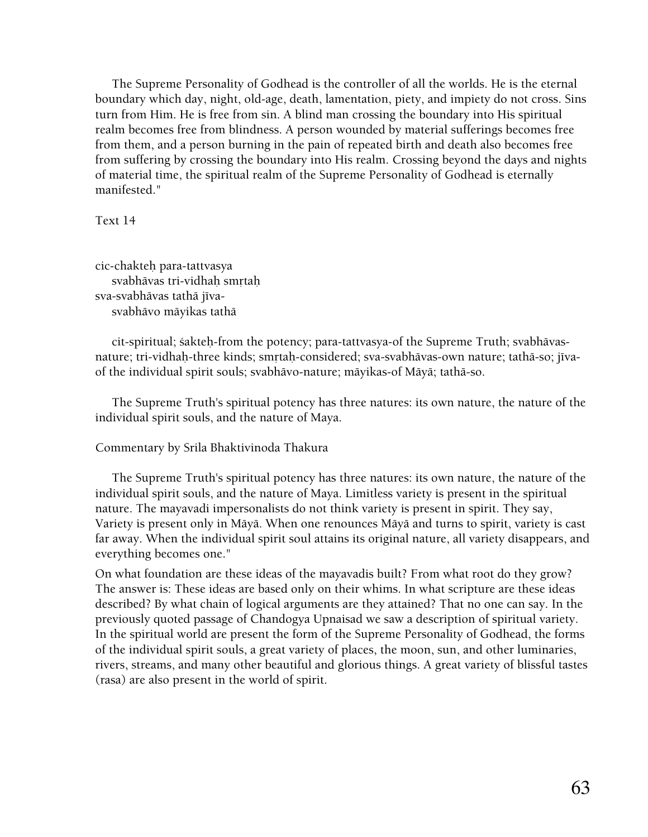The Supreme Personality of Godhead is the controller of all the worlds. He is the eternal boundary which day, night, old-age, death, lamentation, piety, and impiety do not cross. Sins turn from Him. He is free from sin. A blind man crossing the boundary into His spiritual realm becomes free from blindness. A person wounded by material sufferings becomes free from them, and a person burning in the pain of repeated birth and death also becomes free from suffering by crossing the boundary into His realm. Crossing beyond the days and nights of material time, the spiritual realm of the Supreme Personality of Godhead is eternally manifested."

Text 14

cic-chakteù para-tattvasya svabhāvas tri-vidhah smrtah sva-svabhāvas tathā jīvasvabhävo mäyikas tathä

 cit-spiritual; çakteù-from the potency; para-tattvasya-of the Supreme Truth; svabhävasnature; tri-vidhah-three kinds; smrtah-considered; sva-svabhāvas-own nature; tathā-so; jīvaof the individual spirit souls; svabhävo-nature; mäyikas-of Mäyä; tathä-so.

 The Supreme Truth's spiritual potency has three natures: its own nature, the nature of the individual spirit souls, and the nature of Maya.

# Commentary by Srila Bhaktivinoda Thakura

 The Supreme Truth's spiritual potency has three natures: its own nature, the nature of the individual spirit souls, and the nature of Maya. Limitless variety is present in the spiritual nature. The mayavadi impersonalists do not think variety is present in spirit. They say, Variety is present only in Mäyä. When one renounces Mäyä and turns to spirit, variety is cast far away. When the individual spirit soul attains its original nature, all variety disappears, and everything becomes one."

On what foundation are these ideas of the mayavadis built? From what root do they grow? The answer is: These ideas are based only on their whims. In what scripture are these ideas described? By what chain of logical arguments are they attained? That no one can say. In the previously quoted passage of Chandogya Upnaisad we saw a description of spiritual variety. In the spiritual world are present the form of the Supreme Personality of Godhead, the forms of the individual spirit souls, a great variety of places, the moon, sun, and other luminaries, rivers, streams, and many other beautiful and glorious things. A great variety of blissful tastes (rasa) are also present in the world of spirit.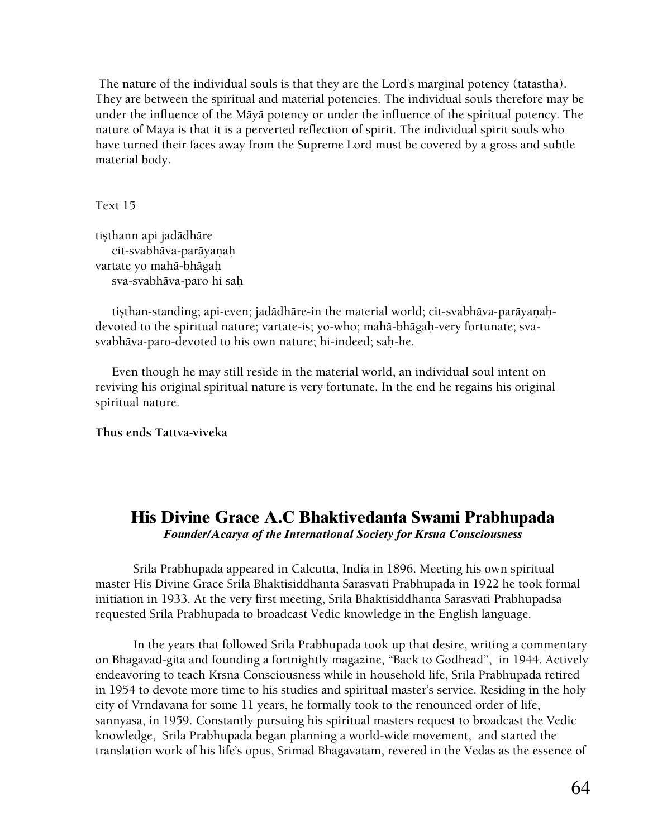The nature of the individual souls is that they are the Lord's marginal potency (tatastha). They are between the spiritual and material potencies. The individual souls therefore may be under the influence of the Mäyä potency or under the influence of the spiritual potency. The nature of Maya is that it is a perverted reflection of spirit. The individual spirit souls who have turned their faces away from the Supreme Lord must be covered by a gross and subtle material body.

Text 15

tisthann api jadādhāre cit-svabhāva-parāyaņah vartate yo mahä-bhägaù sva-svabhäva-paro hi saù

tisthan-standing; api-even; jadādhāre-in the material world; cit-svabhāva-parāyaṇahdevoted to the spiritual nature; vartate-is; yo-who; mahä-bhägaù-very fortunate; svasvabhāva-paro-devoted to his own nature; hi-indeed; sah-he.

 Even though he may still reside in the material world, an individual soul intent on reviving his original spiritual nature is very fortunate. In the end he regains his original spiritual nature.

**Thus ends Tattva-viveka** 

# **His Divine Grace A.C Bhaktivedanta Swami Prabhupada**  *Founder/Acarya of the International Society for Krsna Consciousness*

Srila Prabhupada appeared in Calcutta, India in 1896. Meeting his own spiritual master His Divine Grace Srila Bhaktisiddhanta Sarasvati Prabhupada in 1922 he took formal initiation in 1933. At the very first meeting, Srila Bhaktisiddhanta Sarasvati Prabhupadsa requested Srila Prabhupada to broadcast Vedic knowledge in the English language.

In the years that followed Srila Prabhupada took up that desire, writing a commentary on Bhagavad-gita and founding a fortnightly magazine, "Back to Godhead", in 1944. Actively endeavoring to teach Krsna Consciousness while in household life, Srila Prabhupada retired in 1954 to devote more time to his studies and spiritual master's service. Residing in the holy city of Vrndavana for some 11 years, he formally took to the renounced order of life, sannyasa, in 1959. Constantly pursuing his spiritual masters request to broadcast the Vedic knowledge, Srila Prabhupada began planning a world-wide movement, and started the translation work of his life's opus, Srimad Bhagavatam, revered in the Vedas as the essence of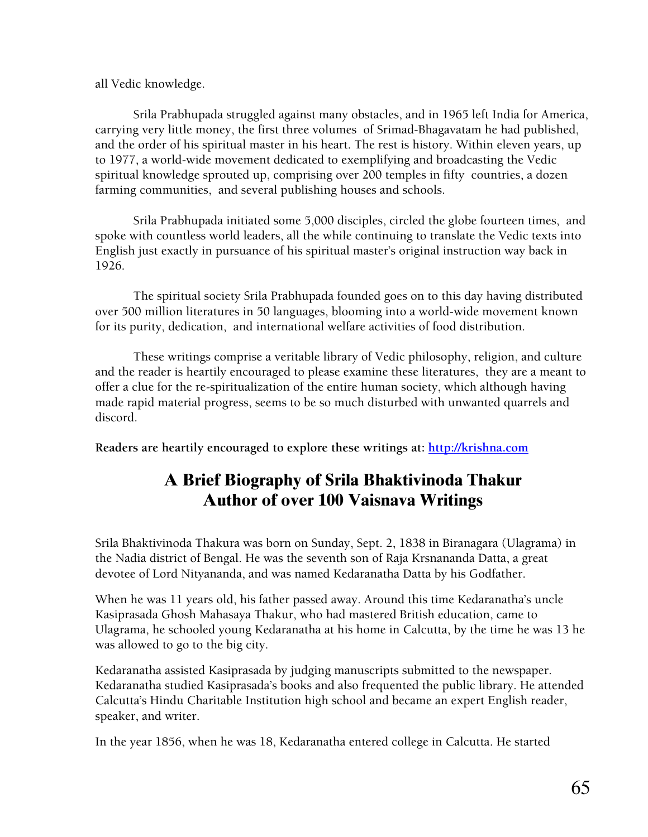all Vedic knowledge.

Srila Prabhupada struggled against many obstacles, and in 1965 left India for America, carrying very little money, the first three volumes of Srimad-Bhagavatam he had published, and the order of his spiritual master in his heart. The rest is history. Within eleven years, up to 1977, a world-wide movement dedicated to exemplifying and broadcasting the Vedic spiritual knowledge sprouted up, comprising over 200 temples in fifty countries, a dozen farming communities, and several publishing houses and schools.

Srila Prabhupada initiated some 5,000 disciples, circled the globe fourteen times, and spoke with countless world leaders, all the while continuing to translate the Vedic texts into English just exactly in pursuance of his spiritual master's original instruction way back in 1926.

 The spiritual society Srila Prabhupada founded goes on to this day having distributed over 500 million literatures in 50 languages, blooming into a world-wide movement known for its purity, dedication, and international welfare activities of food distribution.

These writings comprise a veritable library of Vedic philosophy, religion, and culture and the reader is heartily encouraged to please examine these literatures, they are a meant to offer a clue for the re-spiritualization of the entire human society, which although having made rapid material progress, seems to be so much disturbed with unwanted quarrels and discord.

**Readers are heartily encouraged to explore these writings at: [http://krishna.com](http://krishna.com/)**

# **A Brief Biography of Srila Bhaktivinoda Thakur Author of over 100 Vaisnava Writings**

Srila Bhaktivinoda Thakura was born on Sunday, Sept. 2, 1838 in Biranagara (Ulagrama) in the Nadia district of Bengal. He was the seventh son of Raja Krsnananda Datta, a great devotee of Lord Nityananda, and was named Kedaranatha Datta by his Godfather.

When he was 11 years old, his father passed away. Around this time Kedaranatha's uncle Kasiprasada Ghosh Mahasaya Thakur, who had mastered British education, came to Ulagrama, he schooled young Kedaranatha at his home in Calcutta, by the time he was 13 he was allowed to go to the big city.

Kedaranatha assisted Kasiprasada by judging manuscripts submitted to the newspaper. Kedaranatha studied Kasiprasada's books and also frequented the public library. He attended Calcutta's Hindu Charitable Institution high school and became an expert English reader, speaker, and writer.

In the year 1856, when he was 18, Kedaranatha entered college in Calcutta. He started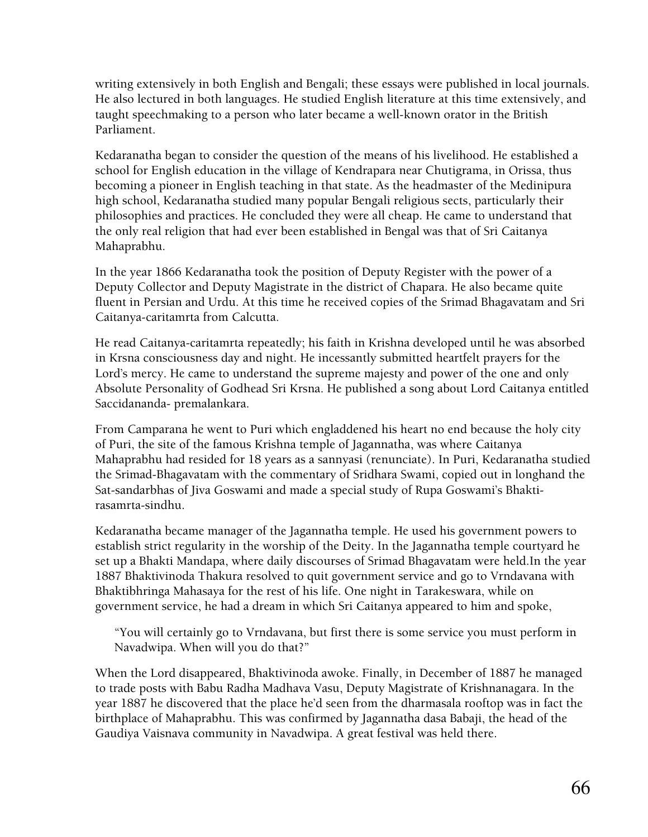writing extensively in both English and Bengali; these essays were published in local journals. He also lectured in both languages. He studied English literature at this time extensively, and taught speechmaking to a person who later became a well-known orator in the British Parliament.

Kedaranatha began to consider the question of the means of his livelihood. He established a school for English education in the village of Kendrapara near Chutigrama, in Orissa, thus becoming a pioneer in English teaching in that state. As the headmaster of the Medinipura high school, Kedaranatha studied many popular Bengali religious sects, particularly their philosophies and practices. He concluded they were all cheap. He came to understand that the only real religion that had ever been established in Bengal was that of Sri Caitanya Mahaprabhu.

In the year 1866 Kedaranatha took the position of Deputy Register with the power of a Deputy Collector and Deputy Magistrate in the district of Chapara. He also became quite fluent in Persian and Urdu. At this time he received copies of the Srimad Bhagavatam and Sri Caitanya-caritamrta from Calcutta.

He read Caitanya-caritamrta repeatedly; his faith in Krishna developed until he was absorbed in Krsna consciousness day and night. He incessantly submitted heartfelt prayers for the Lord's mercy. He came to understand the supreme majesty and power of the one and only Absolute Personality of Godhead Sri Krsna. He published a song about Lord Caitanya entitled Saccidananda- premalankara.

From Camparana he went to Puri which engladdened his heart no end because the holy city of Puri, the site of the famous Krishna temple of Jagannatha, was where Caitanya Mahaprabhu had resided for 18 years as a sannyasi (renunciate). In Puri, Kedaranatha studied the Srimad-Bhagavatam with the commentary of Sridhara Swami, copied out in longhand the Sat-sandarbhas of Jiva Goswami and made a special study of Rupa Goswami's Bhaktirasamrta-sindhu.

Kedaranatha became manager of the Jagannatha temple. He used his government powers to establish strict regularity in the worship of the Deity. In the Jagannatha temple courtyard he set up a Bhakti Mandapa, where daily discourses of Srimad Bhagavatam were held.In the year 1887 Bhaktivinoda Thakura resolved to quit government service and go to Vrndavana with Bhaktibhringa Mahasaya for the rest of his life. One night in Tarakeswara, while on government service, he had a dream in which Sri Caitanya appeared to him and spoke,

"You will certainly go to Vrndavana, but first there is some service you must perform in Navadwipa. When will you do that?"

When the Lord disappeared, Bhaktivinoda awoke. Finally, in December of 1887 he managed to trade posts with Babu Radha Madhava Vasu, Deputy Magistrate of Krishnanagara. In the year 1887 he discovered that the place he'd seen from the dharmasala rooftop was in fact the birthplace of Mahaprabhu. This was confirmed by Jagannatha dasa Babaji, the head of the Gaudiya Vaisnava community in Navadwipa. A great festival was held there.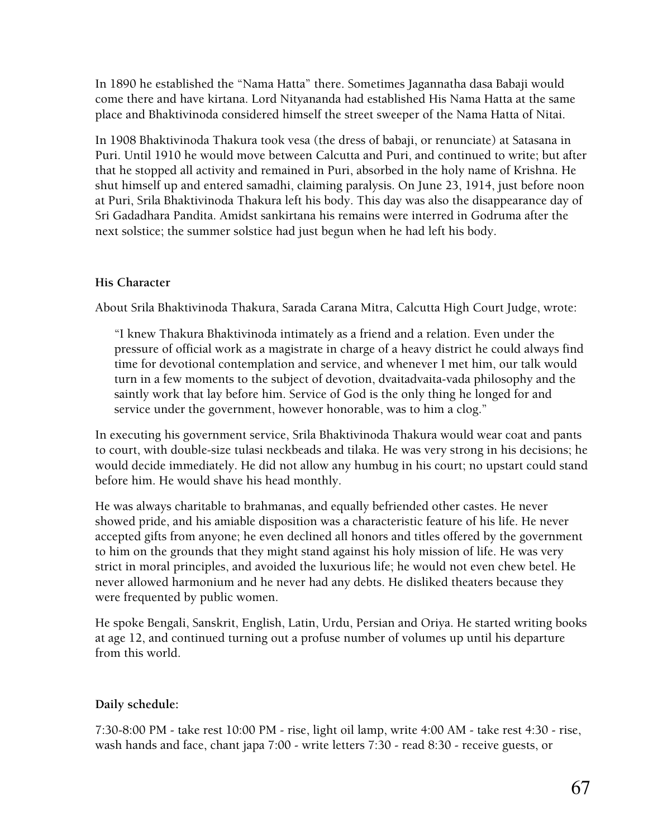In 1890 he established the "Nama Hatta" there. Sometimes Jagannatha dasa Babaji would come there and have kirtana. Lord Nityananda had established His Nama Hatta at the same place and Bhaktivinoda considered himself the street sweeper of the Nama Hatta of Nitai.

In 1908 Bhaktivinoda Thakura took vesa (the dress of babaji, or renunciate) at Satasana in Puri. Until 1910 he would move between Calcutta and Puri, and continued to write; but after that he stopped all activity and remained in Puri, absorbed in the holy name of Krishna. He shut himself up and entered samadhi, claiming paralysis. On June 23, 1914, just before noon at Puri, Srila Bhaktivinoda Thakura left his body. This day was also the disappearance day of Sri Gadadhara Pandita. Amidst sankirtana his remains were interred in Godruma after the next solstice; the summer solstice had just begun when he had left his body.

# **His Character**

About Srila Bhaktivinoda Thakura, Sarada Carana Mitra, Calcutta High Court Judge, wrote:

"I knew Thakura Bhaktivinoda intimately as a friend and a relation. Even under the pressure of official work as a magistrate in charge of a heavy district he could always find time for devotional contemplation and service, and whenever I met him, our talk would turn in a few moments to the subject of devotion, dvaitadvaita-vada philosophy and the saintly work that lay before him. Service of God is the only thing he longed for and service under the government, however honorable, was to him a clog."

In executing his government service, Srila Bhaktivinoda Thakura would wear coat and pants to court, with double-size tulasi neckbeads and tilaka. He was very strong in his decisions; he would decide immediately. He did not allow any humbug in his court; no upstart could stand before him. He would shave his head monthly.

He was always charitable to brahmanas, and equally befriended other castes. He never showed pride, and his amiable disposition was a characteristic feature of his life. He never accepted gifts from anyone; he even declined all honors and titles offered by the government to him on the grounds that they might stand against his holy mission of life. He was very strict in moral principles, and avoided the luxurious life; he would not even chew betel. He never allowed harmonium and he never had any debts. He disliked theaters because they were frequented by public women.

He spoke Bengali, Sanskrit, English, Latin, Urdu, Persian and Oriya. He started writing books at age 12, and continued turning out a profuse number of volumes up until his departure from this world.

# **Daily schedule:**

7:30-8:00 PM - take rest 10:00 PM - rise, light oil lamp, write 4:00 AM - take rest 4:30 - rise, wash hands and face, chant japa 7:00 - write letters 7:30 - read 8:30 - receive guests, or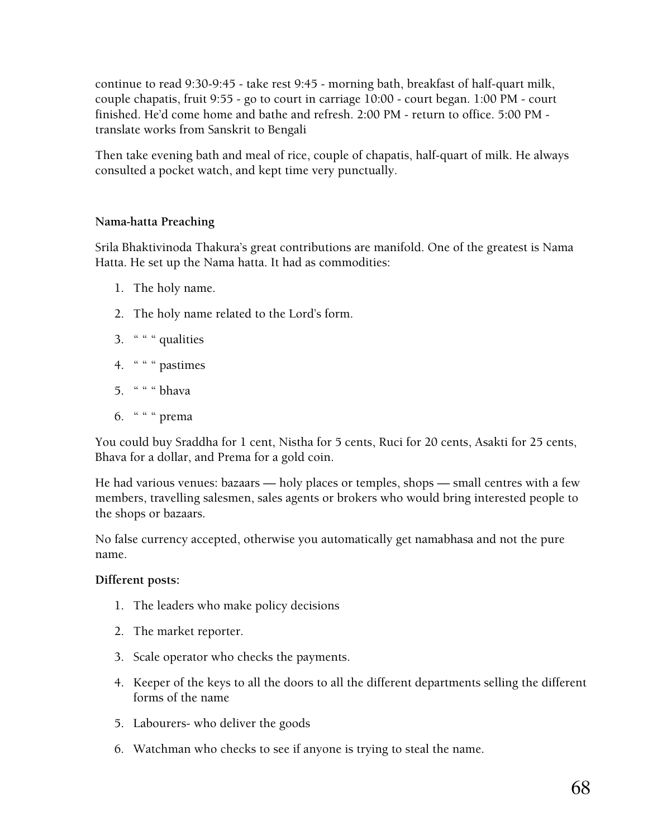continue to read 9:30-9:45 - take rest 9:45 - morning bath, breakfast of half-quart milk, couple chapatis, fruit 9:55 - go to court in carriage 10:00 - court began. 1:00 PM - court finished. He'd come home and bathe and refresh. 2:00 PM - return to office. 5:00 PM translate works from Sanskrit to Bengali

Then take evening bath and meal of rice, couple of chapatis, half-quart of milk. He always consulted a pocket watch, and kept time very punctually.

# **Nama-hatta Preaching**

Srila Bhaktivinoda Thakura's great contributions are manifold. One of the greatest is Nama Hatta. He set up the Nama hatta. It had as commodities:

- 1. The holy name.
- 2. The holy name related to the Lord's form.
- 3.  $" " " quantities"$
- 4. " " " pastimes
- 5. " " " bhava
- 6. " " " prema

You could buy Sraddha for 1 cent, Nistha for 5 cents, Ruci for 20 cents, Asakti for 25 cents, Bhava for a dollar, and Prema for a gold coin.

He had various venues: bazaars — holy places or temples, shops — small centres with a few members, travelling salesmen, sales agents or brokers who would bring interested people to the shops or bazaars.

No false currency accepted, otherwise you automatically get namabhasa and not the pure name.

# **Different posts:**

- 1. The leaders who make policy decisions
- 2. The market reporter.
- 3. Scale operator who checks the payments.
- 4. Keeper of the keys to all the doors to all the different departments selling the different forms of the name
- 5. Labourers- who deliver the goods
- 6. Watchman who checks to see if anyone is trying to steal the name.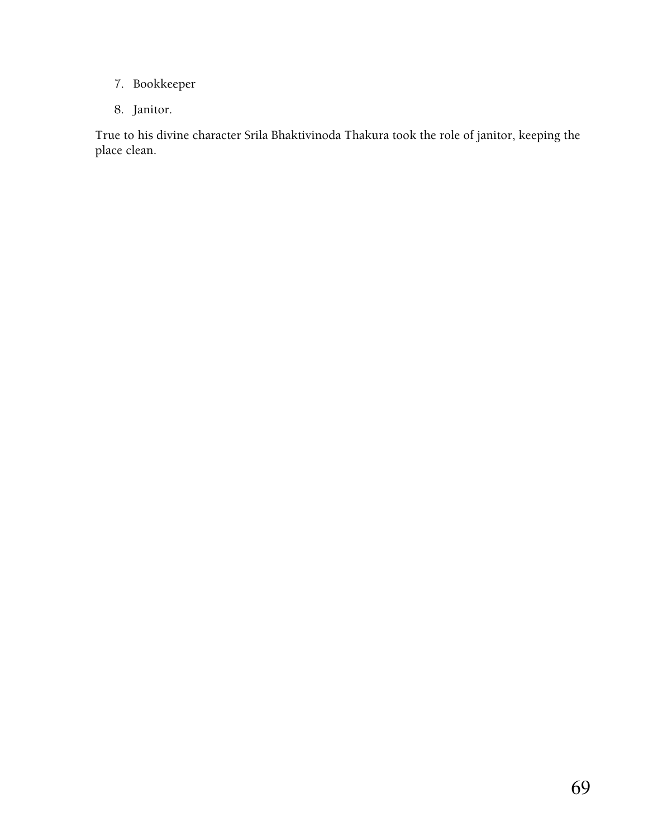- 7. Bookkeeper
- 8. Janitor.

True to his divine character Srila Bhaktivinoda Thakura took the role of janitor, keeping the place clean.